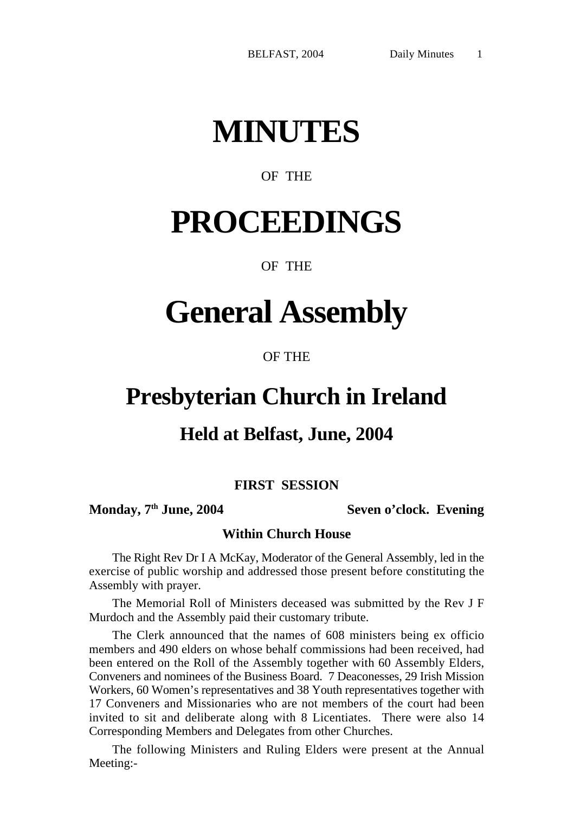# **MINUTES**

# OF THE

# **PROCEEDINGS**

### OF THE

# **General Assembly**

### OF THE

# **Presbyterian Church in Ireland**

# **Held at Belfast, June, 2004**

#### **FIRST SESSION**

**Monday, 7th June, 2004 Seven o'clock. Evening**

#### **Within Church House**

The Right Rev Dr I A McKay, Moderator of the General Assembly, led in the exercise of public worship and addressed those present before constituting the Assembly with prayer.

The Memorial Roll of Ministers deceased was submitted by the Rev J F Murdoch and the Assembly paid their customary tribute.

The Clerk announced that the names of 608 ministers being ex officio members and 490 elders on whose behalf commissions had been received, had been entered on the Roll of the Assembly together with 60 Assembly Elders, Conveners and nominees of the Business Board. 7 Deaconesses, 29 Irish Mission Workers, 60 Women's representatives and 38 Youth representatives together with 17 Conveners and Missionaries who are not members of the court had been invited to sit and deliberate along with 8 Licentiates. There were also 14 Corresponding Members and Delegates from other Churches.

The following Ministers and Ruling Elders were present at the Annual Meeting:-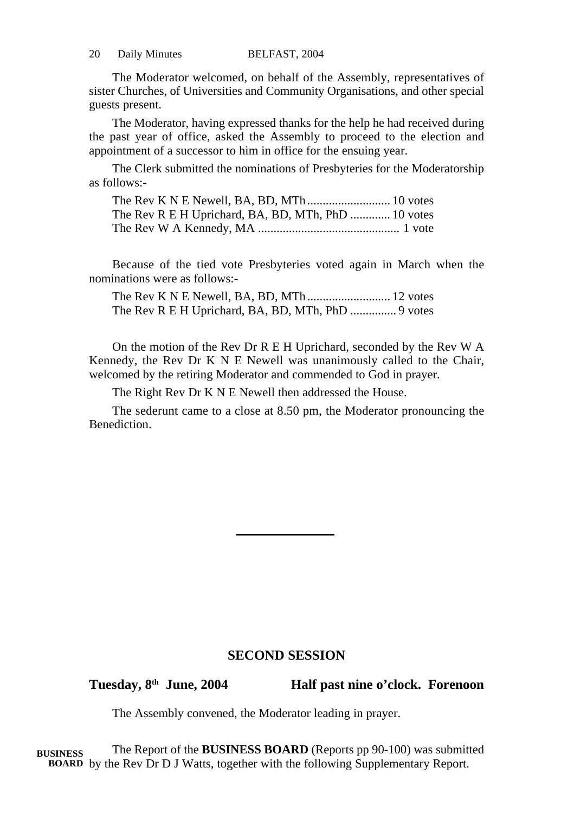|  | 20 | Daily Minutes | BELFAST, 2004 |  |
|--|----|---------------|---------------|--|
|--|----|---------------|---------------|--|

The Moderator welcomed, on behalf of the Assembly, representatives of sister Churches, of Universities and Community Organisations, and other special guests present.

The Moderator, having expressed thanks for the help he had received during the past year of office, asked the Assembly to proceed to the election and appointment of a successor to him in office for the ensuing year.

The Clerk submitted the nominations of Presbyteries for the Moderatorship as follows:-

| The Rev R E H Uprichard, BA, BD, MTh, PhD  10 votes |  |
|-----------------------------------------------------|--|
|                                                     |  |

Because of the tied vote Presbyteries voted again in March when the nominations were as follows:-

The Rev K N E Newell, BA, BD, MTh ........................... 12 votes The Rev R E H Uprichard, BA, BD, MTh, PhD ............... 9 votes

On the motion of the Rev Dr R E H Uprichard, seconded by the Rev W A Kennedy, the Rev Dr K N E Newell was unanimously called to the Chair, welcomed by the retiring Moderator and commended to God in prayer.

The Right Rev Dr K N E Newell then addressed the House.

The sederunt came to a close at 8.50 pm, the Moderator pronouncing the Benediction.

#### **SECOND SESSION**

**Tuesday, 8th June, 2004 Half past nine o'clock. Forenoon**

The Assembly convened, the Moderator leading in prayer.

The Report of the **BUSINESS BOARD** (Reports pp 90-100) was submitted BOARD by the Rev Dr D J Watts, together with the following Supplementary Report. **BUSINESS**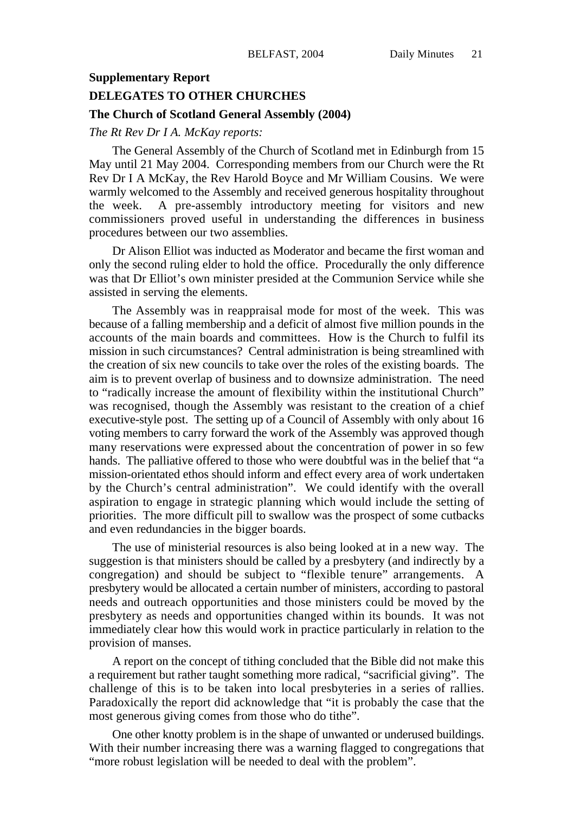#### **Supplementary Report**

#### **DELEGATES TO OTHER CHURCHES**

#### **The Church of Scotland General Assembly (2004)**

#### *The Rt Rev Dr I A. McKay reports:*

The General Assembly of the Church of Scotland met in Edinburgh from 15 May until 21 May 2004. Corresponding members from our Church were the Rt Rev Dr I A McKay, the Rev Harold Boyce and Mr William Cousins. We were warmly welcomed to the Assembly and received generous hospitality throughout the week. A pre-assembly introductory meeting for visitors and new commissioners proved useful in understanding the differences in business procedures between our two assemblies.

Dr Alison Elliot was inducted as Moderator and became the first woman and only the second ruling elder to hold the office. Procedurally the only difference was that Dr Elliot's own minister presided at the Communion Service while she assisted in serving the elements.

The Assembly was in reappraisal mode for most of the week. This was because of a falling membership and a deficit of almost five million pounds in the accounts of the main boards and committees. How is the Church to fulfil its mission in such circumstances? Central administration is being streamlined with the creation of six new councils to take over the roles of the existing boards. The aim is to prevent overlap of business and to downsize administration. The need to "radically increase the amount of flexibility within the institutional Church" was recognised, though the Assembly was resistant to the creation of a chief executive-style post. The setting up of a Council of Assembly with only about 16 voting members to carry forward the work of the Assembly was approved though many reservations were expressed about the concentration of power in so few hands. The palliative offered to those who were doubtful was in the belief that "a mission-orientated ethos should inform and effect every area of work undertaken by the Church's central administration". We could identify with the overall aspiration to engage in strategic planning which would include the setting of priorities. The more difficult pill to swallow was the prospect of some cutbacks and even redundancies in the bigger boards.

The use of ministerial resources is also being looked at in a new way. The suggestion is that ministers should be called by a presbytery (and indirectly by a congregation) and should be subject to "flexible tenure" arrangements. A presbytery would be allocated a certain number of ministers, according to pastoral needs and outreach opportunities and those ministers could be moved by the presbytery as needs and opportunities changed within its bounds. It was not immediately clear how this would work in practice particularly in relation to the provision of manses.

A report on the concept of tithing concluded that the Bible did not make this a requirement but rather taught something more radical, "sacrificial giving". The challenge of this is to be taken into local presbyteries in a series of rallies. Paradoxically the report did acknowledge that "it is probably the case that the most generous giving comes from those who do tithe".

One other knotty problem is in the shape of unwanted or underused buildings. With their number increasing there was a warning flagged to congregations that "more robust legislation will be needed to deal with the problem".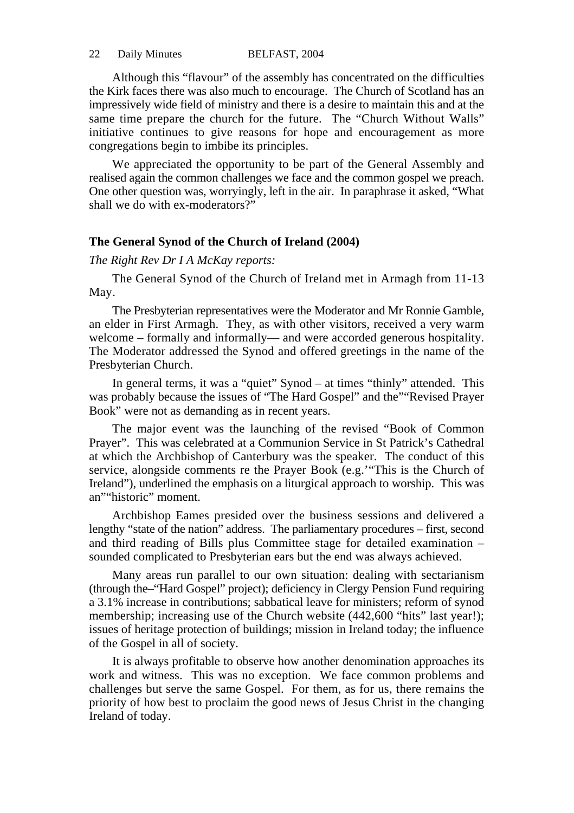Although this "flavour" of the assembly has concentrated on the difficulties the Kirk faces there was also much to encourage. The Church of Scotland has an impressively wide field of ministry and there is a desire to maintain this and at the same time prepare the church for the future. The "Church Without Walls" initiative continues to give reasons for hope and encouragement as more congregations begin to imbibe its principles.

We appreciated the opportunity to be part of the General Assembly and realised again the common challenges we face and the common gospel we preach. One other question was, worryingly, left in the air. In paraphrase it asked, "What shall we do with ex-moderators?"

#### **The General Synod of the Church of Ireland (2004)**

*The Right Rev Dr I A McKay reports:*

The General Synod of the Church of Ireland met in Armagh from 11-13 May.

The Presbyterian representatives were the Moderator and Mr Ronnie Gamble, an elder in First Armagh. They, as with other visitors, received a very warm welcome – formally and informally— and were accorded generous hospitality. The Moderator addressed the Synod and offered greetings in the name of the Presbyterian Church.

In general terms, it was a "quiet" Synod – at times "thinly" attended. This was probably because the issues of "The Hard Gospel" and the ""Revised Prayer" Book" were not as demanding as in recent years.

The major event was the launching of the revised "Book of Common Prayer". This was celebrated at a Communion Service in St Patrick's Cathedral at which the Archbishop of Canterbury was the speaker. The conduct of this service, alongside comments re the Prayer Book (e.g.'"This is the Church of Ireland"), underlined the emphasis on a liturgical approach to worship. This was an""historic" moment.

Archbishop Eames presided over the business sessions and delivered a lengthy "state of the nation" address. The parliamentary procedures – first, second and third reading of Bills plus Committee stage for detailed examination – sounded complicated to Presbyterian ears but the end was always achieved.

Many areas run parallel to our own situation: dealing with sectarianism (through the–"Hard Gospel" project); deficiency in Clergy Pension Fund requiring a 3.1% increase in contributions; sabbatical leave for ministers; reform of synod membership; increasing use of the Church website (442,600 "hits" last year!); issues of heritage protection of buildings; mission in Ireland today; the influence of the Gospel in all of society.

It is always profitable to observe how another denomination approaches its work and witness. This was no exception. We face common problems and challenges but serve the same Gospel. For them, as for us, there remains the priority of how best to proclaim the good news of Jesus Christ in the changing Ireland of today.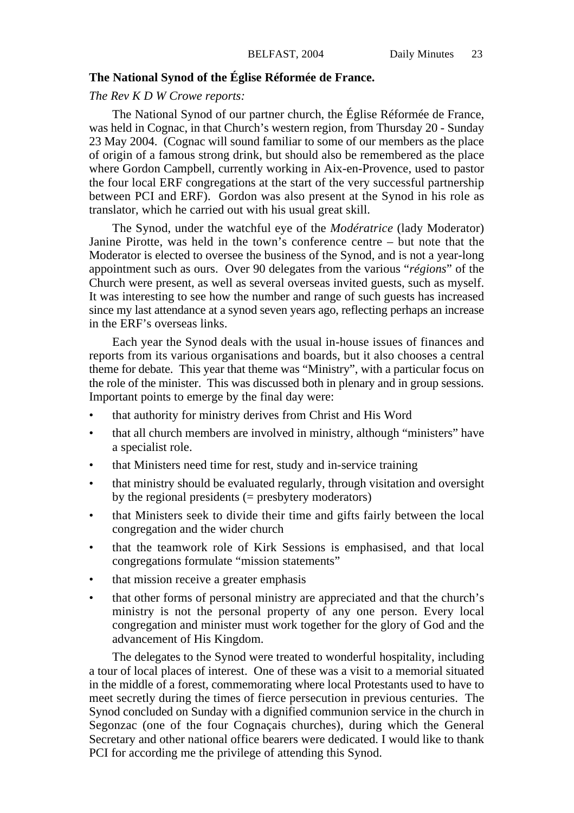### **The National Synod of the Église Réformée de France.**

#### *The Rev K D W Crowe reports:*

The National Synod of our partner church, the Église Réformée de France, was held in Cognac, in that Church's western region, from Thursday 20 - Sunday 23 May 2004. (Cognac will sound familiar to some of our members as the place of origin of a famous strong drink, but should also be remembered as the place where Gordon Campbell, currently working in Aix-en-Provence, used to pastor the four local ERF congregations at the start of the very successful partnership between PCI and ERF). Gordon was also present at the Synod in his role as translator, which he carried out with his usual great skill.

The Synod, under the watchful eye of the *Modératrice* (lady Moderator) Janine Pirotte, was held in the town's conference centre – but note that the Moderator is elected to oversee the business of the Synod, and is not a year-long appointment such as ours. Over 90 delegates from the various "*régions*" of the Church were present, as well as several overseas invited guests, such as myself. It was interesting to see how the number and range of such guests has increased since my last attendance at a synod seven years ago, reflecting perhaps an increase in the ERF's overseas links.

Each year the Synod deals with the usual in-house issues of finances and reports from its various organisations and boards, but it also chooses a central theme for debate. This year that theme was "Ministry", with a particular focus on the role of the minister. This was discussed both in plenary and in group sessions. Important points to emerge by the final day were:

- that authority for ministry derives from Christ and His Word
- that all church members are involved in ministry, although "ministers" have a specialist role.
- that Ministers need time for rest, study and in-service training
- that ministry should be evaluated regularly, through visitation and oversight by the regional presidents  $(=$  presbytery moderators)
- that Ministers seek to divide their time and gifts fairly between the local congregation and the wider church
- that the teamwork role of Kirk Sessions is emphasised, and that local congregations formulate "mission statements"
- that mission receive a greater emphasis
- that other forms of personal ministry are appreciated and that the church's ministry is not the personal property of any one person. Every local congregation and minister must work together for the glory of God and the advancement of His Kingdom.

The delegates to the Synod were treated to wonderful hospitality, including a tour of local places of interest. One of these was a visit to a memorial situated in the middle of a forest, commemorating where local Protestants used to have to meet secretly during the times of fierce persecution in previous centuries. The Synod concluded on Sunday with a dignified communion service in the church in Segonzac (one of the four Cognaçais churches), during which the General Secretary and other national office bearers were dedicated. I would like to thank PCI for according me the privilege of attending this Synod.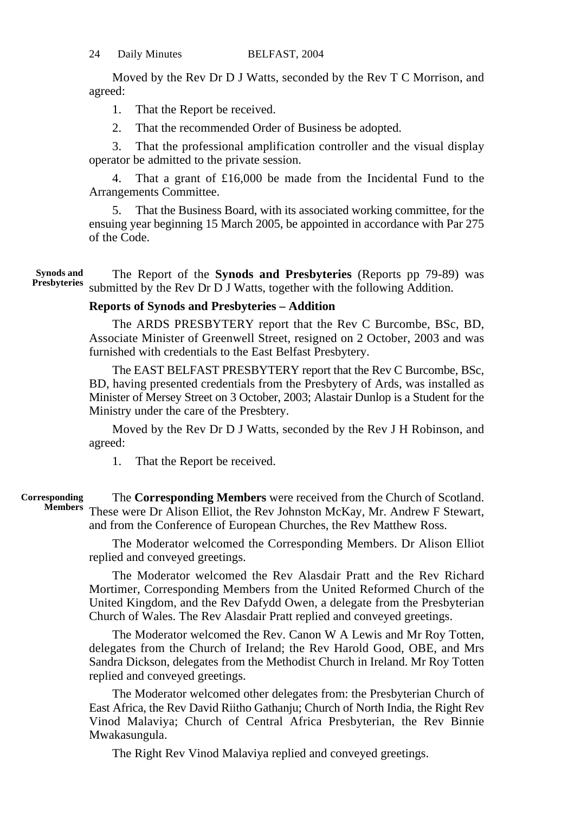Moved by the Rev Dr D J Watts, seconded by the Rev T C Morrison, and agreed:

1. That the Report be received.

2. That the recommended Order of Business be adopted.

3. That the professional amplification controller and the visual display operator be admitted to the private session.

4. That a grant of £16,000 be made from the Incidental Fund to the Arrangements Committee.

5. That the Business Board, with its associated working committee, for the ensuing year beginning 15 March 2005, be appointed in accordance with Par 275 of the Code.

The Report of the **Synods and Presbyteries** (Reports pp 79-89) was submitted by the Rev Dr D J Watts, together with the following Addition. **Synods and Presbyteries**

#### **Reports of Synods and Presbyteries – Addition**

The ARDS PRESBYTERY report that the Rev C Burcombe, BSc, BD, Associate Minister of Greenwell Street, resigned on 2 October, 2003 and was furnished with credentials to the East Belfast Presbytery.

The EAST BELFAST PRESBYTERY report that the Rev C Burcombe, BSc, BD, having presented credentials from the Presbytery of Ards, was installed as Minister of Mersey Street on 3 October, 2003; Alastair Dunlop is a Student for the Ministry under the care of the Presbtery.

Moved by the Rev Dr D J Watts, seconded by the Rev J H Robinson, and agreed:

1. That the Report be received.

The **Corresponding Members** were received from the Church of Scotland. These were Dr Alison Elliot, the Rev Johnston McKay, Mr. Andrew F Stewart, and from the Conference of European Churches, the Rev Matthew Ross. **Corresponding Members**

> The Moderator welcomed the Corresponding Members. Dr Alison Elliot replied and conveyed greetings.

> The Moderator welcomed the Rev Alasdair Pratt and the Rev Richard Mortimer, Corresponding Members from the United Reformed Church of the United Kingdom, and the Rev Dafydd Owen, a delegate from the Presbyterian Church of Wales. The Rev Alasdair Pratt replied and conveyed greetings.

> The Moderator welcomed the Rev. Canon W A Lewis and Mr Roy Totten, delegates from the Church of Ireland; the Rev Harold Good, OBE, and Mrs Sandra Dickson, delegates from the Methodist Church in Ireland. Mr Roy Totten replied and conveyed greetings.

> The Moderator welcomed other delegates from: the Presbyterian Church of East Africa, the Rev David Riitho Gathanju; Church of North India, the Right Rev Vinod Malaviya; Church of Central Africa Presbyterian, the Rev Binnie Mwakasungula.

The Right Rev Vinod Malaviya replied and conveyed greetings.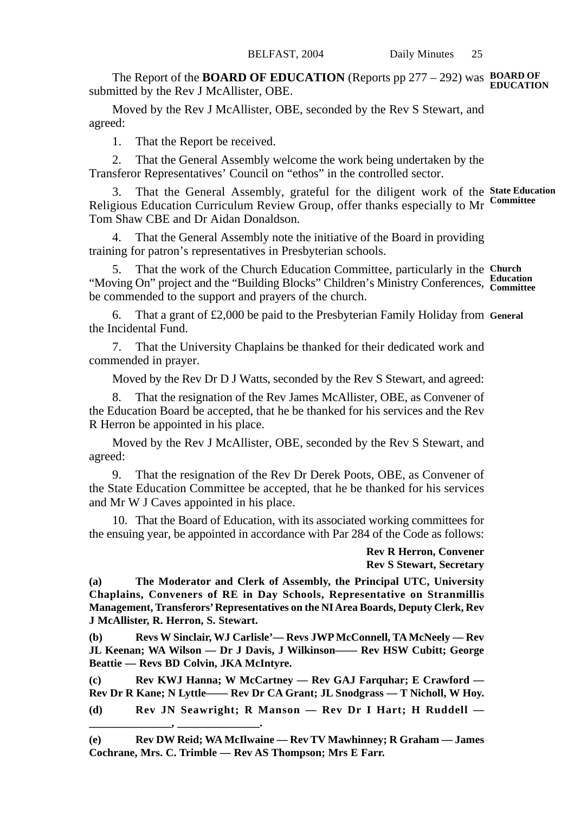The Report of the **BOARD OF EDUCATION** (Reports pp 277 – 292) was **BOARD OF EDUCATION** submitted by the Rev J McAllister, OBE.

Moved by the Rev J McAllister, OBE, seconded by the Rev S Stewart, and agreed:

1. That the Report be received.

2. That the General Assembly welcome the work being undertaken by the Transferor Representatives' Council on "ethos" in the controlled sector.

3. That the General Assembly, grateful for the diligent work of the **State Education** Religious Education Curriculum Review Group, offer thanks especially to Mr **Committee** Tom Shaw CBE and Dr Aidan Donaldson.

4. That the General Assembly note the initiative of the Board in providing training for patron's representatives in Presbyterian schools.

5. That the work of the Church Education Committee, particularly in the **Church** "Moving On" project and the "Building Blocks" Children's Ministry Conferences, **Education Committee** be commended to the support and prayers of the church.

6. That a grant of £2,000 be paid to the Presbyterian Family Holiday from **General**the Incidental Fund.

7. That the University Chaplains be thanked for their dedicated work and commended in prayer.

Moved by the Rev Dr D J Watts, seconded by the Rev S Stewart, and agreed:

8. That the resignation of the Rev James McAllister, OBE, as Convener of the Education Board be accepted, that he be thanked for his services and the Rev R Herron be appointed in his place.

Moved by the Rev J McAllister, OBE, seconded by the Rev S Stewart, and agreed:

9. That the resignation of the Rev Dr Derek Poots, OBE, as Convener of the State Education Committee be accepted, that he be thanked for his services and Mr W J Caves appointed in his place.

10. That the Board of Education, with its associated working committees for the ensuing year, be appointed in accordance with Par 284 of the Code as follows:

#### **Rev R Herron, Convener Rev S Stewart, Secretary**

**(a) The Moderator and Clerk of Assembly, the Principal UTC, University Chaplains, Conveners of RE in Day Schools, Representative on Stranmillis Management, Transferors' Representatives on the NI Area Boards, Deputy Clerk, Rev J McAllister, R. Herron, S. Stewart.**

**(b) Revs W Sinclair, WJ Carlisle'— Revs JWP McConnell, TA McNeely — Rev JL Keenan; WA Wilson — Dr J Davis, J Wilkinson—— Rev HSW Cubitt; George Beattie — Revs BD Colvin, JKA McIntyre.**

**(c) Rev KWJ Hanna; W McCartney — Rev GAJ Farquhar; E Crawford — Rev Dr R Kane; N Lyttle—— Rev Dr CA Grant; JL Snodgrass — T Nicholl, W Hoy.**

**(d) Rev JN Seawright; R Manson — Rev Dr I Hart; H Ruddell —**

**\_\_\_\_\_\_\_\_\_\_\_\_\_\_\_, \_\_\_\_\_\_\_\_\_\_\_\_\_\_\_.**

**<sup>(</sup>e) Rev DW Reid; WA McIlwaine — Rev TV Mawhinney; R Graham — James Cochrane, Mrs. C. Trimble — Rev AS Thompson; Mrs E Farr.**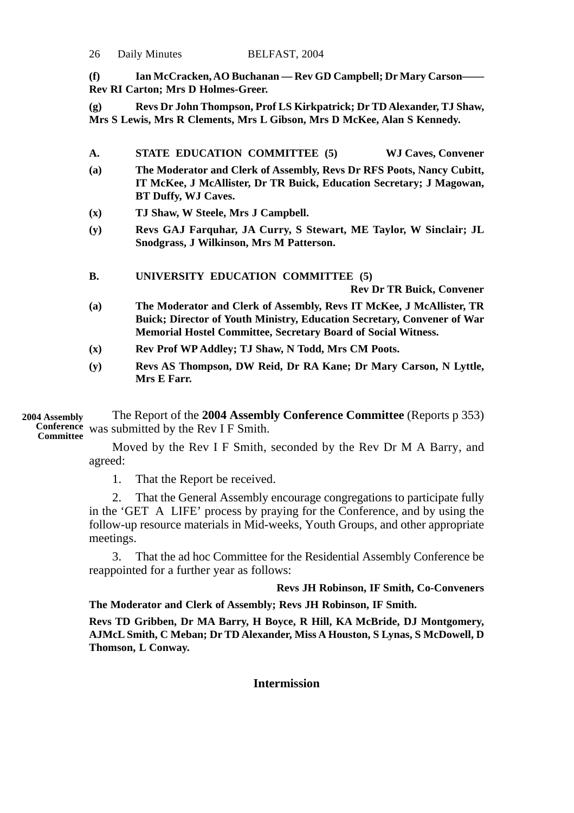| 26 | Daily Minutes | BELFAST, 2004 |
|----|---------------|---------------|
|----|---------------|---------------|

**(f) Ian McCracken, AO Buchanan — Rev GD Campbell; Dr Mary Carson—— Rev RI Carton; Mrs D Holmes-Greer.**

**(g) Revs Dr John Thompson, Prof LS Kirkpatrick; Dr TD Alexander, TJ Shaw, Mrs S Lewis, Mrs R Clements, Mrs L Gibson, Mrs D McKee, Alan S Kennedy.**

- **A. STATE EDUCATION COMMITTEE (5) WJ Caves, Convener**
- **(a) The Moderator and Clerk of Assembly, Revs Dr RFS Poots, Nancy Cubitt, IT McKee, J McAllister, Dr TR Buick, Education Secretary; J Magowan, BT Duffy, WJ Caves.**
- **(x) TJ Shaw, W Steele, Mrs J Campbell.**
- **(y) Revs GAJ Farquhar, JA Curry, S Stewart, ME Taylor, W Sinclair; JL Snodgrass, J Wilkinson, Mrs M Patterson.**
- **B. UNIVERSITY EDUCATION COMMITTEE (5)**

**Rev Dr TR Buick, Convener**

- **(a) The Moderator and Clerk of Assembly, Revs IT McKee, J McAllister, TR Buick; Director of Youth Ministry, Education Secretary, Convener of War Memorial Hostel Committee, Secretary Board of Social Witness.**
- **(x) Rev Prof WP Addley; TJ Shaw, N Todd, Mrs CM Poots.**
- **(y) Revs AS Thompson, DW Reid, Dr RA Kane; Dr Mary Carson, N Lyttle, Mrs E Farr.**

The Report of the **2004 Assembly Conference Committee** (Reports p 353) Conference was submitted by the Rev I F Smith. **2004 Assembly Committee**

> Moved by the Rev I F Smith, seconded by the Rev Dr M A Barry, and agreed:

1. That the Report be received.

2. That the General Assembly encourage congregations to participate fully in the 'GET A LIFE' process by praying for the Conference, and by using the follow-up resource materials in Mid-weeks, Youth Groups, and other appropriate meetings.

3. That the ad hoc Committee for the Residential Assembly Conference be reappointed for a further year as follows:

**Revs JH Robinson, IF Smith, Co-Conveners**

**The Moderator and Clerk of Assembly; Revs JH Robinson, IF Smith.**

**Revs TD Gribben, Dr MA Barry, H Boyce, R Hill, KA McBride, DJ Montgomery, AJMcL Smith, C Meban; Dr TD Alexander, Miss A Houston, S Lynas, S McDowell, D Thomson, L Conway.**

**Intermission**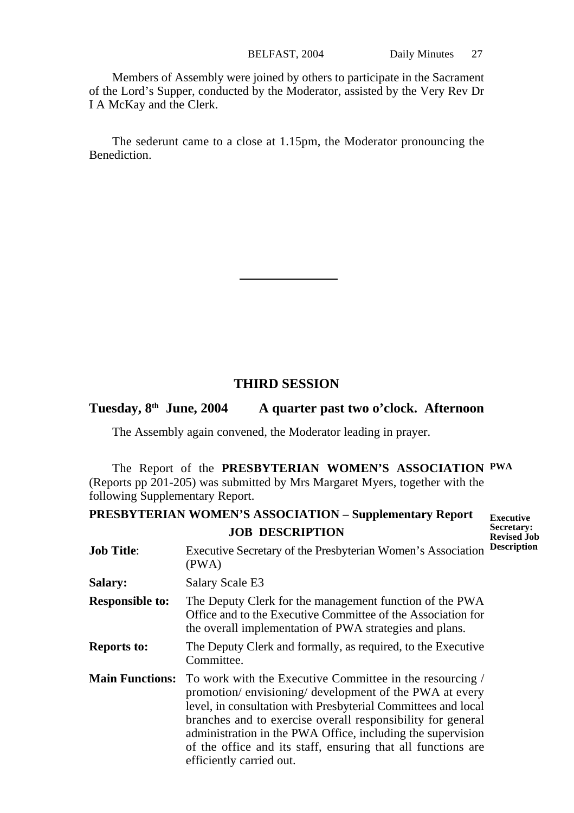Members of Assembly were joined by others to participate in the Sacrament of the Lord's Supper, conducted by the Moderator, assisted by the Very Rev Dr I A McKay and the Clerk.

The sederunt came to a close at 1.15pm, the Moderator pronouncing the Benediction.

#### **THIRD SESSION**

### **Tuesday, 8th June, 2004 A quarter past two o'clock. Afternoon**

The Assembly again convened, the Moderator leading in prayer.

The Report of the **PRESBYTERIAN WOMEN'S ASSOCIATION PWA** (Reports pp 201-205) was submitted by Mrs Margaret Myers, together with the following Supplementary Report.

| PRESBYTERIAN WOMEN'S ASSOCIATION - Supplementary Report<br><b>JOB DESCRIPTION</b>         |                                                                                                                                                                                                                                                                                                                                                                                                              |                                          |
|-------------------------------------------------------------------------------------------|--------------------------------------------------------------------------------------------------------------------------------------------------------------------------------------------------------------------------------------------------------------------------------------------------------------------------------------------------------------------------------------------------------------|------------------------------------------|
| Executive Secretary of the Presbyterian Women's Association<br><b>Job Title:</b><br>(PWA) |                                                                                                                                                                                                                                                                                                                                                                                                              | <b>Revised Job</b><br><b>Description</b> |
| Salary:                                                                                   | Salary Scale E3                                                                                                                                                                                                                                                                                                                                                                                              |                                          |
| <b>Responsible to:</b>                                                                    | The Deputy Clerk for the management function of the PWA<br>Office and to the Executive Committee of the Association for<br>the overall implementation of PWA strategies and plans.                                                                                                                                                                                                                           |                                          |
| <b>Reports to:</b>                                                                        | The Deputy Clerk and formally, as required, to the Executive<br>Committee.                                                                                                                                                                                                                                                                                                                                   |                                          |
| <b>Main Functions:</b>                                                                    | To work with the Executive Committee in the resourcing /<br>promotion/envisioning/development of the PWA at every<br>level, in consultation with Presbyterial Committees and local<br>branches and to exercise overall responsibility for general<br>administration in the PWA Office, including the supervision<br>of the office and its staff, ensuring that all functions are<br>efficiently carried out. |                                          |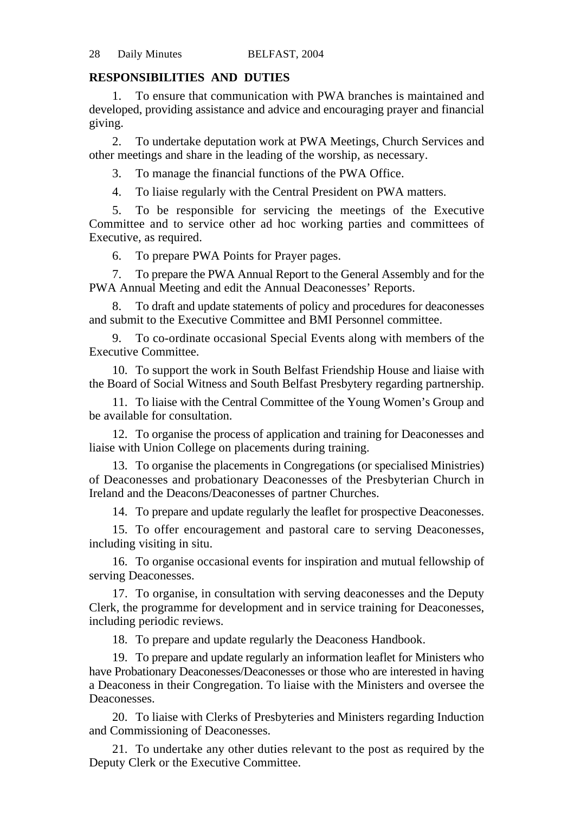#### **RESPONSIBILITIES AND DUTIES**

1. To ensure that communication with PWA branches is maintained and developed, providing assistance and advice and encouraging prayer and financial giving.

2. To undertake deputation work at PWA Meetings, Church Services and other meetings and share in the leading of the worship, as necessary.

3. To manage the financial functions of the PWA Office.

4. To liaise regularly with the Central President on PWA matters.

5. To be responsible for servicing the meetings of the Executive Committee and to service other ad hoc working parties and committees of Executive, as required.

6. To prepare PWA Points for Prayer pages.

7. To prepare the PWA Annual Report to the General Assembly and for the PWA Annual Meeting and edit the Annual Deaconesses' Reports.

8. To draft and update statements of policy and procedures for deaconesses and submit to the Executive Committee and BMI Personnel committee.

9. To co-ordinate occasional Special Events along with members of the Executive Committee.

10. To support the work in South Belfast Friendship House and liaise with the Board of Social Witness and South Belfast Presbytery regarding partnership.

11. To liaise with the Central Committee of the Young Women's Group and be available for consultation.

12. To organise the process of application and training for Deaconesses and liaise with Union College on placements during training.

13. To organise the placements in Congregations (or specialised Ministries) of Deaconesses and probationary Deaconesses of the Presbyterian Church in Ireland and the Deacons/Deaconesses of partner Churches.

14. To prepare and update regularly the leaflet for prospective Deaconesses.

15. To offer encouragement and pastoral care to serving Deaconesses, including visiting in situ.

16. To organise occasional events for inspiration and mutual fellowship of serving Deaconesses.

17. To organise, in consultation with serving deaconesses and the Deputy Clerk, the programme for development and in service training for Deaconesses, including periodic reviews.

18. To prepare and update regularly the Deaconess Handbook.

19. To prepare and update regularly an information leaflet for Ministers who have Probationary Deaconesses/Deaconesses or those who are interested in having a Deaconess in their Congregation. To liaise with the Ministers and oversee the Deaconesses.

20. To liaise with Clerks of Presbyteries and Ministers regarding Induction and Commissioning of Deaconesses.

21. To undertake any other duties relevant to the post as required by the Deputy Clerk or the Executive Committee.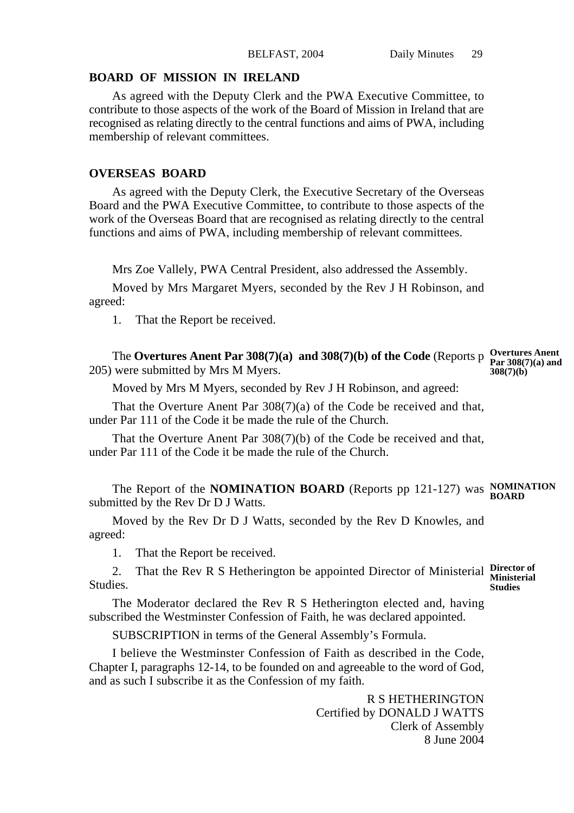#### **BOARD OF MISSION IN IRELAND**

As agreed with the Deputy Clerk and the PWA Executive Committee, to contribute to those aspects of the work of the Board of Mission in Ireland that are recognised as relating directly to the central functions and aims of PWA, including membership of relevant committees.

#### **OVERSEAS BOARD**

As agreed with the Deputy Clerk, the Executive Secretary of the Overseas Board and the PWA Executive Committee, to contribute to those aspects of the work of the Overseas Board that are recognised as relating directly to the central functions and aims of PWA, including membership of relevant committees.

Mrs Zoe Vallely, PWA Central President, also addressed the Assembly.

Moved by Mrs Margaret Myers, seconded by the Rev J H Robinson, and agreed:

1. That the Report be received.

The **Overtures Anent Par 308(7)(a) and 308(7)(b) of the Code** (Reports p **Overtures Anent Par 308(7)(a) and** 205) were submitted by Mrs M Myers. **308(7)(b)**

Moved by Mrs M Myers, seconded by Rev J H Robinson, and agreed:

That the Overture Anent Par 308(7)(a) of the Code be received and that, under Par 111 of the Code it be made the rule of the Church.

That the Overture Anent Par 308(7)(b) of the Code be received and that, under Par 111 of the Code it be made the rule of the Church.

The Report of the **NOMINATION BOARD** (Reports pp 121-127) was **NOMINATION** submitted by the Rev Dr D J Watts.

Moved by the Rev Dr D J Watts, seconded by the Rev D Knowles, and agreed:

1. That the Report be received.

2. That the Rev R S Hetherington be appointed Director of Ministerial **Director of Ministerial** Studies. **Studies**

The Moderator declared the Rev R S Hetherington elected and, having subscribed the Westminster Confession of Faith, he was declared appointed.

SUBSCRIPTION in terms of the General Assembly's Formula.

I believe the Westminster Confession of Faith as described in the Code, Chapter I, paragraphs 12-14, to be founded on and agreeable to the word of God, and as such I subscribe it as the Confession of my faith.

> R S HETHERINGTON Certified by DONALD J WATTS Clerk of Assembly 8 June 2004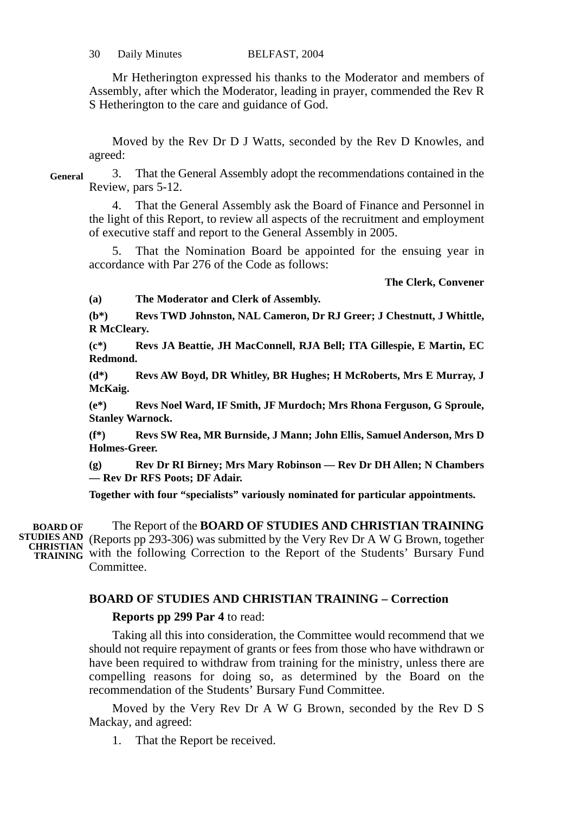| 30<br>Daily Minutes | BELFAST, 2004 |
|---------------------|---------------|
|---------------------|---------------|

Mr Hetherington expressed his thanks to the Moderator and members of Assembly, after which the Moderator, leading in prayer, commended the Rev R S Hetherington to the care and guidance of God.

Moved by the Rev Dr D J Watts, seconded by the Rev D Knowles, and agreed:

3. That the General Assembly adopt the recommendations contained in the Review, pars 5-12. **General**

4. That the General Assembly ask the Board of Finance and Personnel in the light of this Report, to review all aspects of the recruitment and employment of executive staff and report to the General Assembly in 2005.

5. That the Nomination Board be appointed for the ensuing year in accordance with Par 276 of the Code as follows:

#### **The Clerk, Convener**

**(a) The Moderator and Clerk of Assembly.**

**(b\*) Revs TWD Johnston, NAL Cameron, Dr RJ Greer; J Chestnutt, J Whittle, R McCleary.**

**(c\*) Revs JA Beattie, JH MacConnell, RJA Bell; ITA Gillespie, E Martin, EC Redmond.**

**(d\*) Revs AW Boyd, DR Whitley, BR Hughes; H McRoberts, Mrs E Murray, J McKaig.**

**(e\*) Revs Noel Ward, IF Smith, JF Murdoch; Mrs Rhona Ferguson, G Sproule, Stanley Warnock.**

**(f\*) Revs SW Rea, MR Burnside, J Mann; John Ellis, Samuel Anderson, Mrs D Holmes-Greer.**

**(g) Rev Dr RI Birney; Mrs Mary Robinson — Rev Dr DH Allen; N Chambers — Rev Dr RFS Poots; DF Adair.**

**Together with four "specialists" variously nominated for particular appointments.**

The Report of the **BOARD OF STUDIES AND CHRISTIAN TRAINING STUDIES AND** (Reports pp 293-306) was submitted by the Very Rev Dr A W G Brown, together **TRAINING** with the following Correction to the Report of the Students' Bursary Fund Committee. **BOARD OF CHRISTIAN**

#### **BOARD OF STUDIES AND CHRISTIAN TRAINING – Correction**

#### **Reports pp 299 Par 4** to read:

Taking all this into consideration, the Committee would recommend that we should not require repayment of grants or fees from those who have withdrawn or have been required to withdraw from training for the ministry, unless there are compelling reasons for doing so, as determined by the Board on the recommendation of the Students' Bursary Fund Committee.

Moved by the Very Rev Dr A W G Brown, seconded by the Rev D S Mackay, and agreed:

1. That the Report be received.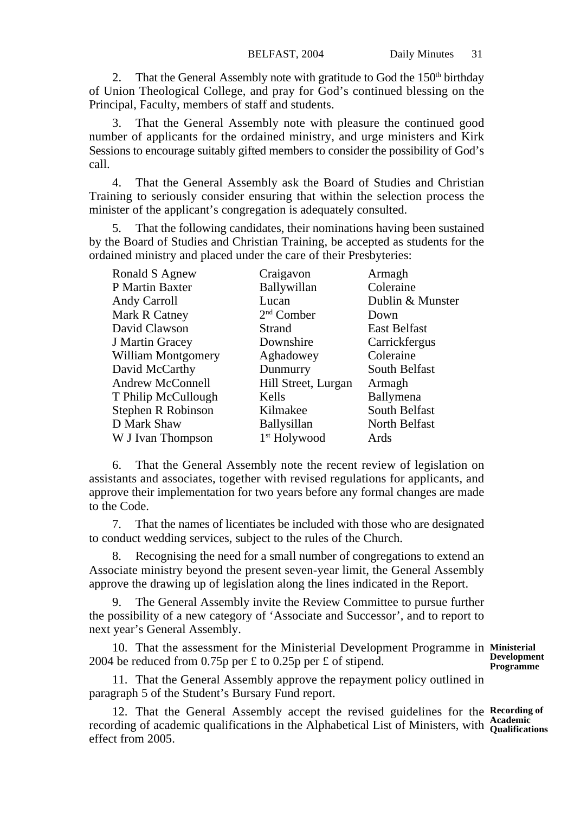2. That the General Assembly note with gratitude to God the  $150<sup>th</sup>$  birthday of Union Theological College, and pray for God's continued blessing on the Principal, Faculty, members of staff and students.

That the General Assembly note with pleasure the continued good number of applicants for the ordained ministry, and urge ministers and Kirk Sessions to encourage suitably gifted members to consider the possibility of God's call.

4. That the General Assembly ask the Board of Studies and Christian Training to seriously consider ensuring that within the selection process the minister of the applicant's congregation is adequately consulted.

5. That the following candidates, their nominations having been sustained by the Board of Studies and Christian Training, be accepted as students for the ordained ministry and placed under the care of their Presbyteries:

| Ronald S Agnew          | Craigavon                | Armagh              |
|-------------------------|--------------------------|---------------------|
| P Martin Baxter         | Ballywillan              | Coleraine           |
| Andy Carroll            | Lucan                    | Dublin & Munster    |
| Mark R Catney           | $2nd$ Comber             | Down                |
| David Clawson           | Strand                   | <b>East Belfast</b> |
| J Martin Gracey         | Downshire                | Carrickfergus       |
| William Montgomery      | Aghadowey                | Coleraine           |
| David McCarthy          | Dunmurry                 | South Belfast       |
| <b>Andrew McConnell</b> | Hill Street, Lurgan      | Armagh              |
| T Philip McCullough     | Kells                    | Ballymena           |
| Stephen R Robinson      | Kilmakee                 | South Belfast       |
| D Mark Shaw             | <b>Ballysillan</b>       | North Belfast       |
| W J Ivan Thompson       | 1 <sup>st</sup> Holywood | Ards                |

6. That the General Assembly note the recent review of legislation on assistants and associates, together with revised regulations for applicants, and approve their implementation for two years before any formal changes are made to the Code.

7. That the names of licentiates be included with those who are designated to conduct wedding services, subject to the rules of the Church.

8. Recognising the need for a small number of congregations to extend an Associate ministry beyond the present seven-year limit, the General Assembly approve the drawing up of legislation along the lines indicated in the Report.

The General Assembly invite the Review Committee to pursue further the possibility of a new category of 'Associate and Successor', and to report to next year's General Assembly.

10. That the assessment for the Ministerial Development Programme in **Ministerial** 2004 be reduced from 0.75p per £ to 0.25p per £ of stipend.

**Development Programme**

11. That the General Assembly approve the repayment policy outlined in paragraph 5 of the Student's Bursary Fund report.

12. That the General Assembly accept the revised guidelines for the **Recording of PERTOR OF ACADEMIC SERVICE SUBSERVIEWS** THE CONSUMERTED ACADEMIC Academic recording of academic qualifications in the Alphabetical List of Ministers, with Qualifications effect from 2005.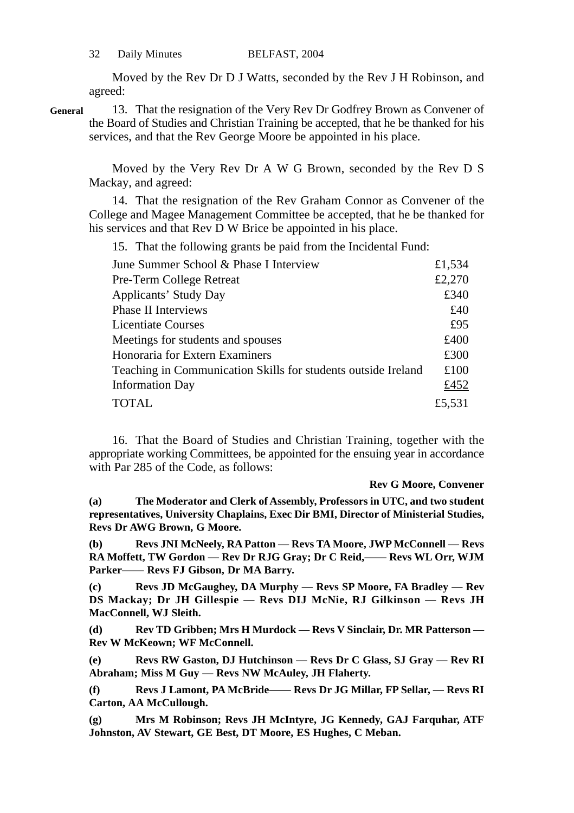Moved by the Rev Dr D J Watts, seconded by the Rev J H Robinson, and agreed:

13. That the resignation of the Very Rev Dr Godfrey Brown as Convener of the Board of Studies and Christian Training be accepted, that he be thanked for his services, and that the Rev George Moore be appointed in his place. **General**

Moved by the Very Rev Dr A W G Brown, seconded by the Rev D S Mackay, and agreed:

14. That the resignation of the Rev Graham Connor as Convener of the College and Magee Management Committee be accepted, that he be thanked for his services and that Rev D W Brice be appointed in his place.

15. That the following grants be paid from the Incidental Fund:

| June Summer School & Phase I Interview                        | £1,534 |
|---------------------------------------------------------------|--------|
| Pre-Term College Retreat                                      | £2,270 |
| Applicants' Study Day                                         | £340   |
| Phase II Interviews                                           | £40    |
| <b>Licentiate Courses</b>                                     | £95    |
| Meetings for students and spouses                             | £400   |
| Honoraria for Extern Examiners                                | £300   |
| Teaching in Communication Skills for students outside Ireland | £100   |
| <b>Information Day</b>                                        | £452   |
| <b>TOTAL</b>                                                  | £5.531 |

16. That the Board of Studies and Christian Training, together with the appropriate working Committees, be appointed for the ensuing year in accordance with Par 285 of the Code, as follows:

#### **Rev G Moore, Convener**

**(a) The Moderator and Clerk of Assembly, Professors in UTC, and two student representatives, University Chaplains, Exec Dir BMI, Director of Ministerial Studies, Revs Dr AWG Brown, G Moore.**

**(b) Revs JNI McNeely, RA Patton — Revs TA Moore, JWP McConnell — Revs RA Moffett, TW Gordon — Rev Dr RJG Gray; Dr C Reid,—— Revs WL Orr, WJM Parker—— Revs FJ Gibson, Dr MA Barry.**

**(c) Revs JD McGaughey, DA Murphy — Revs SP Moore, FA Bradley — Rev DS Mackay; Dr JH Gillespie — Revs DIJ McNie, RJ Gilkinson — Revs JH MacConnell, WJ Sleith.**

**(d) Rev TD Gribben; Mrs H Murdock — Revs V Sinclair, Dr. MR Patterson — Rev W McKeown; WF McConnell.**

**(e) Revs RW Gaston, DJ Hutchinson — Revs Dr C Glass, SJ Gray — Rev RI Abraham; Miss M Guy — Revs NW McAuley, JH Flaherty.**

**(f) Revs J Lamont, PA McBride—— Revs Dr JG Millar, FP Sellar, — Revs RI Carton, AA McCullough.**

**(g) Mrs M Robinson; Revs JH McIntyre, JG Kennedy, GAJ Farquhar, ATF Johnston, AV Stewart, GE Best, DT Moore, ES Hughes, C Meban.**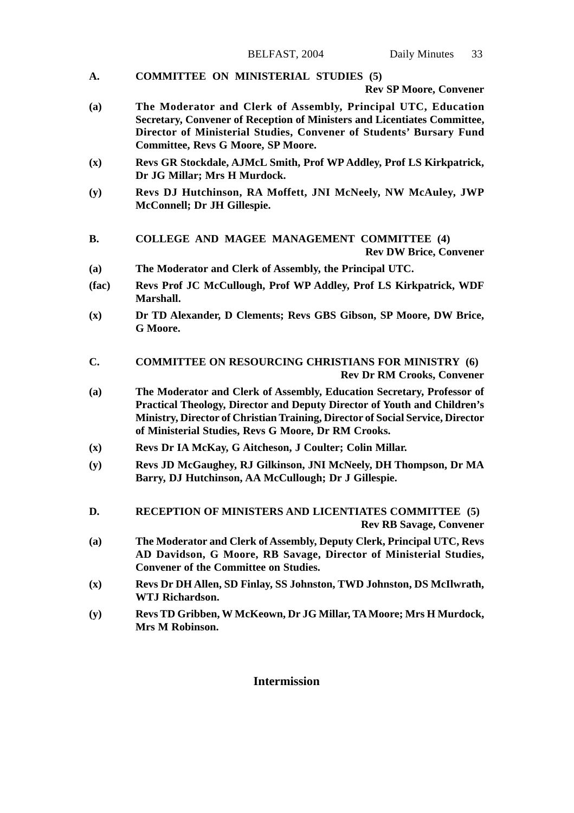**A. COMMITTEE ON MINISTERIAL STUDIES (5)**

**Rev SP Moore, Convener**

- **(a) The Moderator and Clerk of Assembly, Principal UTC, Education Secretary, Convener of Reception of Ministers and Licentiates Committee, Director of Ministerial Studies, Convener of Students' Bursary Fund Committee, Revs G Moore, SP Moore.**
- **(x) Revs GR Stockdale, AJMcL Smith, Prof WP Addley, Prof LS Kirkpatrick, Dr JG Millar; Mrs H Murdock.**
- **(y) Revs DJ Hutchinson, RA Moffett, JNI McNeely, NW McAuley, JWP McConnell; Dr JH Gillespie.**
- **B. COLLEGE AND MAGEE MANAGEMENT COMMITTEE (4) Rev DW Brice, Convener**
- **(a) The Moderator and Clerk of Assembly, the Principal UTC.**
- **(fac) Revs Prof JC McCullough, Prof WP Addley, Prof LS Kirkpatrick, WDF Marshall.**
- **(x) Dr TD Alexander, D Clements; Revs GBS Gibson, SP Moore, DW Brice, G Moore.**
- **C. COMMITTEE ON RESOURCING CHRISTIANS FOR MINISTRY (6) Rev Dr RM Crooks, Convener**
- **(a) The Moderator and Clerk of Assembly, Education Secretary, Professor of Practical Theology, Director and Deputy Director of Youth and Children's Ministry, Director of Christian Training, Director of Social Service, Director of Ministerial Studies, Revs G Moore, Dr RM Crooks.**
- **(x) Revs Dr IA McKay, G Aitcheson, J Coulter; Colin Millar.**
- **(y) Revs JD McGaughey, RJ Gilkinson, JNI McNeely, DH Thompson, Dr MA Barry, DJ Hutchinson, AA McCullough; Dr J Gillespie.**
- **D. RECEPTION OF MINISTERS AND LICENTIATES COMMITTEE (5) Rev RB Savage, Convener**
- **(a) The Moderator and Clerk of Assembly, Deputy Clerk, Principal UTC, Revs AD Davidson, G Moore, RB Savage, Director of Ministerial Studies, Convener of the Committee on Studies.**
- **(x) Revs Dr DH Allen, SD Finlay, SS Johnston, TWD Johnston, DS McIlwrath, WTJ Richardson.**
- **(y) Revs TD Gribben, W McKeown, Dr JG Millar, TA Moore; Mrs H Murdock, Mrs M Robinson.**

#### **Intermission**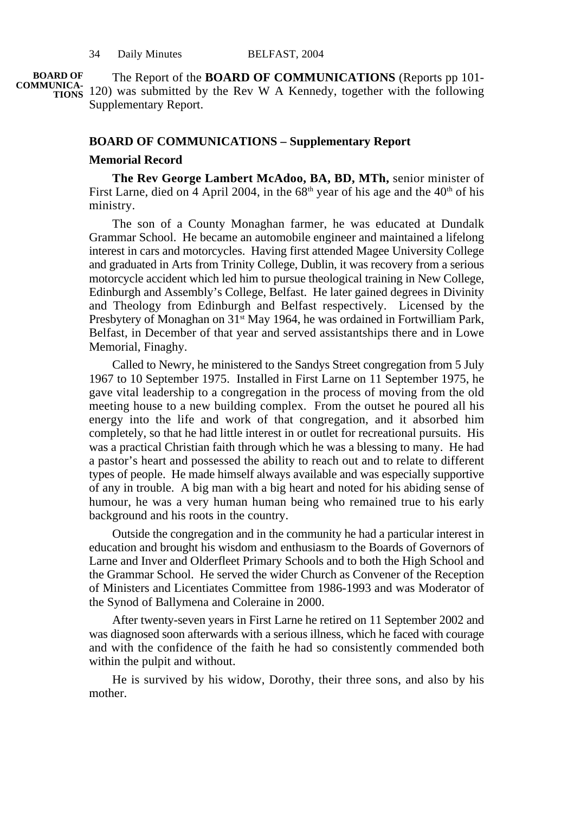The Report of the **BOARD OF COMMUNICATIONS** (Reports pp 101- 120) was submitted by the Rev W A Kennedy, together with the following **TIONS**Supplementary Report. **BOARD OF COMMUNICA-**

#### **BOARD OF COMMUNICATIONS – Supplementary Report**

#### **Memorial Record**

**The Rev George Lambert McAdoo, BA, BD, MTh,** senior minister of First Larne, died on 4 April 2004, in the  $68<sup>th</sup>$  year of his age and the  $40<sup>th</sup>$  of his ministry.

The son of a County Monaghan farmer, he was educated at Dundalk Grammar School. He became an automobile engineer and maintained a lifelong interest in cars and motorcycles. Having first attended Magee University College and graduated in Arts from Trinity College, Dublin, it was recovery from a serious motorcycle accident which led him to pursue theological training in New College, Edinburgh and Assembly's College, Belfast. He later gained degrees in Divinity and Theology from Edinburgh and Belfast respectively. Licensed by the Presbytery of Monaghan on  $31^{st}$  May 1964, he was ordained in Fortwilliam Park, Belfast, in December of that year and served assistantships there and in Lowe Memorial, Finaghy.

Called to Newry, he ministered to the Sandys Street congregation from 5 July 1967 to 10 September 1975. Installed in First Larne on 11 September 1975, he gave vital leadership to a congregation in the process of moving from the old meeting house to a new building complex. From the outset he poured all his energy into the life and work of that congregation, and it absorbed him completely, so that he had little interest in or outlet for recreational pursuits. His was a practical Christian faith through which he was a blessing to many. He had a pastor's heart and possessed the ability to reach out and to relate to different types of people. He made himself always available and was especially supportive of any in trouble. A big man with a big heart and noted for his abiding sense of humour, he was a very human human being who remained true to his early background and his roots in the country.

Outside the congregation and in the community he had a particular interest in education and brought his wisdom and enthusiasm to the Boards of Governors of Larne and Inver and Olderfleet Primary Schools and to both the High School and the Grammar School. He served the wider Church as Convener of the Reception of Ministers and Licentiates Committee from 1986-1993 and was Moderator of the Synod of Ballymena and Coleraine in 2000.

After twenty-seven years in First Larne he retired on 11 September 2002 and was diagnosed soon afterwards with a serious illness, which he faced with courage and with the confidence of the faith he had so consistently commended both within the pulpit and without.

He is survived by his widow, Dorothy, their three sons, and also by his mother.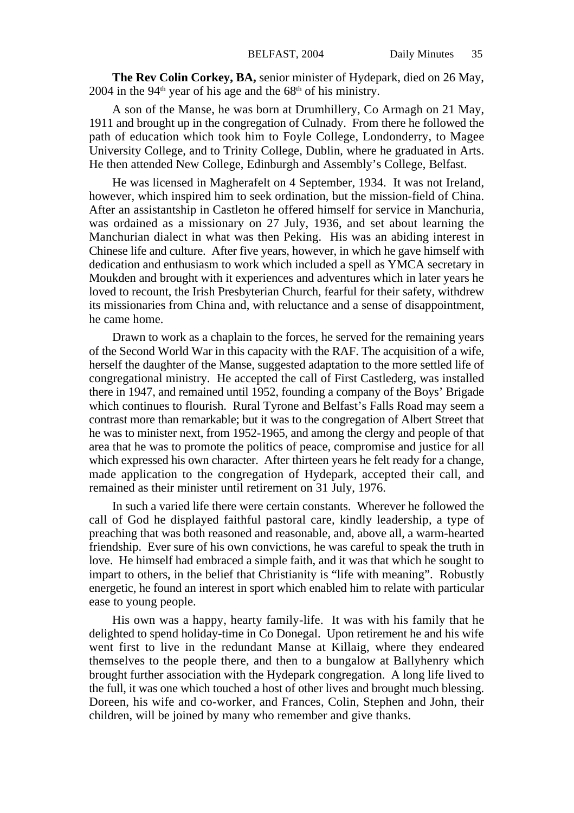**The Rev Colin Corkey, BA,** senior minister of Hydepark, died on 26 May, 2004 in the 94<sup>th</sup> year of his age and the  $68<sup>th</sup>$  of his ministry.

A son of the Manse, he was born at Drumhillery, Co Armagh on 21 May, 1911 and brought up in the congregation of Culnady. From there he followed the path of education which took him to Foyle College, Londonderry, to Magee University College, and to Trinity College, Dublin, where he graduated in Arts. He then attended New College, Edinburgh and Assembly's College, Belfast.

He was licensed in Magherafelt on 4 September, 1934. It was not Ireland, however, which inspired him to seek ordination, but the mission-field of China. After an assistantship in Castleton he offered himself for service in Manchuria, was ordained as a missionary on 27 July, 1936, and set about learning the Manchurian dialect in what was then Peking. His was an abiding interest in Chinese life and culture. After five years, however, in which he gave himself with dedication and enthusiasm to work which included a spell as YMCA secretary in Moukden and brought with it experiences and adventures which in later years he loved to recount, the Irish Presbyterian Church, fearful for their safety, withdrew its missionaries from China and, with reluctance and a sense of disappointment, he came home.

Drawn to work as a chaplain to the forces, he served for the remaining years of the Second World War in this capacity with the RAF. The acquisition of a wife, herself the daughter of the Manse, suggested adaptation to the more settled life of congregational ministry. He accepted the call of First Castlederg, was installed there in 1947, and remained until 1952, founding a company of the Boys' Brigade which continues to flourish. Rural Tyrone and Belfast's Falls Road may seem a contrast more than remarkable; but it was to the congregation of Albert Street that he was to minister next, from 1952-1965, and among the clergy and people of that area that he was to promote the politics of peace, compromise and justice for all which expressed his own character. After thirteen years he felt ready for a change, made application to the congregation of Hydepark, accepted their call, and remained as their minister until retirement on 31 July, 1976.

In such a varied life there were certain constants. Wherever he followed the call of God he displayed faithful pastoral care, kindly leadership, a type of preaching that was both reasoned and reasonable, and, above all, a warm-hearted friendship. Ever sure of his own convictions, he was careful to speak the truth in love. He himself had embraced a simple faith, and it was that which he sought to impart to others, in the belief that Christianity is "life with meaning". Robustly energetic, he found an interest in sport which enabled him to relate with particular ease to young people.

His own was a happy, hearty family-life. It was with his family that he delighted to spend holiday-time in Co Donegal. Upon retirement he and his wife went first to live in the redundant Manse at Killaig, where they endeared themselves to the people there, and then to a bungalow at Ballyhenry which brought further association with the Hydepark congregation. A long life lived to the full, it was one which touched a host of other lives and brought much blessing. Doreen, his wife and co-worker, and Frances, Colin, Stephen and John, their children, will be joined by many who remember and give thanks.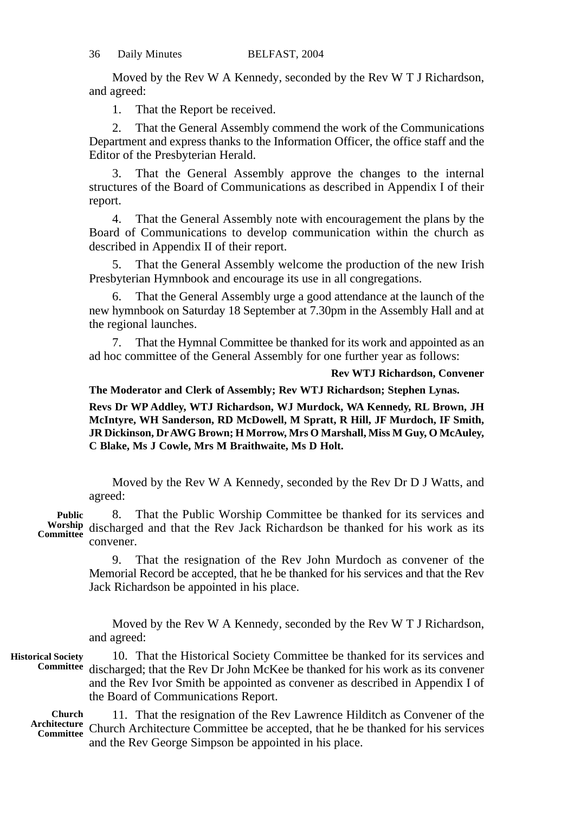Moved by the Rev W A Kennedy, seconded by the Rev W T J Richardson, and agreed:

1. That the Report be received.

2. That the General Assembly commend the work of the Communications Department and express thanks to the Information Officer, the office staff and the Editor of the Presbyterian Herald.

3. That the General Assembly approve the changes to the internal structures of the Board of Communications as described in Appendix I of their report.

4. That the General Assembly note with encouragement the plans by the Board of Communications to develop communication within the church as described in Appendix II of their report.

5. That the General Assembly welcome the production of the new Irish Presbyterian Hymnbook and encourage its use in all congregations.

That the General Assembly urge a good attendance at the launch of the new hymnbook on Saturday 18 September at 7.30pm in the Assembly Hall and at the regional launches.

7. That the Hymnal Committee be thanked for its work and appointed as an ad hoc committee of the General Assembly for one further year as follows:

#### **Rev WTJ Richardson, Convener**

#### **The Moderator and Clerk of Assembly; Rev WTJ Richardson; Stephen Lynas.**

#### **Revs Dr WP Addley, WTJ Richardson, WJ Murdock, WA Kennedy, RL Brown, JH McIntyre, WH Sanderson, RD McDowell, M Spratt, R Hill, JF Murdoch, IF Smith, JR Dickinson, Dr AWG Brown; H Morrow, Mrs O Marshall, Miss M Guy, O McAuley, C Blake, Ms J Cowle, Mrs M Braithwaite, Ms D Holt.**

Moved by the Rev W A Kennedy, seconded by the Rev Dr D J Watts, and agreed:

8. That the Public Worship Committee be thanked for its services and Worship discharged and that the Rev Jack Richardson be thanked for his work as its convener. **Public Committee**

> 9. That the resignation of the Rev John Murdoch as convener of the Memorial Record be accepted, that he be thanked for his services and that the Rev Jack Richardson be appointed in his place.

> Moved by the Rev W A Kennedy, seconded by the Rev W T J Richardson, and agreed:

10. That the Historical Society Committee be thanked for its services and discharged; that the Rev Dr John McKee be thanked for his work as its convener and the Rev Ivor Smith be appointed as convener as described in Appendix I of the Board of Communications Report. **Historical Society Committee**

11. That the resignation of the Rev Lawrence Hilditch as Convener of the Church Architecture Committee be accepted, that he be thanked for his services and the Rev George Simpson be appointed in his place. **Church Architecture Committee**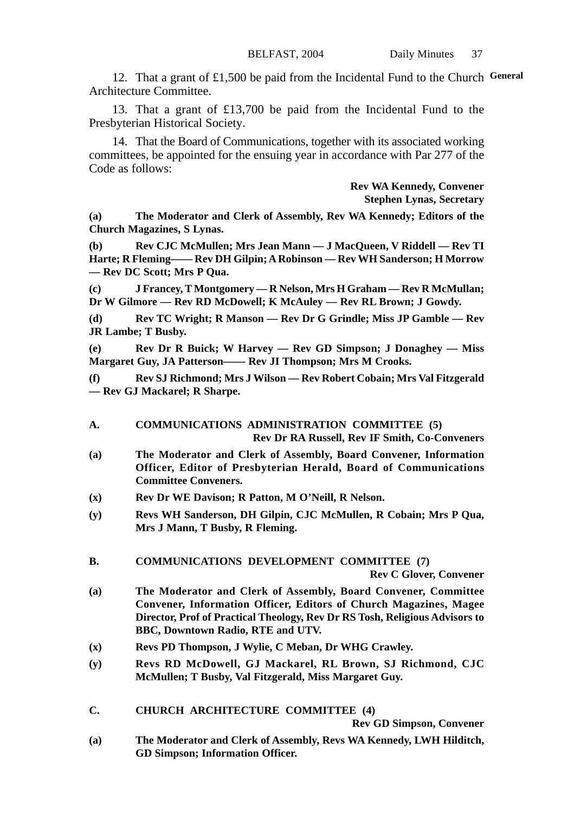12. That a grant of £1,500 be paid from the Incidental Fund to the Church **General**Architecture Committee.

13. That a grant of £13,700 be paid from the Incidental Fund to the Presbyterian Historical Society.

14. That the Board of Communications, together with its associated working committees, be appointed for the ensuing year in accordance with Par 277 of the Code as follows:

> **Rev WA Kennedy, Convener Stephen Lynas, Secretary**

**(a) The Moderator and Clerk of Assembly, Rev WA Kennedy; Editors of the Church Magazines, S Lynas.**

**(b) Rev CJC McMullen; Mrs Jean Mann — J MacQueen, V Riddell — Rev TI Harte; R Fleming—— Rev DH Gilpin; A Robinson — Rev WH Sanderson; H Morrow — Rev DC Scott; Mrs P Qua.**

**(c) J Francey, T Montgomery — R Nelson, Mrs H Graham — Rev R McMullan; Dr W Gilmore — Rev RD McDowell; K McAuley — Rev RL Brown; J Gowdy.**

**(d) Rev TC Wright; R Manson — Rev Dr G Grindle; Miss JP Gamble — Rev JR Lambe; T Busby.**

**(e) Rev Dr R Buick; W Harvey — Rev GD Simpson; J Donaghey — Miss Margaret Guy, JA Patterson—— Rev JI Thompson; Mrs M Crooks.**

**(f) Rev SJ Richmond; Mrs J Wilson — Rev Robert Cobain; Mrs Val Fitzgerald — Rev GJ Mackarel; R Sharpe.**

#### **A. COMMUNICATIONS ADMINISTRATION COMMITTEE (5) Rev Dr RA Russell, Rev IF Smith, Co-Conveners**

- **(a) The Moderator and Clerk of Assembly, Board Convener, Information Officer, Editor of Presbyterian Herald, Board of Communications Committee Conveners.**
- **(x) Rev Dr WE Davison; R Patton, M O'Neill, R Nelson.**
- **(y) Revs WH Sanderson, DH Gilpin, CJC McMullen, R Cobain; Mrs P Qua, Mrs J Mann, T Busby, R Fleming.**

#### **B. COMMUNICATIONS DEVELOPMENT COMMITTEE (7)**

**Rev C Glover, Convener**

- **(a) The Moderator and Clerk of Assembly, Board Convener, Committee Convener, Information Officer, Editors of Church Magazines, Magee Director, Prof of Practical Theology, Rev Dr RS Tosh, Religious Advisors to BBC, Downtown Radio, RTE and UTV.**
- **(x) Revs PD Thompson, J Wylie, C Meban, Dr WHG Crawley.**
- **(y) Revs RD McDowell, GJ Mackarel, RL Brown, SJ Richmond, CJC McMullen; T Busby, Val Fitzgerald, Miss Margaret Guy.**

#### **C. CHURCH ARCHITECTURE COMMITTEE (4)**

**Rev GD Simpson, Convener**

**(a) The Moderator and Clerk of Assembly, Revs WA Kennedy, LWH Hilditch, GD Simpson; Information Officer.**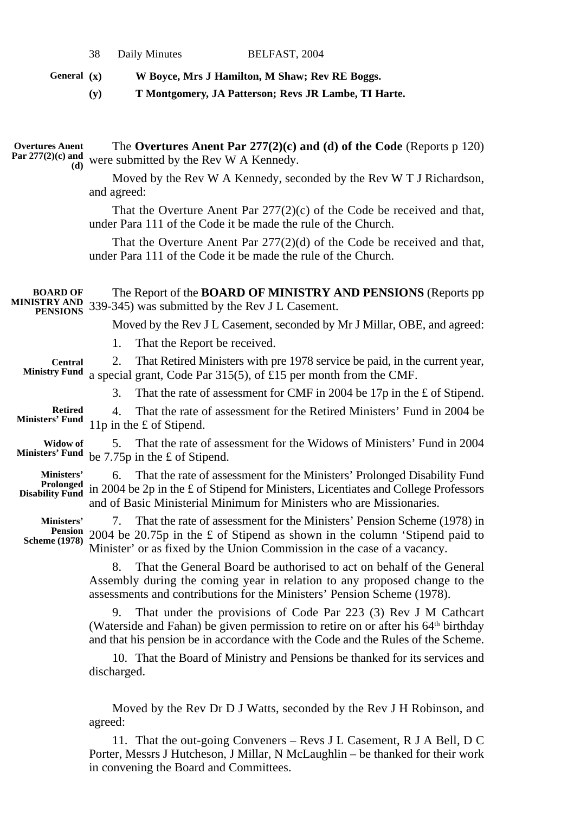**(x) W Boyce, Mrs J Hamilton, M Shaw; Rev RE Boggs.** General (x)

**(y) T Montgomery, JA Patterson; Revs JR Lambe, TI Harte.**

| <b>Overtures Anent</b><br>(d)                             | The Overtures Anent Par $277(2)(c)$ and (d) of the Code (Reports p 120)<br>Par 277(2)(c) and were submitted by the Rev W A Kennedy.                                                                                                                                        |  |  |
|-----------------------------------------------------------|----------------------------------------------------------------------------------------------------------------------------------------------------------------------------------------------------------------------------------------------------------------------------|--|--|
|                                                           | Moved by the Rev W A Kennedy, seconded by the Rev W T J Richardson,<br>and agreed:                                                                                                                                                                                         |  |  |
|                                                           | That the Overture Anent Par $277(2)(c)$ of the Code be received and that,<br>under Para 111 of the Code it be made the rule of the Church.                                                                                                                                 |  |  |
|                                                           | That the Overture Anent Par $277(2)(d)$ of the Code be received and that,<br>under Para 111 of the Code it be made the rule of the Church.                                                                                                                                 |  |  |
| <b>BOARD OF</b><br><b>MINISTRY AND</b><br><b>PENSIONS</b> | The Report of the <b>BOARD OF MINISTRY AND PENSIONS</b> (Reports pp<br>339-345) was submitted by the Rev J L Casement.                                                                                                                                                     |  |  |
|                                                           | Moved by the Rev J L Casement, seconded by Mr J Millar, OBE, and agreed:                                                                                                                                                                                                   |  |  |
|                                                           | That the Report be received.<br>1.                                                                                                                                                                                                                                         |  |  |
| Central                                                   | That Retired Ministers with pre 1978 service be paid, in the current year,<br>2.<br>Ministry Fund a special grant, Code Par 315(5), of £15 per month from the CMF.                                                                                                         |  |  |
|                                                           | That the rate of assessment for CMF in 2004 be $17p$ in the £ of Stipend.<br>3.                                                                                                                                                                                            |  |  |
| <b>Retired</b><br><b>Ministers' Fund</b>                  | 4.<br>That the rate of assessment for the Retired Ministers' Fund in 2004 be<br>11p in the £ of Stipend.                                                                                                                                                                   |  |  |
| Widow of<br><b>Ministers' Fund</b>                        | That the rate of assessment for the Widows of Ministers' Fund in 2004<br>5.<br>be 7.75p in the £ of Stipend.                                                                                                                                                               |  |  |
| Ministers'<br>Prolonged<br><b>Disability Fund</b>         | That the rate of assessment for the Ministers' Prolonged Disability Fund<br>б.<br>in 2004 be 2p in the £ of Stipend for Ministers, Licentiates and College Professors<br>and of Basic Ministerial Minimum for Ministers who are Missionaries.                              |  |  |
| Ministers'<br>Pension<br><b>Scheme</b> (1978)             | That the rate of assessment for the Ministers' Pension Scheme (1978) in<br>$7_{\scriptscriptstyle{\sim}}$<br>2004 be 20.75p in the $\pounds$ of Stipend as shown in the column 'Stipend paid to<br>Minister' or as fixed by the Union Commission in the case of a vacancy. |  |  |
|                                                           | That the General Board be authorised to act on behalf of the General<br>8.<br>Assembly during the coming year in relation to any proposed change to the<br>assessments and contributions for the Ministers' Pension Scheme (1978).                                         |  |  |
|                                                           | That under the provisions of Code Par 223 (3) Rev J M Cathcart<br>9.<br>(Waterside and Fahan) be given permission to retire on or after his 64 <sup>th</sup> birthday<br>and that his pension be in accordance with the Code and the Rules of the Scheme.                  |  |  |
|                                                           | 10. That the Board of Ministry and Pensions be thanked for its services and<br>discharged.                                                                                                                                                                                 |  |  |
|                                                           | Moved by the Rey Dr D I Watts, seconded by the Rey I H Robinson, and                                                                                                                                                                                                       |  |  |

Moved by the Rev Dr D J Watts, seconded by the Rev J H Robinson, and agreed:

11. That the out-going Conveners – Revs J L Casement, R J A Bell, D C Porter, Messrs J Hutcheson, J Millar, N McLaughlin – be thanked for their work in convening the Board and Committees.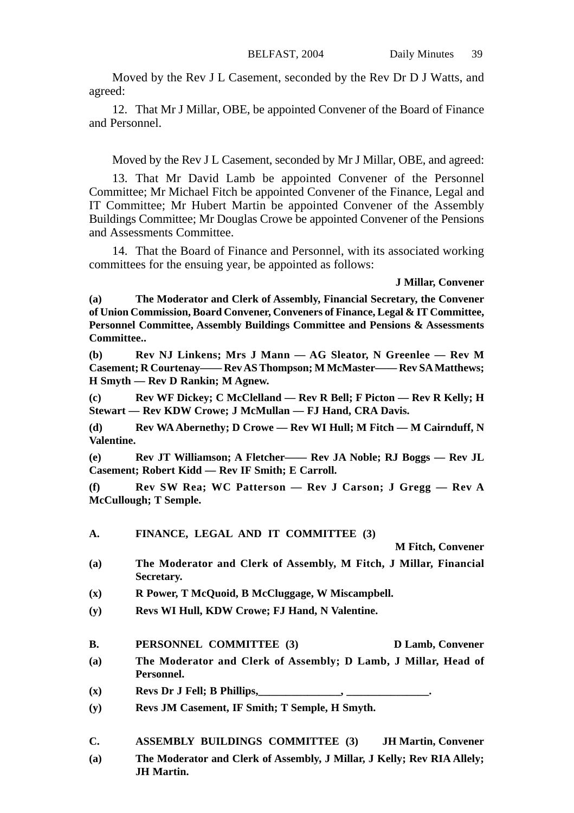Moved by the Rev J L Casement, seconded by the Rev Dr D J Watts, and agreed:

12. That Mr J Millar, OBE, be appointed Convener of the Board of Finance and Personnel.

Moved by the Rev J L Casement, seconded by Mr J Millar, OBE, and agreed:

13. That Mr David Lamb be appointed Convener of the Personnel Committee; Mr Michael Fitch be appointed Convener of the Finance, Legal and IT Committee; Mr Hubert Martin be appointed Convener of the Assembly Buildings Committee; Mr Douglas Crowe be appointed Convener of the Pensions and Assessments Committee.

14. That the Board of Finance and Personnel, with its associated working committees for the ensuing year, be appointed as follows:

**J Millar, Convener**

**(a) The Moderator and Clerk of Assembly, Financial Secretary, the Convener of Union Commission, Board Convener, Conveners of Finance, Legal & IT Committee, Personnel Committee, Assembly Buildings Committee and Pensions & Assessments Committee..**

**(b) Rev NJ Linkens; Mrs J Mann — AG Sleator, N Greenlee — Rev M Casement; R Courtenay—— Rev AS Thompson; M McMaster—— Rev SA Matthews; H Smyth — Rev D Rankin; M Agnew.**

**(c) Rev WF Dickey; C McClelland — Rev R Bell; F Picton — Rev R Kelly; H Stewart — Rev KDW Crowe; J McMullan — FJ Hand, CRA Davis.**

**(d) Rev WA Abernethy; D Crowe — Rev WI Hull; M Fitch — M Cairnduff, N Valentine.**

**(e) Rev JT Williamson; A Fletcher—— Rev JA Noble; RJ Boggs — Rev JL Casement; Robert Kidd — Rev IF Smith; E Carroll.**

**(f) Rev SW Rea; WC Patterson — Rev J Carson; J Gregg — Rev A McCullough; T Semple.**

**A. FINANCE, LEGAL AND IT COMMITTEE (3)**

**M Fitch, Convener**

- **(a) The Moderator and Clerk of Assembly, M Fitch, J Millar, Financial Secretary.**
- **(x) R Power, T McQuoid, B McCluggage, W Miscampbell.**
- **(y) Revs WI Hull, KDW Crowe; FJ Hand, N Valentine.**

**B.** PERSONNEL COMMITTEE (3) D Lamb, Convener

**(a) The Moderator and Clerk of Assembly; D Lamb, J Millar, Head of Personnel.**

(x) Revs Dr J Fell; **B** Phillips,

**(y) Revs JM Casement, IF Smith; T Semple, H Smyth.**

**C. ASSEMBLY BUILDINGS COMMITTEE (3) JH Martin, Convener (a) The Moderator and Clerk of Assembly, J Millar, J Kelly; Rev RIA Allely; JH Martin.**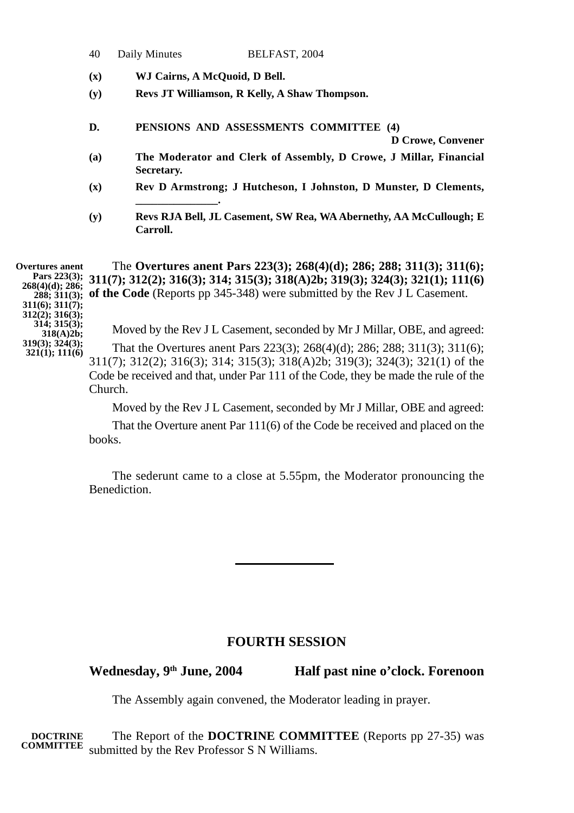- 40 Daily Minutes BELFAST, 2004
- **(x) WJ Cairns, A McQuoid, D Bell.**
- **(y) Revs JT Williamson, R Kelly, A Shaw Thompson.**
- **D. PENSIONS AND ASSESSMENTS COMMITTEE (4)**

**D Crowe, Convener**

- **(a) The Moderator and Clerk of Assembly, D Crowe, J Millar, Financial Secretary.**
- **(x) Rev D Armstrong; J Hutcheson, I Johnston, D Munster, D Clements, \_\_\_\_\_\_\_\_\_\_\_\_\_\_\_.**
- **(y) Revs RJA Bell, JL Casement, SW Rea, WA Abernethy, AA McCullough; E Carroll.**

The **Overtures anent Pars 223(3); 268(4)(d); 286; 288; 311(3); 311(6); Pars 223(3):** 311(7); 312(2); 316(3); 314; 315(3); 318(A)2b; 319(3); 324(3); 321(1); 111(6) 288; 311(3); of the Code (Reports pp 345-348) were submitted by the Rev J L Casement. Moved by the Rev J L Casement, seconded by Mr J Millar, OBE, and agreed: That the Overtures anent Pars 223(3); 268(4)(d); 286; 288; 311(3); 311(6); 311(7); 312(2); 316(3); 314; 315(3); 318(A)2b; 319(3); 324(3); 321(1) of the Code be received and that, under Par 111 of the Code, they be made the rule of the Church. **Overtures anent 268(4)(d); 286; 311(6); 311(7); 312(2); 316(3); 314; 315(3); 318(A)2b; 319(3); 324(3); 321(1); 111(6)**

Moved by the Rev J L Casement, seconded by Mr J Millar, OBE and agreed:

That the Overture anent Par 111(6) of the Code be received and placed on the books.

The sederunt came to a close at 5.55pm, the Moderator pronouncing the Benediction.

#### **FOURTH SESSION**

Wednesday, 9<sup>th</sup> June, 2004 Half past nine o'clock. Forenoon

The Assembly again convened, the Moderator leading in prayer.

The Report of the **DOCTRINE COMMITTEE** (Reports pp 27-35) was submitted by the Rev Professor S N Williams. **DOCTRINE COMMITTEE**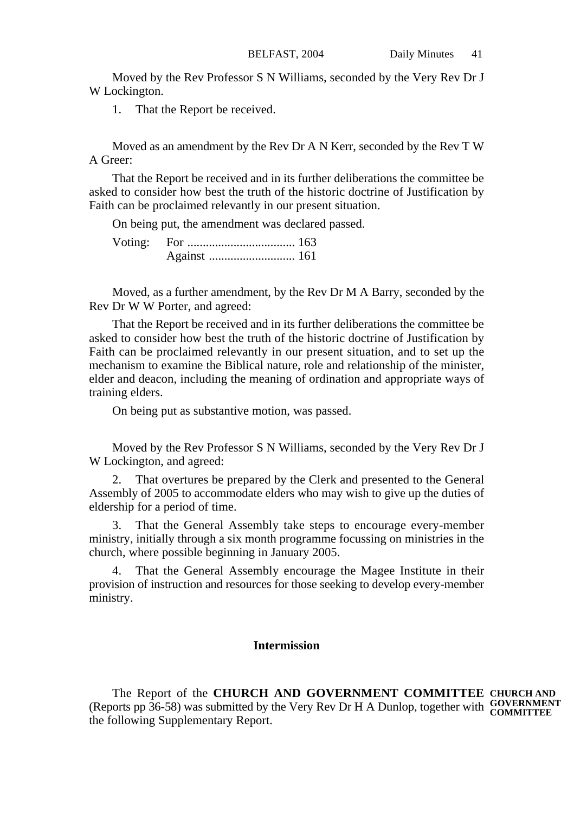Moved by the Rev Professor S N Williams, seconded by the Very Rev Dr J W Lockington.

1. That the Report be received.

Moved as an amendment by the Rev Dr A N Kerr, seconded by the Rev T W A Greer:

That the Report be received and in its further deliberations the committee be asked to consider how best the truth of the historic doctrine of Justification by Faith can be proclaimed relevantly in our present situation.

On being put, the amendment was declared passed.

Moved, as a further amendment, by the Rev Dr M A Barry, seconded by the Rev Dr W W Porter, and agreed:

That the Report be received and in its further deliberations the committee be asked to consider how best the truth of the historic doctrine of Justification by Faith can be proclaimed relevantly in our present situation, and to set up the mechanism to examine the Biblical nature, role and relationship of the minister, elder and deacon, including the meaning of ordination and appropriate ways of training elders.

On being put as substantive motion, was passed.

Moved by the Rev Professor S N Williams, seconded by the Very Rev Dr J W Lockington, and agreed:

2. That overtures be prepared by the Clerk and presented to the General Assembly of 2005 to accommodate elders who may wish to give up the duties of eldership for a period of time.

3. That the General Assembly take steps to encourage every-member ministry, initially through a six month programme focussing on ministries in the church, where possible beginning in January 2005.

4. That the General Assembly encourage the Magee Institute in their provision of instruction and resources for those seeking to develop every-member ministry.

#### **Intermission**

The Report of the **CHURCH AND GOVERNMENT COMMITTEE CHURCH AND** (Reports pp 36-58) was submitted by the Very Rev Dr H A Dunlop, together with **GOVERNMENT COMMITTEE**the following Supplementary Report.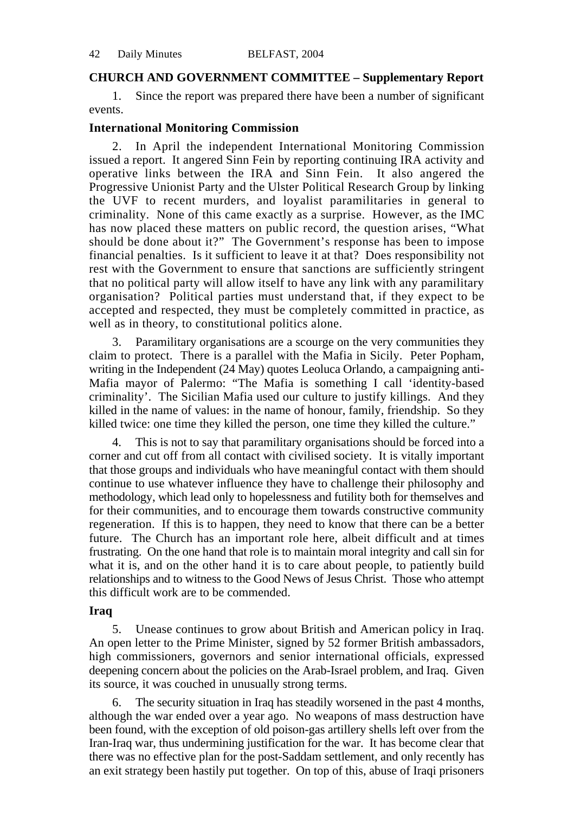# **CHURCH AND GOVERNMENT COMMITTEE – Supplementary Report**

1. Since the report was prepared there have been a number of significant events.

#### **International Monitoring Commission**

2. In April the independent International Monitoring Commission issued a report. It angered Sinn Fein by reporting continuing IRA activity and operative links between the IRA and Sinn Fein. It also angered the Progressive Unionist Party and the Ulster Political Research Group by linking the UVF to recent murders, and loyalist paramilitaries in general to criminality. None of this came exactly as a surprise. However, as the IMC has now placed these matters on public record, the question arises, "What should be done about it?" The Government's response has been to impose financial penalties. Is it sufficient to leave it at that? Does responsibility not rest with the Government to ensure that sanctions are sufficiently stringent that no political party will allow itself to have any link with any paramilitary organisation? Political parties must understand that, if they expect to be accepted and respected, they must be completely committed in practice, as well as in theory, to constitutional politics alone.

3. Paramilitary organisations are a scourge on the very communities they claim to protect. There is a parallel with the Mafia in Sicily. Peter Popham, writing in the Independent (24 May) quotes Leoluca Orlando, a campaigning anti-Mafia mayor of Palermo: "The Mafia is something I call 'identity-based criminality'. The Sicilian Mafia used our culture to justify killings. And they killed in the name of values: in the name of honour, family, friendship. So they killed twice: one time they killed the person, one time they killed the culture."

4. This is not to say that paramilitary organisations should be forced into a corner and cut off from all contact with civilised society. It is vitally important that those groups and individuals who have meaningful contact with them should continue to use whatever influence they have to challenge their philosophy and methodology, which lead only to hopelessness and futility both for themselves and for their communities, and to encourage them towards constructive community regeneration. If this is to happen, they need to know that there can be a better future. The Church has an important role here, albeit difficult and at times frustrating. On the one hand that role is to maintain moral integrity and call sin for what it is, and on the other hand it is to care about people, to patiently build relationships and to witness to the Good News of Jesus Christ. Those who attempt this difficult work are to be commended.

#### **Iraq**

5. Unease continues to grow about British and American policy in Iraq. An open letter to the Prime Minister, signed by 52 former British ambassadors, high commissioners, governors and senior international officials, expressed deepening concern about the policies on the Arab-Israel problem, and Iraq. Given its source, it was couched in unusually strong terms.

6. The security situation in Iraq has steadily worsened in the past 4 months, although the war ended over a year ago. No weapons of mass destruction have been found, with the exception of old poison-gas artillery shells left over from the Iran-Iraq war, thus undermining justification for the war. It has become clear that there was no effective plan for the post-Saddam settlement, and only recently has an exit strategy been hastily put together. On top of this, abuse of Iraqi prisoners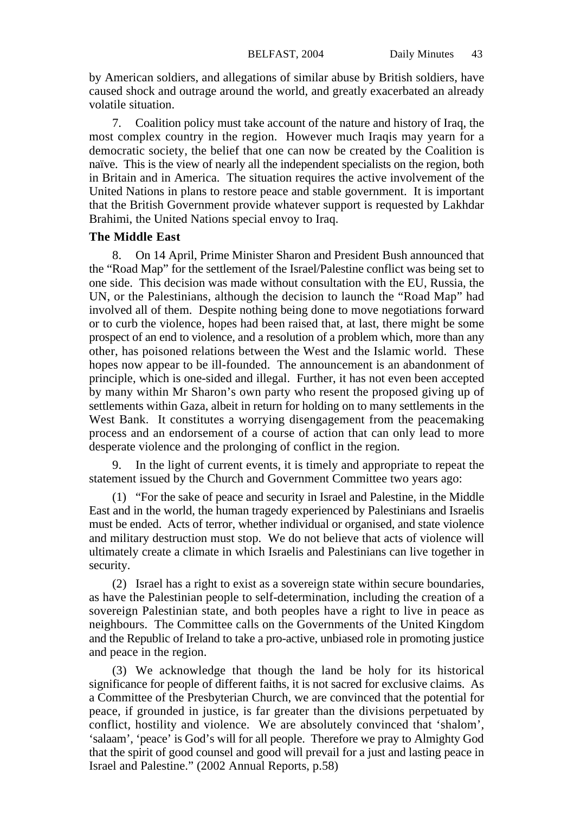by American soldiers, and allegations of similar abuse by British soldiers, have caused shock and outrage around the world, and greatly exacerbated an already volatile situation.

7. Coalition policy must take account of the nature and history of Iraq, the most complex country in the region. However much Iraqis may yearn for a democratic society, the belief that one can now be created by the Coalition is naïve. This is the view of nearly all the independent specialists on the region, both in Britain and in America. The situation requires the active involvement of the United Nations in plans to restore peace and stable government. It is important that the British Government provide whatever support is requested by Lakhdar Brahimi, the United Nations special envoy to Iraq.

#### **The Middle East**

8. On 14 April, Prime Minister Sharon and President Bush announced that the "Road Map" for the settlement of the Israel/Palestine conflict was being set to one side. This decision was made without consultation with the EU, Russia, the UN, or the Palestinians, although the decision to launch the "Road Map" had involved all of them. Despite nothing being done to move negotiations forward or to curb the violence, hopes had been raised that, at last, there might be some prospect of an end to violence, and a resolution of a problem which, more than any other, has poisoned relations between the West and the Islamic world. These hopes now appear to be ill-founded. The announcement is an abandonment of principle, which is one-sided and illegal. Further, it has not even been accepted by many within Mr Sharon's own party who resent the proposed giving up of settlements within Gaza, albeit in return for holding on to many settlements in the West Bank. It constitutes a worrying disengagement from the peacemaking process and an endorsement of a course of action that can only lead to more desperate violence and the prolonging of conflict in the region.

9. In the light of current events, it is timely and appropriate to repeat the statement issued by the Church and Government Committee two years ago:

(1) "For the sake of peace and security in Israel and Palestine, in the Middle East and in the world, the human tragedy experienced by Palestinians and Israelis must be ended. Acts of terror, whether individual or organised, and state violence and military destruction must stop. We do not believe that acts of violence will ultimately create a climate in which Israelis and Palestinians can live together in security.

(2) Israel has a right to exist as a sovereign state within secure boundaries, as have the Palestinian people to self-determination, including the creation of a sovereign Palestinian state, and both peoples have a right to live in peace as neighbours. The Committee calls on the Governments of the United Kingdom and the Republic of Ireland to take a pro-active, unbiased role in promoting justice and peace in the region.

(3) We acknowledge that though the land be holy for its historical significance for people of different faiths, it is not sacred for exclusive claims. As a Committee of the Presbyterian Church, we are convinced that the potential for peace, if grounded in justice, is far greater than the divisions perpetuated by conflict, hostility and violence. We are absolutely convinced that 'shalom', 'salaam', 'peace' is God's will for all people. Therefore we pray to Almighty God that the spirit of good counsel and good will prevail for a just and lasting peace in Israel and Palestine." (2002 Annual Reports, p.58)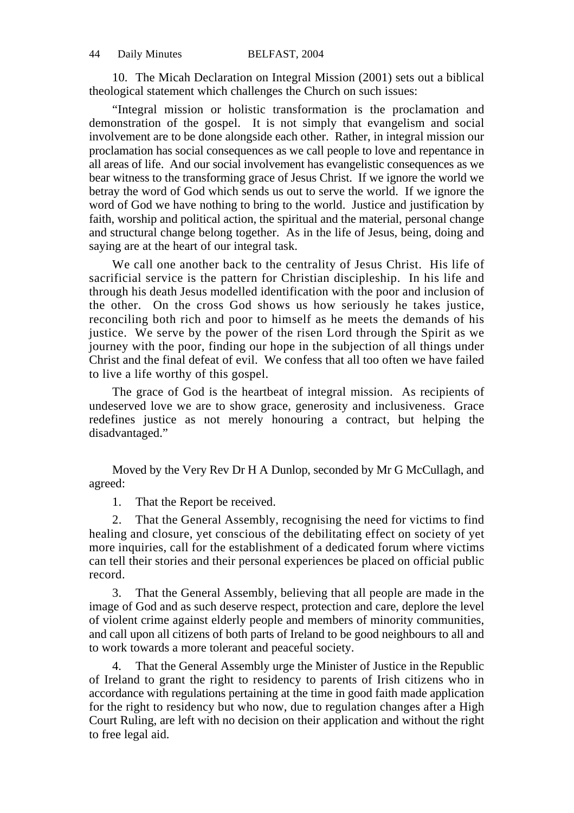10. The Micah Declaration on Integral Mission (2001) sets out a biblical theological statement which challenges the Church on such issues:

"Integral mission or holistic transformation is the proclamation and demonstration of the gospel. It is not simply that evangelism and social involvement are to be done alongside each other. Rather, in integral mission our proclamation has social consequences as we call people to love and repentance in all areas of life. And our social involvement has evangelistic consequences as we bear witness to the transforming grace of Jesus Christ. If we ignore the world we betray the word of God which sends us out to serve the world. If we ignore the word of God we have nothing to bring to the world. Justice and justification by faith, worship and political action, the spiritual and the material, personal change and structural change belong together. As in the life of Jesus, being, doing and saying are at the heart of our integral task.

We call one another back to the centrality of Jesus Christ. His life of sacrificial service is the pattern for Christian discipleship. In his life and through his death Jesus modelled identification with the poor and inclusion of the other. On the cross God shows us how seriously he takes justice, reconciling both rich and poor to himself as he meets the demands of his justice. We serve by the power of the risen Lord through the Spirit as we journey with the poor, finding our hope in the subjection of all things under Christ and the final defeat of evil. We confess that all too often we have failed to live a life worthy of this gospel.

The grace of God is the heartbeat of integral mission. As recipients of undeserved love we are to show grace, generosity and inclusiveness. Grace redefines justice as not merely honouring a contract, but helping the disadvantaged."

Moved by the Very Rev Dr H A Dunlop, seconded by Mr G McCullagh, and agreed:

1. That the Report be received.

2. That the General Assembly, recognising the need for victims to find healing and closure, yet conscious of the debilitating effect on society of yet more inquiries, call for the establishment of a dedicated forum where victims can tell their stories and their personal experiences be placed on official public record.

3. That the General Assembly, believing that all people are made in the image of God and as such deserve respect, protection and care, deplore the level of violent crime against elderly people and members of minority communities, and call upon all citizens of both parts of Ireland to be good neighbours to all and to work towards a more tolerant and peaceful society.

4. That the General Assembly urge the Minister of Justice in the Republic of Ireland to grant the right to residency to parents of Irish citizens who in accordance with regulations pertaining at the time in good faith made application for the right to residency but who now, due to regulation changes after a High Court Ruling, are left with no decision on their application and without the right to free legal aid.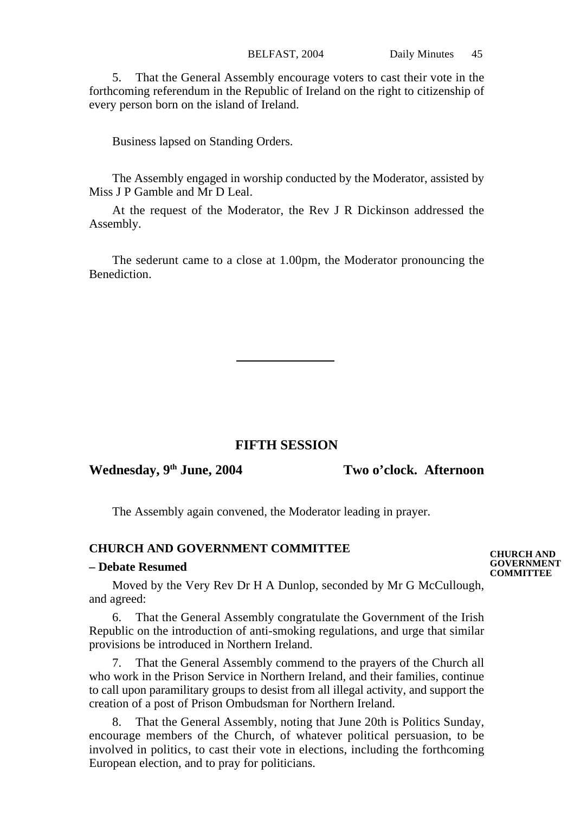5. That the General Assembly encourage voters to cast their vote in the forthcoming referendum in the Republic of Ireland on the right to citizenship of every person born on the island of Ireland.

Business lapsed on Standing Orders.

The Assembly engaged in worship conducted by the Moderator, assisted by Miss J P Gamble and Mr D Leal.

At the request of the Moderator, the Rev J R Dickinson addressed the Assembly.

The sederunt came to a close at 1.00pm, the Moderator pronouncing the Benediction.

#### **FIFTH SESSION**

Wednesday, 9<sup>th</sup> June, 2004 Two o'clock. Afternoon

The Assembly again convened, the Moderator leading in prayer.

#### **CHURCH AND GOVERNMENT COMMITTEE**

#### **– Debate Resumed**

Moved by the Very Rev Dr H A Dunlop, seconded by Mr G McCullough, and agreed:

6. That the General Assembly congratulate the Government of the Irish Republic on the introduction of anti-smoking regulations, and urge that similar provisions be introduced in Northern Ireland.

7. That the General Assembly commend to the prayers of the Church all who work in the Prison Service in Northern Ireland, and their families, continue to call upon paramilitary groups to desist from all illegal activity, and support the creation of a post of Prison Ombudsman for Northern Ireland.

8. That the General Assembly, noting that June 20th is Politics Sunday, encourage members of the Church, of whatever political persuasion, to be involved in politics, to cast their vote in elections, including the forthcoming European election, and to pray for politicians.

**CHURCH AND GOVERNMENT COMMITTEE**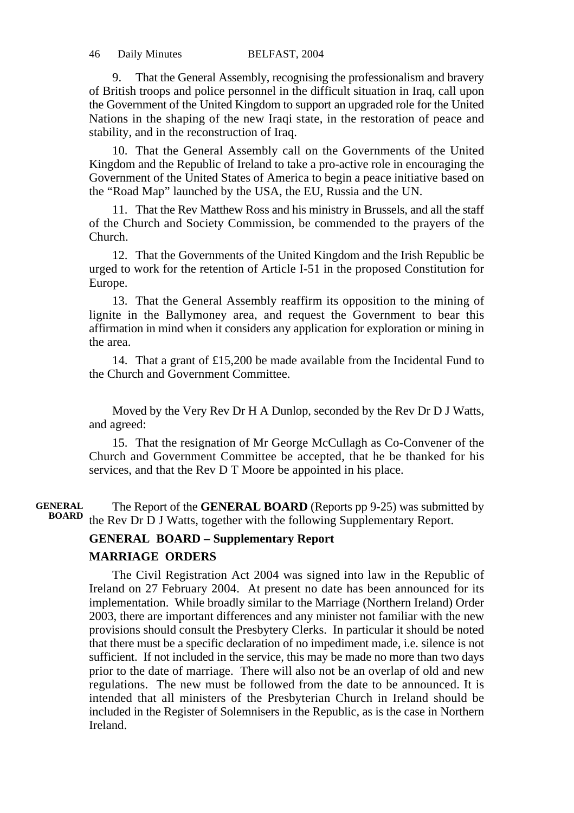9. That the General Assembly, recognising the professionalism and bravery of British troops and police personnel in the difficult situation in Iraq, call upon the Government of the United Kingdom to support an upgraded role for the United Nations in the shaping of the new Iraqi state, in the restoration of peace and stability, and in the reconstruction of Iraq.

10. That the General Assembly call on the Governments of the United Kingdom and the Republic of Ireland to take a pro-active role in encouraging the Government of the United States of America to begin a peace initiative based on the "Road Map" launched by the USA, the EU, Russia and the UN.

11. That the Rev Matthew Ross and his ministry in Brussels, and all the staff of the Church and Society Commission, be commended to the prayers of the Church.

12. That the Governments of the United Kingdom and the Irish Republic be urged to work for the retention of Article I-51 in the proposed Constitution for Europe.

13. That the General Assembly reaffirm its opposition to the mining of lignite in the Ballymoney area, and request the Government to bear this affirmation in mind when it considers any application for exploration or mining in the area.

14. That a grant of £15,200 be made available from the Incidental Fund to the Church and Government Committee.

Moved by the Very Rev Dr H A Dunlop, seconded by the Rev Dr D J Watts, and agreed:

15. That the resignation of Mr George McCullagh as Co-Convener of the Church and Government Committee be accepted, that he be thanked for his services, and that the Rev D T Moore be appointed in his place.

The Report of the **GENERAL BOARD** (Reports pp 9-25) was submitted by the Rev Dr D J Watts, together with the following Supplementary Report. **GENERAL BOARD**

#### **GENERAL BOARD – Supplementary Report**

#### **MARRIAGE ORDERS**

The Civil Registration Act 2004 was signed into law in the Republic of Ireland on 27 February 2004. At present no date has been announced for its implementation. While broadly similar to the Marriage (Northern Ireland) Order 2003, there are important differences and any minister not familiar with the new provisions should consult the Presbytery Clerks. In particular it should be noted that there must be a specific declaration of no impediment made, i.e. silence is not sufficient. If not included in the service, this may be made no more than two days prior to the date of marriage. There will also not be an overlap of old and new regulations. The new must be followed from the date to be announced. It is intended that all ministers of the Presbyterian Church in Ireland should be included in the Register of Solemnisers in the Republic, as is the case in Northern Ireland.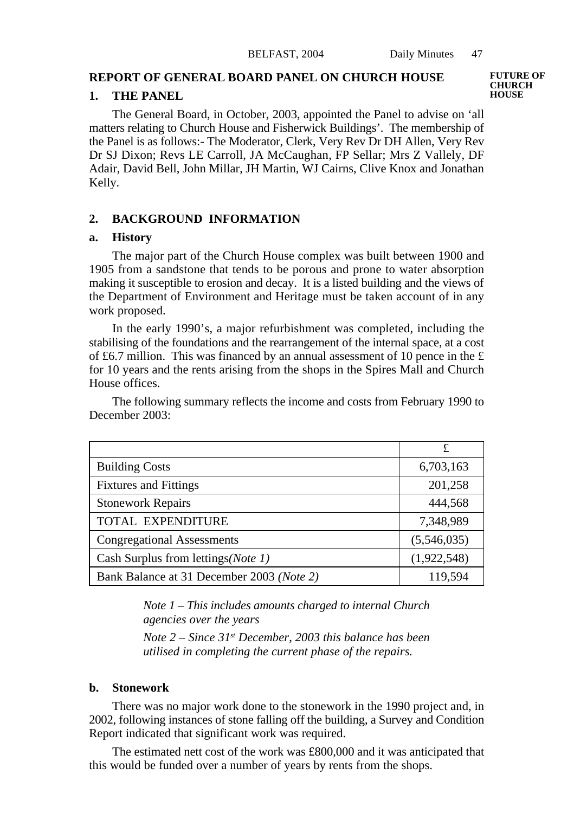# **REPORT OF GENERAL BOARD PANEL ON CHURCH HOUSE**

#### **1. THE PANEL**

The General Board, in October, 2003, appointed the Panel to advise on 'all matters relating to Church House and Fisherwick Buildings'. The membership of the Panel is as follows:- The Moderator, Clerk, Very Rev Dr DH Allen, Very Rev Dr SJ Dixon; Revs LE Carroll, JA McCaughan, FP Sellar; Mrs Z Vallely, DF Adair, David Bell, John Millar, JH Martin, WJ Cairns, Clive Knox and Jonathan Kelly.

### **2. BACKGROUND INFORMATION**

#### **a. History**

The major part of the Church House complex was built between 1900 and 1905 from a sandstone that tends to be porous and prone to water absorption making it susceptible to erosion and decay. It is a listed building and the views of the Department of Environment and Heritage must be taken account of in any work proposed.

In the early 1990's, a major refurbishment was completed, including the stabilising of the foundations and the rearrangement of the internal space, at a cost of £6.7 million. This was financed by an annual assessment of 10 pence in the  $\pounds$ for 10 years and the rents arising from the shops in the Spires Mall and Church House offices.

The following summary reflects the income and costs from February 1990 to December 2003:

|                                           | £           |
|-------------------------------------------|-------------|
| <b>Building Costs</b>                     | 6,703,163   |
| <b>Fixtures and Fittings</b>              | 201,258     |
| <b>Stonework Repairs</b>                  | 444,568     |
| <b>TOTAL EXPENDITURE</b>                  | 7,348,989   |
| <b>Congregational Assessments</b>         | (5,546,035) |
| Cash Surplus from lettings(Note 1)        | (1,922,548) |
| Bank Balance at 31 December 2003 (Note 2) | 119.594     |

*Note 1 – This includes amounts charged to internal Church agencies over the years*

*Note 2 – Since 31st December, 2003 this balance has been utilised in completing the current phase of the repairs.*

#### **b. Stonework**

There was no major work done to the stonework in the 1990 project and, in 2002, following instances of stone falling off the building, a Survey and Condition Report indicated that significant work was required.

The estimated nett cost of the work was £800,000 and it was anticipated that this would be funded over a number of years by rents from the shops.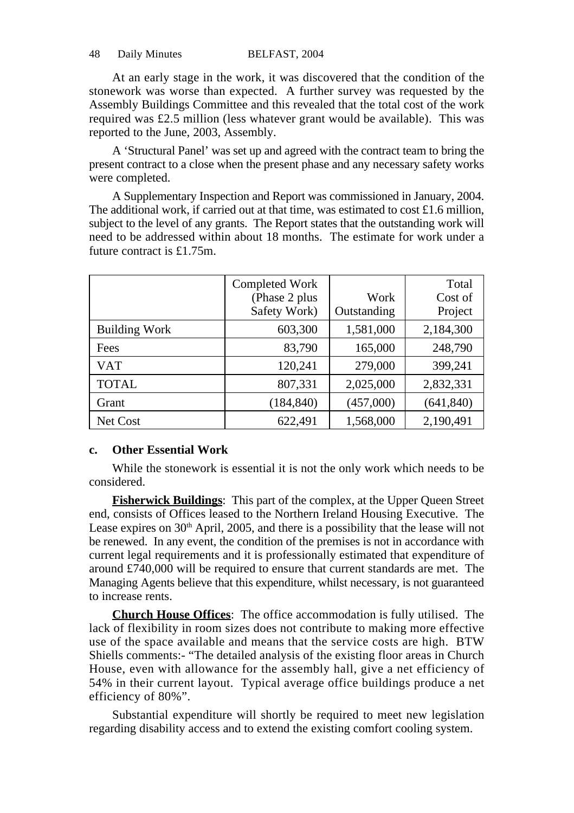| 48 | Daily Minutes | BELFAST, 2004 |
|----|---------------|---------------|
|----|---------------|---------------|

At an early stage in the work, it was discovered that the condition of the stonework was worse than expected. A further survey was requested by the Assembly Buildings Committee and this revealed that the total cost of the work required was £2.5 million (less whatever grant would be available). This was reported to the June, 2003, Assembly.

A 'Structural Panel' was set up and agreed with the contract team to bring the present contract to a close when the present phase and any necessary safety works were completed.

A Supplementary Inspection and Report was commissioned in January, 2004. The additional work, if carried out at that time, was estimated to cost £1.6 million, subject to the level of any grants. The Report states that the outstanding work will need to be addressed within about 18 months. The estimate for work under a future contract is £1.75m.

|                      | Completed Work<br>(Phase 2 plus)<br>Safety Work) | Work<br>Outstanding | Total<br>Cost of<br>Project |
|----------------------|--------------------------------------------------|---------------------|-----------------------------|
| <b>Building Work</b> | 603,300                                          | 1,581,000           | 2,184,300                   |
| Fees                 | 83,790                                           | 165,000             | 248,790                     |
| VAT                  | 120,241                                          | 279,000             | 399,241                     |
| <b>TOTAL</b>         | 807,331                                          | 2,025,000           | 2,832,331                   |
| Grant                | (184, 840)                                       | (457,000)           | (641, 840)                  |
| Net Cost             | 622.491                                          | 1,568,000           | 2,190,491                   |

#### **c. Other Essential Work**

While the stonework is essential it is not the only work which needs to be considered.

**Fisherwick Buildings**: This part of the complex, at the Upper Queen Street end, consists of Offices leased to the Northern Ireland Housing Executive. The Lease expires on  $30<sup>th</sup>$  April, 2005, and there is a possibility that the lease will not be renewed. In any event, the condition of the premises is not in accordance with current legal requirements and it is professionally estimated that expenditure of around £740,000 will be required to ensure that current standards are met. The Managing Agents believe that this expenditure, whilst necessary, is not guaranteed to increase rents.

**Church House Offices**: The office accommodation is fully utilised. The lack of flexibility in room sizes does not contribute to making more effective use of the space available and means that the service costs are high. BTW Shiells comments:- "The detailed analysis of the existing floor areas in Church House, even with allowance for the assembly hall, give a net efficiency of 54% in their current layout. Typical average office buildings produce a net efficiency of 80%".

Substantial expenditure will shortly be required to meet new legislation regarding disability access and to extend the existing comfort cooling system.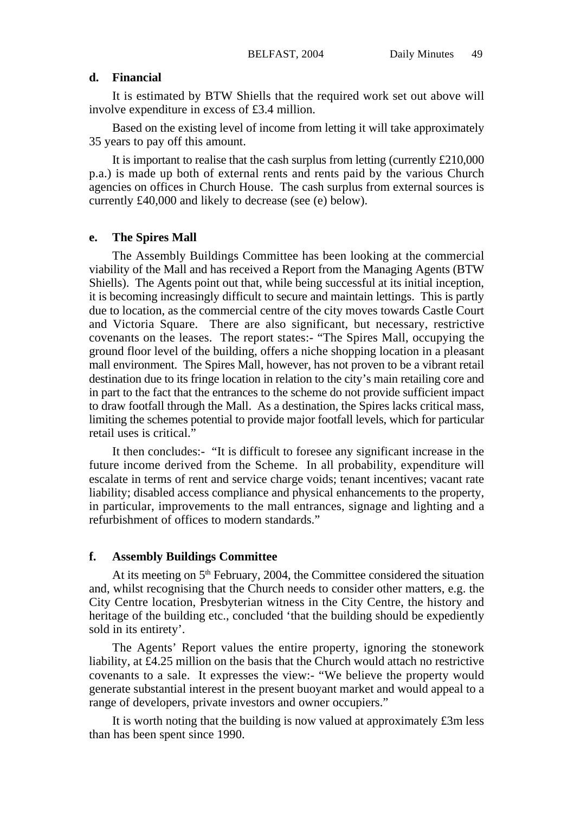#### **d. Financial**

It is estimated by BTW Shiells that the required work set out above will involve expenditure in excess of £3.4 million.

Based on the existing level of income from letting it will take approximately 35 years to pay off this amount.

It is important to realise that the cash surplus from letting (currently £210,000 p.a.) is made up both of external rents and rents paid by the various Church agencies on offices in Church House. The cash surplus from external sources is currently £40,000 and likely to decrease (see (e) below).

#### **e. The Spires Mall**

The Assembly Buildings Committee has been looking at the commercial viability of the Mall and has received a Report from the Managing Agents (BTW Shiells). The Agents point out that, while being successful at its initial inception, it is becoming increasingly difficult to secure and maintain lettings. This is partly due to location, as the commercial centre of the city moves towards Castle Court and Victoria Square. There are also significant, but necessary, restrictive covenants on the leases. The report states:- "The Spires Mall, occupying the ground floor level of the building, offers a niche shopping location in a pleasant mall environment. The Spires Mall, however, has not proven to be a vibrant retail destination due to its fringe location in relation to the city's main retailing core and in part to the fact that the entrances to the scheme do not provide sufficient impact to draw footfall through the Mall. As a destination, the Spires lacks critical mass, limiting the schemes potential to provide major footfall levels, which for particular retail uses is critical?

It then concludes:- "It is difficult to foresee any significant increase in the future income derived from the Scheme. In all probability, expenditure will escalate in terms of rent and service charge voids; tenant incentives; vacant rate liability; disabled access compliance and physical enhancements to the property, in particular, improvements to the mall entrances, signage and lighting and a refurbishment of offices to modern standards."

#### **f. Assembly Buildings Committee**

At its meeting on 5<sup>th</sup> February, 2004, the Committee considered the situation and, whilst recognising that the Church needs to consider other matters, e.g. the City Centre location, Presbyterian witness in the City Centre, the history and heritage of the building etc., concluded 'that the building should be expediently sold in its entirety'.

The Agents' Report values the entire property, ignoring the stonework liability, at £4.25 million on the basis that the Church would attach no restrictive covenants to a sale. It expresses the view:- "We believe the property would generate substantial interest in the present buoyant market and would appeal to a range of developers, private investors and owner occupiers."

It is worth noting that the building is now valued at approximately £3m less than has been spent since 1990.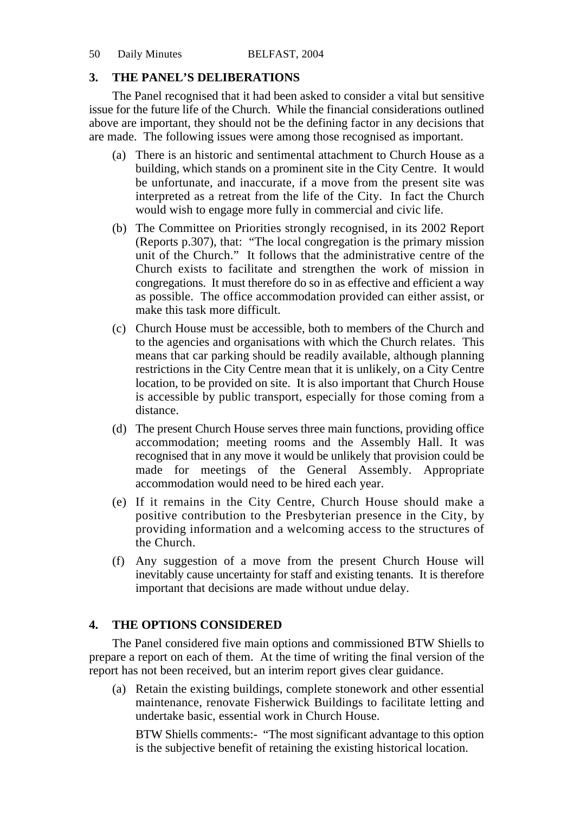50 Daily Minutes BELFAST, 2004

#### **3. THE PANEL'S DELIBERATIONS**

The Panel recognised that it had been asked to consider a vital but sensitive issue for the future life of the Church. While the financial considerations outlined above are important, they should not be the defining factor in any decisions that are made. The following issues were among those recognised as important.

- (a) There is an historic and sentimental attachment to Church House as a building, which stands on a prominent site in the City Centre. It would be unfortunate, and inaccurate, if a move from the present site was interpreted as a retreat from the life of the City. In fact the Church would wish to engage more fully in commercial and civic life.
- (b) The Committee on Priorities strongly recognised, in its 2002 Report (Reports p.307), that: "The local congregation is the primary mission unit of the Church." It follows that the administrative centre of the Church exists to facilitate and strengthen the work of mission in congregations. It must therefore do so in as effective and efficient a way as possible. The office accommodation provided can either assist, or make this task more difficult.
- (c) Church House must be accessible, both to members of the Church and to the agencies and organisations with which the Church relates. This means that car parking should be readily available, although planning restrictions in the City Centre mean that it is unlikely, on a City Centre location, to be provided on site. It is also important that Church House is accessible by public transport, especially for those coming from a distance.
- (d) The present Church House serves three main functions, providing office accommodation; meeting rooms and the Assembly Hall. It was recognised that in any move it would be unlikely that provision could be made for meetings of the General Assembly. Appropriate accommodation would need to be hired each year.
- (e) If it remains in the City Centre, Church House should make a positive contribution to the Presbyterian presence in the City, by providing information and a welcoming access to the structures of the Church.
- (f) Any suggestion of a move from the present Church House will inevitably cause uncertainty for staff and existing tenants. It is therefore important that decisions are made without undue delay.

### **4. THE OPTIONS CONSIDERED**

The Panel considered five main options and commissioned BTW Shiells to prepare a report on each of them. At the time of writing the final version of the report has not been received, but an interim report gives clear guidance.

(a) Retain the existing buildings, complete stonework and other essential maintenance, renovate Fisherwick Buildings to facilitate letting and undertake basic, essential work in Church House.

BTW Shiells comments:- "The most significant advantage to this option is the subjective benefit of retaining the existing historical location.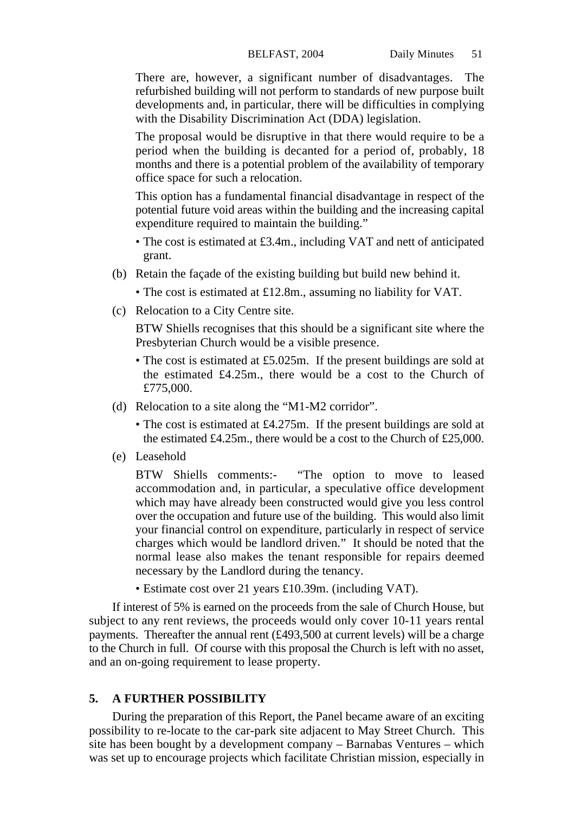There are, however, a significant number of disadvantages. The refurbished building will not perform to standards of new purpose built developments and, in particular, there will be difficulties in complying with the Disability Discrimination Act (DDA) legislation.

The proposal would be disruptive in that there would require to be a period when the building is decanted for a period of, probably, 18 months and there is a potential problem of the availability of temporary office space for such a relocation.

This option has a fundamental financial disadvantage in respect of the potential future void areas within the building and the increasing capital expenditure required to maintain the building."

- The cost is estimated at £3.4m., including VAT and nett of anticipated grant.
- (b) Retain the façade of the existing building but build new behind it.
	- The cost is estimated at £12.8m., assuming no liability for VAT.
- (c) Relocation to a City Centre site.

BTW Shiells recognises that this should be a significant site where the Presbyterian Church would be a visible presence.

- The cost is estimated at £5.025m. If the present buildings are sold at the estimated £4.25m., there would be a cost to the Church of £775,000.
- (d) Relocation to a site along the "M1-M2 corridor".
	- The cost is estimated at £4.275m. If the present buildings are sold at the estimated £4.25m., there would be a cost to the Church of £25,000.
- (e) Leasehold

BTW Shiells comments:- "The option to move to leased accommodation and, in particular, a speculative office development which may have already been constructed would give you less control over the occupation and future use of the building. This would also limit your financial control on expenditure, particularly in respect of service charges which would be landlord driven." It should be noted that the normal lease also makes the tenant responsible for repairs deemed necessary by the Landlord during the tenancy.

• Estimate cost over 21 years £10.39m. (including VAT).

If interest of 5% is earned on the proceeds from the sale of Church House, but subject to any rent reviews, the proceeds would only cover 10-11 years rental payments. Thereafter the annual rent (£493,500 at current levels) will be a charge to the Church in full. Of course with this proposal the Church is left with no asset, and an on-going requirement to lease property.

### **5. A FURTHER POSSIBILITY**

During the preparation of this Report, the Panel became aware of an exciting possibility to re-locate to the car-park site adjacent to May Street Church. This site has been bought by a development company – Barnabas Ventures – which was set up to encourage projects which facilitate Christian mission, especially in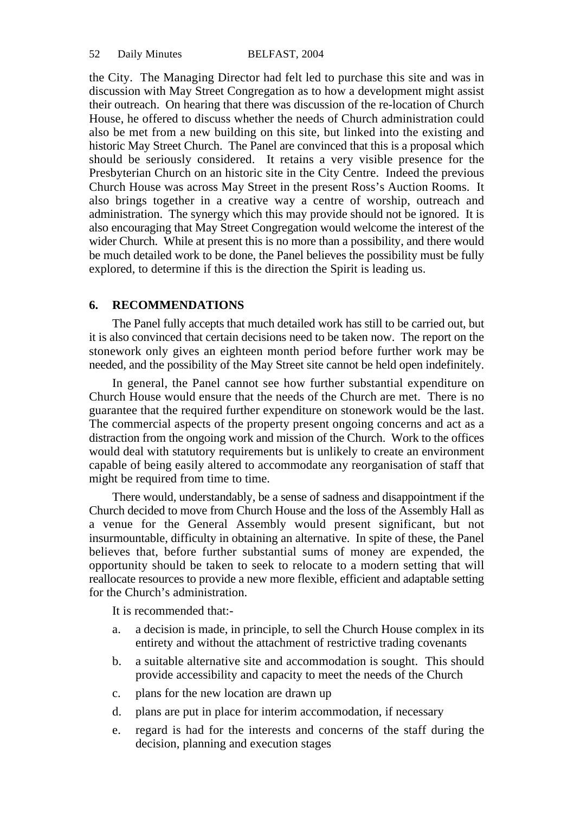the City. The Managing Director had felt led to purchase this site and was in discussion with May Street Congregation as to how a development might assist their outreach. On hearing that there was discussion of the re-location of Church House, he offered to discuss whether the needs of Church administration could also be met from a new building on this site, but linked into the existing and historic May Street Church. The Panel are convinced that this is a proposal which should be seriously considered. It retains a very visible presence for the Presbyterian Church on an historic site in the City Centre. Indeed the previous Church House was across May Street in the present Ross's Auction Rooms. It also brings together in a creative way a centre of worship, outreach and administration. The synergy which this may provide should not be ignored. It is also encouraging that May Street Congregation would welcome the interest of the wider Church. While at present this is no more than a possibility, and there would be much detailed work to be done, the Panel believes the possibility must be fully explored, to determine if this is the direction the Spirit is leading us.

### **6. RECOMMENDATIONS**

The Panel fully accepts that much detailed work has still to be carried out, but it is also convinced that certain decisions need to be taken now. The report on the stonework only gives an eighteen month period before further work may be needed, and the possibility of the May Street site cannot be held open indefinitely.

In general, the Panel cannot see how further substantial expenditure on Church House would ensure that the needs of the Church are met. There is no guarantee that the required further expenditure on stonework would be the last. The commercial aspects of the property present ongoing concerns and act as a distraction from the ongoing work and mission of the Church. Work to the offices would deal with statutory requirements but is unlikely to create an environment capable of being easily altered to accommodate any reorganisation of staff that might be required from time to time.

There would, understandably, be a sense of sadness and disappointment if the Church decided to move from Church House and the loss of the Assembly Hall as a venue for the General Assembly would present significant, but not insurmountable, difficulty in obtaining an alternative. In spite of these, the Panel believes that, before further substantial sums of money are expended, the opportunity should be taken to seek to relocate to a modern setting that will reallocate resources to provide a new more flexible, efficient and adaptable setting for the Church's administration.

It is recommended that:-

- a. a decision is made, in principle, to sell the Church House complex in its entirety and without the attachment of restrictive trading covenants
- b. a suitable alternative site and accommodation is sought. This should provide accessibility and capacity to meet the needs of the Church
- c. plans for the new location are drawn up
- d. plans are put in place for interim accommodation, if necessary
- e. regard is had for the interests and concerns of the staff during the decision, planning and execution stages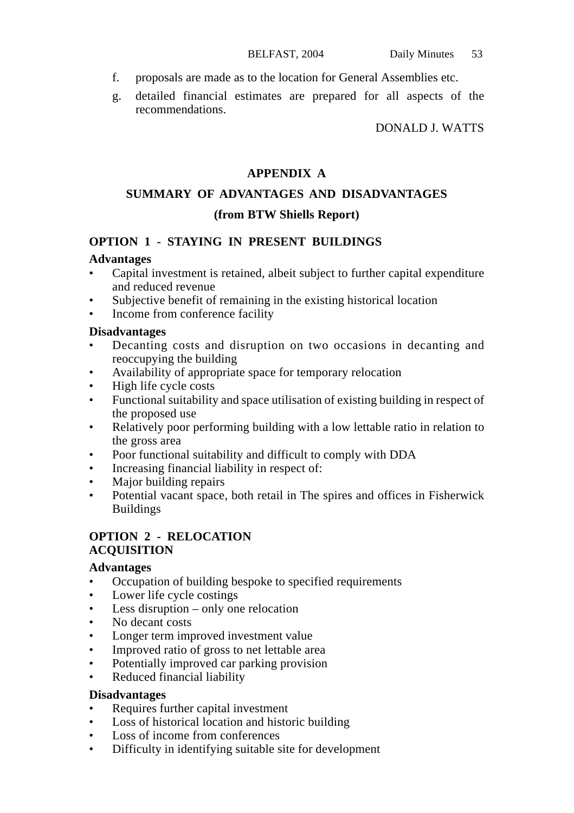- f. proposals are made as to the location for General Assemblies etc.
- g. detailed financial estimates are prepared for all aspects of the recommendations.

DONALD J. WATTS

# **APPENDIX A**

# **SUMMARY OF ADVANTAGES AND DISADVANTAGES (from BTW Shiells Report)**

#### **OPTION 1 - STAYING IN PRESENT BUILDINGS**

#### **Advantages**

- Capital investment is retained, albeit subject to further capital expenditure and reduced revenue
- Subjective benefit of remaining in the existing historical location
- Income from conference facility

#### **Disadvantages**

- Decanting costs and disruption on two occasions in decanting and reoccupying the building
- Availability of appropriate space for temporary relocation
- High life cycle costs
- Functional suitability and space utilisation of existing building in respect of the proposed use
- Relatively poor performing building with a low lettable ratio in relation to the gross area
- Poor functional suitability and difficult to comply with DDA
- Increasing financial liability in respect of:
- Major building repairs
- Potential vacant space, both retail in The spires and offices in Fisherwick Buildings

#### **OPTION 2 - RELOCATION ACQUISITION**

#### **Advantages**

- Occupation of building bespoke to specified requirements
- Lower life cycle costings
- Less disruption  $-$  only one relocation
- No decant costs
- Longer term improved investment value
- Improved ratio of gross to net lettable area
- Potentially improved car parking provision
- Reduced financial liability

#### **Disadvantages**

- Requires further capital investment
- Loss of historical location and historic building
- Loss of income from conferences
- Difficulty in identifying suitable site for development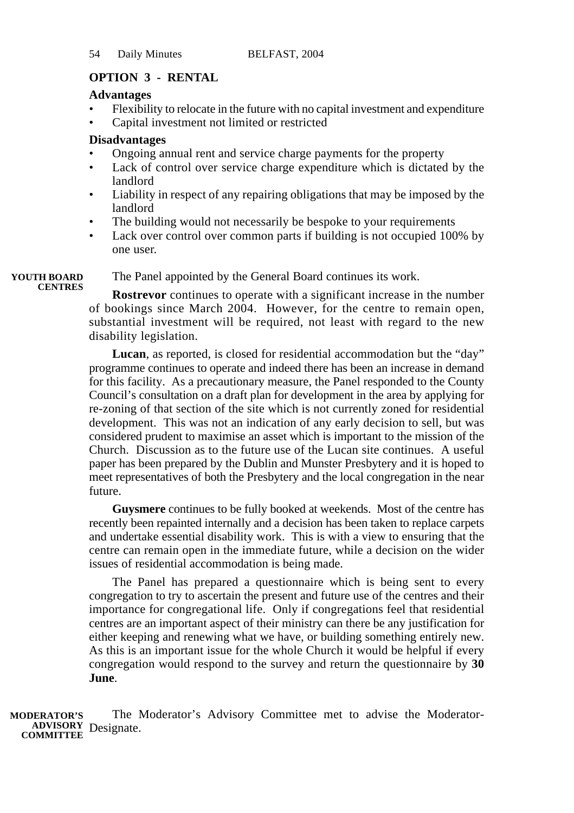#### **OPTION 3 - RENTAL**

#### **Advantages**

- Flexibility to relocate in the future with no capital investment and expenditure
- Capital investment not limited or restricted

#### **Disadvantages**

- Ongoing annual rent and service charge payments for the property
- Lack of control over service charge expenditure which is dictated by the landlord
- Liability in respect of any repairing obligations that may be imposed by the landlord
- The building would not necessarily be bespoke to your requirements
- Lack over control over common parts if building is not occupied 100% by one user.

The Panel appointed by the General Board continues its work. **YOUTH BOARD CENTRES**

**Rostrevor** continues to operate with a significant increase in the number of bookings since March 2004. However, for the centre to remain open, substantial investment will be required, not least with regard to the new disability legislation.

**Lucan**, as reported, is closed for residential accommodation but the "day" programme continues to operate and indeed there has been an increase in demand for this facility. As a precautionary measure, the Panel responded to the County Council's consultation on a draft plan for development in the area by applying for re-zoning of that section of the site which is not currently zoned for residential development. This was not an indication of any early decision to sell, but was considered prudent to maximise an asset which is important to the mission of the Church. Discussion as to the future use of the Lucan site continues. A useful paper has been prepared by the Dublin and Munster Presbytery and it is hoped to meet representatives of both the Presbytery and the local congregation in the near future.

**Guysmere** continues to be fully booked at weekends. Most of the centre has recently been repainted internally and a decision has been taken to replace carpets and undertake essential disability work. This is with a view to ensuring that the centre can remain open in the immediate future, while a decision on the wider issues of residential accommodation is being made.

The Panel has prepared a questionnaire which is being sent to every congregation to try to ascertain the present and future use of the centres and their importance for congregational life. Only if congregations feel that residential centres are an important aspect of their ministry can there be any justification for either keeping and renewing what we have, or building something entirely new. As this is an important issue for the whole Church it would be helpful if every congregation would respond to the survey and return the questionnaire by **30 June**.

The Moderator's Advisory Committee met to advise the Moderator-Designate. **ADVISORY COMMITTEEMODERATOR'S**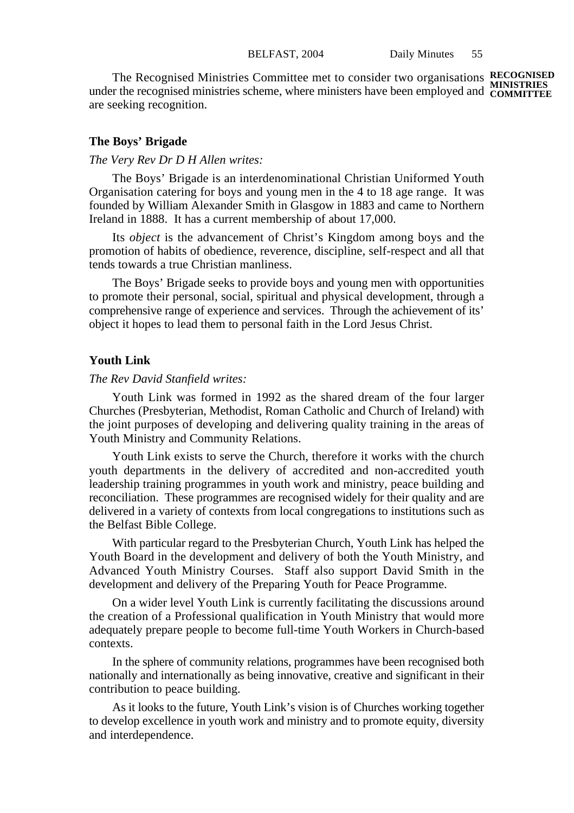The Recognised Ministries Committee met to consider two organisations **RECOGNISED** under the recognised ministries scheme, where ministers have been employed and **MINISTRIES COMMITTEE**are seeking recognition.

#### **The Boys' Brigade**

#### *The Very Rev Dr D H Allen writes:*

The Boys' Brigade is an interdenominational Christian Uniformed Youth Organisation catering for boys and young men in the 4 to 18 age range. It was founded by William Alexander Smith in Glasgow in 1883 and came to Northern Ireland in 1888. It has a current membership of about 17,000.

Its *object* is the advancement of Christ's Kingdom among boys and the promotion of habits of obedience, reverence, discipline, self-respect and all that tends towards a true Christian manliness.

The Boys' Brigade seeks to provide boys and young men with opportunities to promote their personal, social, spiritual and physical development, through a comprehensive range of experience and services. Through the achievement of its' object it hopes to lead them to personal faith in the Lord Jesus Christ.

#### **Youth Link**

#### *The Rev David Stanfield writes:*

Youth Link was formed in 1992 as the shared dream of the four larger Churches (Presbyterian, Methodist, Roman Catholic and Church of Ireland) with the joint purposes of developing and delivering quality training in the areas of Youth Ministry and Community Relations.

Youth Link exists to serve the Church, therefore it works with the church youth departments in the delivery of accredited and non-accredited youth leadership training programmes in youth work and ministry, peace building and reconciliation. These programmes are recognised widely for their quality and are delivered in a variety of contexts from local congregations to institutions such as the Belfast Bible College.

With particular regard to the Presbyterian Church, Youth Link has helped the Youth Board in the development and delivery of both the Youth Ministry, and Advanced Youth Ministry Courses. Staff also support David Smith in the development and delivery of the Preparing Youth for Peace Programme.

On a wider level Youth Link is currently facilitating the discussions around the creation of a Professional qualification in Youth Ministry that would more adequately prepare people to become full-time Youth Workers in Church-based contexts.

In the sphere of community relations, programmes have been recognised both nationally and internationally as being innovative, creative and significant in their contribution to peace building.

As it looks to the future, Youth Link's vision is of Churches working together to develop excellence in youth work and ministry and to promote equity, diversity and interdependence.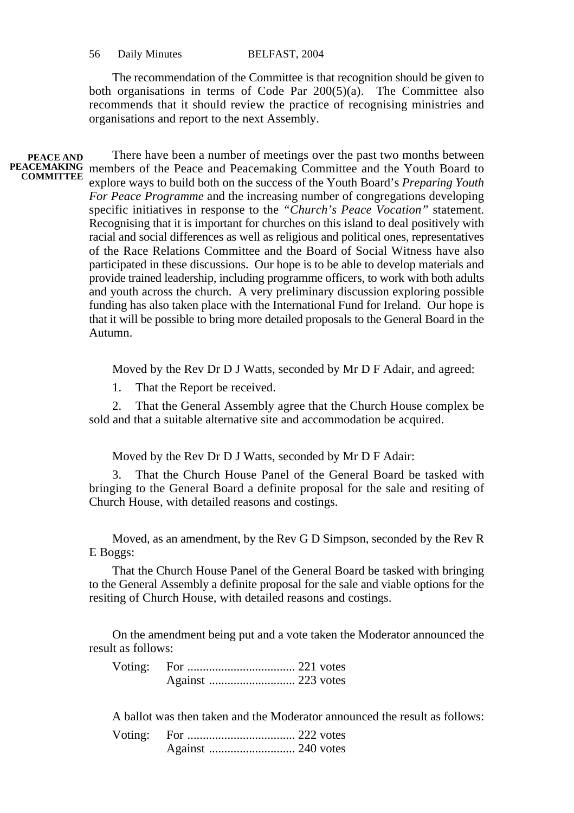#### 56 Daily Minutes BELFAST, 2004

The recommendation of the Committee is that recognition should be given to both organisations in terms of Code Par  $200(5)(a)$ . The Committee also recommends that it should review the practice of recognising ministries and organisations and report to the next Assembly.

There have been a number of meetings over the past two months between PEACEMAKING members of the Peace and Peacemaking Committee and the Youth Board to explore ways to build both on the success of the Youth Board's *Preparing Youth For Peace Programme* and the increasing number of congregations developing specific initiatives in response to the *"Church's Peace Vocation"* statement. Recognising that it is important for churches on this island to deal positively with racial and social differences as well as religious and political ones, representatives of the Race Relations Committee and the Board of Social Witness have also participated in these discussions. Our hope is to be able to develop materials and provide trained leadership, including programme officers, to work with both adults and youth across the church. A very preliminary discussion exploring possible funding has also taken place with the International Fund for Ireland. Our hope is that it will be possible to bring more detailed proposals to the General Board in the Autumn. **PEACE AND COMMITTEE**

Moved by the Rev Dr D J Watts, seconded by Mr D F Adair, and agreed:

1. That the Report be received.

2. That the General Assembly agree that the Church House complex be sold and that a suitable alternative site and accommodation be acquired.

Moved by the Rev Dr D J Watts, seconded by Mr D F Adair:

3. That the Church House Panel of the General Board be tasked with bringing to the General Board a definite proposal for the sale and resiting of Church House, with detailed reasons and costings.

Moved, as an amendment, by the Rev G D Simpson, seconded by the Rev R E Boggs:

That the Church House Panel of the General Board be tasked with bringing to the General Assembly a definite proposal for the sale and viable options for the resiting of Church House, with detailed reasons and costings.

On the amendment being put and a vote taken the Moderator announced the result as follows:

A ballot was then taken and the Moderator announced the result as follows: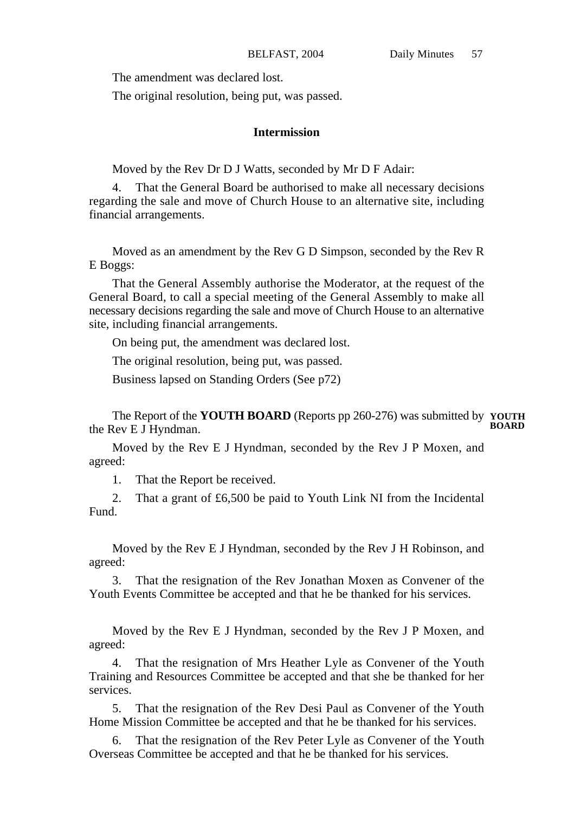The amendment was declared lost.

The original resolution, being put, was passed.

#### **Intermission**

Moved by the Rev Dr D J Watts, seconded by Mr D F Adair:

4. That the General Board be authorised to make all necessary decisions regarding the sale and move of Church House to an alternative site, including financial arrangements.

Moved as an amendment by the Rev G D Simpson, seconded by the Rev R E Boggs:

That the General Assembly authorise the Moderator, at the request of the General Board, to call a special meeting of the General Assembly to make all necessary decisions regarding the sale and move of Church House to an alternative site, including financial arrangements.

On being put, the amendment was declared lost.

The original resolution, being put, was passed.

Business lapsed on Standing Orders (See p72)

The Report of the **YOUTH BOARD** (Reports pp 260-276) was submitted by **YOUTH** the Rev E J Hyndman. **BOARD**

Moved by the Rev E J Hyndman, seconded by the Rev J P Moxen, and agreed:

1. That the Report be received.

2. That a grant of £6,500 be paid to Youth Link NI from the Incidental Fund.

Moved by the Rev E J Hyndman, seconded by the Rev J H Robinson, and agreed:

3. That the resignation of the Rev Jonathan Moxen as Convener of the Youth Events Committee be accepted and that he be thanked for his services.

Moved by the Rev E J Hyndman, seconded by the Rev J P Moxen, and agreed:

4. That the resignation of Mrs Heather Lyle as Convener of the Youth Training and Resources Committee be accepted and that she be thanked for her services.

5. That the resignation of the Rev Desi Paul as Convener of the Youth Home Mission Committee be accepted and that he be thanked for his services.

6. That the resignation of the Rev Peter Lyle as Convener of the Youth Overseas Committee be accepted and that he be thanked for his services.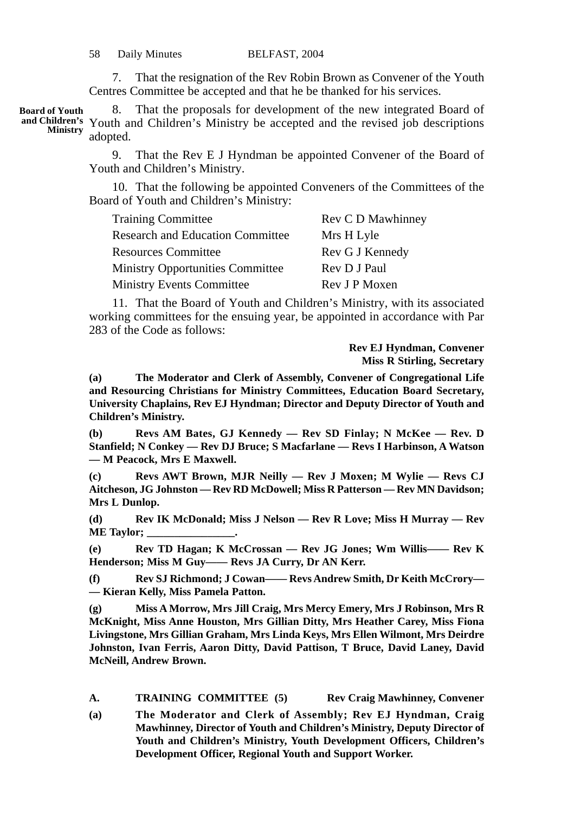7. That the resignation of the Rev Robin Brown as Convener of the Youth Centres Committee be accepted and that he be thanked for his services.

8. That the proposals for development of the new integrated Board of Youth and Children's Ministry be accepted and the revised job descriptions **and Children's** adopted. **Board of Youth Ministry**

> 9. That the Rev E J Hyndman be appointed Convener of the Board of Youth and Children's Ministry.

> 10. That the following be appointed Conveners of the Committees of the Board of Youth and Children's Ministry:

| <b>Training Committee</b>               | Rev C D Mawhinney |
|-----------------------------------------|-------------------|
| <b>Research and Education Committee</b> | Mrs H Lyle        |
| <b>Resources Committee</b>              | Rev G J Kennedy   |
| <b>Ministry Opportunities Committee</b> | Rev D J Paul      |
| <b>Ministry Events Committee</b>        | Rev J P Moxen     |

11. That the Board of Youth and Children's Ministry, with its associated working committees for the ensuing year, be appointed in accordance with Par 283 of the Code as follows:

> **Rev EJ Hyndman, Convener Miss R Stirling, Secretary**

**(a) The Moderator and Clerk of Assembly, Convener of Congregational Life and Resourcing Christians for Ministry Committees, Education Board Secretary, University Chaplains, Rev EJ Hyndman; Director and Deputy Director of Youth and Children's Ministry.**

**(b) Revs AM Bates, GJ Kennedy — Rev SD Finlay; N McKee — Rev. D Stanfield; N Conkey — Rev DJ Bruce; S Macfarlane — Revs I Harbinson, A Watson — M Peacock, Mrs E Maxwell.**

**(c) Revs AWT Brown, MJR Neilly — Rev J Moxen; M Wylie — Revs CJ Aitcheson, JG Johnston — Rev RD McDowell; Miss R Patterson — Rev MN Davidson; Mrs L Dunlop.**

**(d) Rev IK McDonald; Miss J Nelson — Rev R Love; Miss H Murray — Rev ME Taylor;** 

**(e) Rev TD Hagan; K McCrossan — Rev JG Jones; Wm Willis—— Rev K Henderson; Miss M Guy—— Revs JA Curry, Dr AN Kerr.**

**(f) Rev SJ Richmond; J Cowan—— Revs Andrew Smith, Dr Keith McCrory— — Kieran Kelly, Miss Pamela Patton.**

**(g) Miss A Morrow, Mrs Jill Craig, Mrs Mercy Emery, Mrs J Robinson, Mrs R McKnight, Miss Anne Houston, Mrs Gillian Ditty, Mrs Heather Carey, Miss Fiona Livingstone, Mrs Gillian Graham, Mrs Linda Keys, Mrs Ellen Wilmont, Mrs Deirdre Johnston, Ivan Ferris, Aaron Ditty, David Pattison, T Bruce, David Laney, David McNeill, Andrew Brown.**

**A. TRAINING COMMITTEE (5) Rev Craig Mawhinney, Convener**

**(a) The Moderator and Clerk of Assembly; Rev EJ Hyndman, Craig Mawhinney, Director of Youth and Children's Ministry, Deputy Director of Youth and Children's Ministry, Youth Development Officers, Children's Development Officer, Regional Youth and Support Worker.**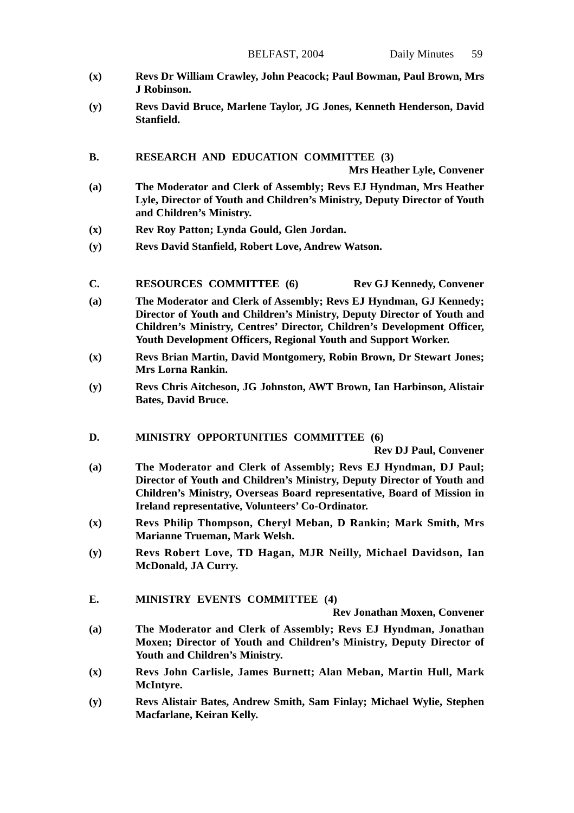- **(x) Revs Dr William Crawley, John Peacock; Paul Bowman, Paul Brown, Mrs J Robinson.**
- **(y) Revs David Bruce, Marlene Taylor, JG Jones, Kenneth Henderson, David Stanfield.**

#### **B. RESEARCH AND EDUCATION COMMITTEE (3)**

**Mrs Heather Lyle, Convener**

- **(a) The Moderator and Clerk of Assembly; Revs EJ Hyndman, Mrs Heather Lyle, Director of Youth and Children's Ministry, Deputy Director of Youth and Children's Ministry.**
- **(x) Rev Roy Patton; Lynda Gould, Glen Jordan.**
- **(y) Revs David Stanfield, Robert Love, Andrew Watson.**
- **C. RESOURCES COMMITTEE (6) Rev GJ Kennedy, Convener**
- **(a) The Moderator and Clerk of Assembly; Revs EJ Hyndman, GJ Kennedy; Director of Youth and Children's Ministry, Deputy Director of Youth and Children's Ministry, Centres' Director, Children's Development Officer, Youth Development Officers, Regional Youth and Support Worker.**
- **(x) Revs Brian Martin, David Montgomery, Robin Brown, Dr Stewart Jones; Mrs Lorna Rankin.**
- **(y) Revs Chris Aitcheson, JG Johnston, AWT Brown, Ian Harbinson, Alistair Bates, David Bruce.**

#### **D. MINISTRY OPPORTUNITIES COMMITTEE (6)**

**Rev DJ Paul, Convener**

- **(a) The Moderator and Clerk of Assembly; Revs EJ Hyndman, DJ Paul; Director of Youth and Children's Ministry, Deputy Director of Youth and Children's Ministry, Overseas Board representative, Board of Mission in Ireland representative, Volunteers' Co-Ordinator.**
- **(x) Revs Philip Thompson, Cheryl Meban, D Rankin; Mark Smith, Mrs Marianne Trueman, Mark Welsh.**
- **(y) Revs Robert Love, TD Hagan, MJR Neilly, Michael Davidson, Ian McDonald, JA Curry.**

#### **E. MINISTRY EVENTS COMMITTEE (4)**

**Rev Jonathan Moxen, Convener**

- **(a) The Moderator and Clerk of Assembly; Revs EJ Hyndman, Jonathan Moxen; Director of Youth and Children's Ministry, Deputy Director of Youth and Children's Ministry.**
- **(x) Revs John Carlisle, James Burnett; Alan Meban, Martin Hull, Mark McIntyre.**
- **(y) Revs Alistair Bates, Andrew Smith, Sam Finlay; Michael Wylie, Stephen Macfarlane, Keiran Kelly.**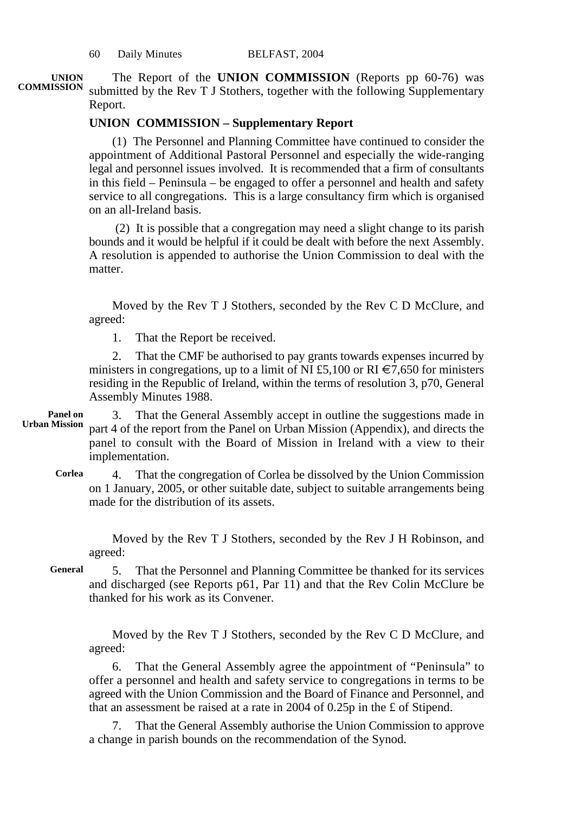The Report of the **UNION COMMISSION** (Reports pp 60-76) was submitted by the Rev T J Stothers, together with the following Supplementary Report. **UNION COMMISSION**

#### **UNION COMMISSION – Supplementary Report**

(1) The Personnel and Planning Committee have continued to consider the appointment of Additional Pastoral Personnel and especially the wide-ranging legal and personnel issues involved. It is recommended that a firm of consultants in this field – Peninsula – be engaged to offer a personnel and health and safety service to all congregations. This is a large consultancy firm which is organised on an all-Ireland basis.

 (2) It is possible that a congregation may need a slight change to its parish bounds and it would be helpful if it could be dealt with before the next Assembly. A resolution is appended to authorise the Union Commission to deal with the matter.

Moved by the Rev T J Stothers, seconded by the Rev C D McClure, and agreed:

1. That the Report be received.

2. That the CMF be authorised to pay grants towards expenses incurred by ministers in congregations, up to a limit of NI £5,100 or RI  $\epsilon$ 7,650 for ministers residing in the Republic of Ireland, within the terms of resolution 3, p70, General Assembly Minutes 1988.

3. That the General Assembly accept in outline the suggestions made in part 4 of the report from the Panel on Urban Mission (Appendix), and directs the panel to consult with the Board of Mission in Ireland with a view to their implementation. **Panel on Urban Mission**

4. That the congregation of Corlea be dissolved by the Union Commission on 1 January, 2005, or other suitable date, subject to suitable arrangements being made for the distribution of its assets. **Corlea**

Moved by the Rev T J Stothers, seconded by the Rev J H Robinson, and agreed:

5. That the Personnel and Planning Committee be thanked for its services and discharged (see Reports p61, Par 11) and that the Rev Colin McClure be thanked for his work as its Convener. **General**

Moved by the Rev T J Stothers, seconded by the Rev C D McClure, and agreed:

6. That the General Assembly agree the appointment of "Peninsula" to offer a personnel and health and safety service to congregations in terms to be agreed with the Union Commission and the Board of Finance and Personnel, and that an assessment be raised at a rate in 2004 of 0.25p in the £ of Stipend.

That the General Assembly authorise the Union Commission to approve a change in parish bounds on the recommendation of the Synod.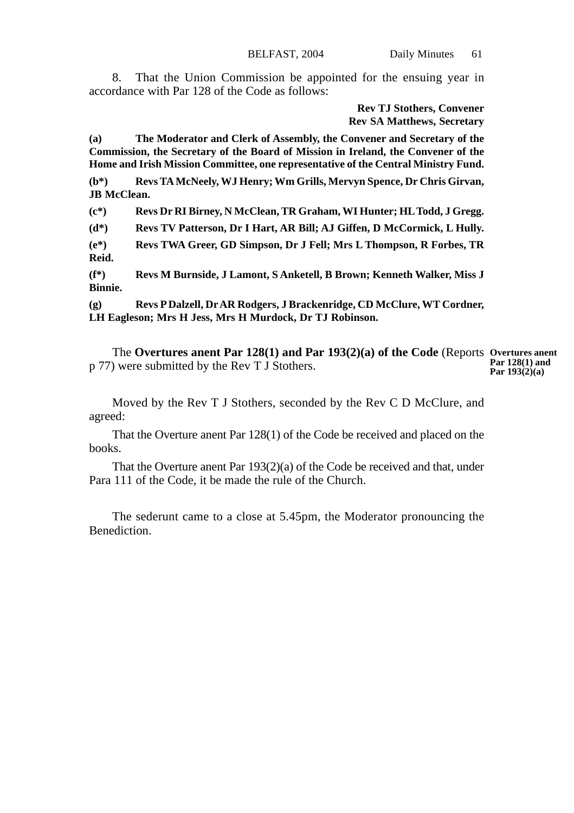8. That the Union Commission be appointed for the ensuing year in accordance with Par 128 of the Code as follows:

> **Rev TJ Stothers, Convener Rev SA Matthews, Secretary**

**(a) The Moderator and Clerk of Assembly, the Convener and Secretary of the Commission, the Secretary of the Board of Mission in Ireland, the Convener of the Home and Irish Mission Committee, one representative of the Central Ministry Fund.**

**(b\*) Revs TA McNeely, WJ Henry; Wm Grills, Mervyn Spence, Dr Chris Girvan, JB McClean.**

**(c\*) Revs Dr RI Birney, N McClean, TR Graham, WI Hunter; HL Todd, J Gregg.**

**(d\*) Revs TV Patterson, Dr I Hart, AR Bill; AJ Giffen, D McCormick, L Hully.**

**(e\*) Revs TWA Greer, GD Simpson, Dr J Fell; Mrs L Thompson, R Forbes, TR Reid.**

**(f\*) Revs M Burnside, J Lamont, S Anketell, B Brown; Kenneth Walker, Miss J Binnie.**

**(g) Revs P Dalzell, Dr AR Rodgers, J Brackenridge, CD McClure, WT Cordner, LH Eagleson; Mrs H Jess, Mrs H Murdock, Dr TJ Robinson.**

The **Overtures anent Par 128(1) and Par 193(2)(a) of the Code** (Reports **Overtures anent** p 77) were submitted by the Rev T J Stothers. **Par 128(1) and Par 193(2)(a)**

Moved by the Rev T J Stothers, seconded by the Rev C D McClure, and agreed:

That the Overture anent Par 128(1) of the Code be received and placed on the books.

That the Overture anent Par 193(2)(a) of the Code be received and that, under Para 111 of the Code, it be made the rule of the Church.

The sederunt came to a close at 5.45pm, the Moderator pronouncing the Benediction.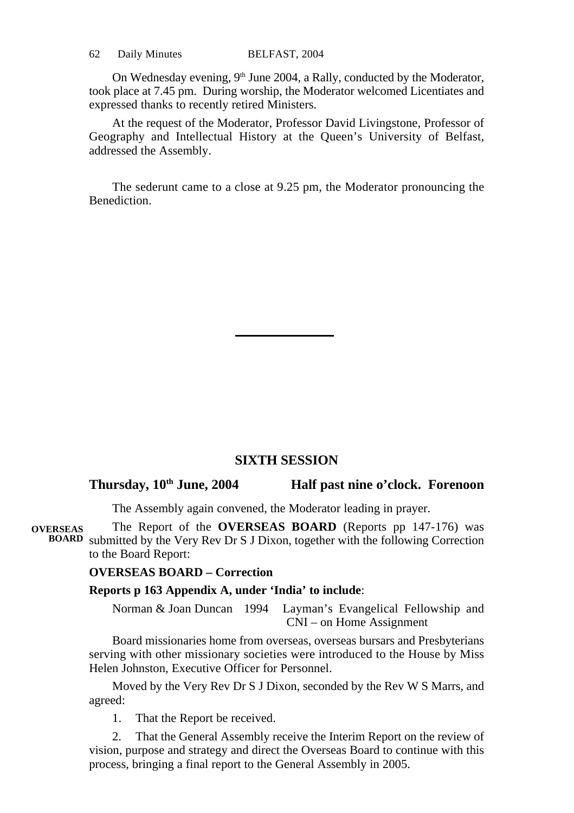| 62 | Daily Minutes | BELFAST, 2004 |
|----|---------------|---------------|
|    |               |               |

On Wednesday evening,  $9<sup>th</sup>$  June 2004, a Rally, conducted by the Moderator, took place at 7.45 pm. During worship, the Moderator welcomed Licentiates and expressed thanks to recently retired Ministers.

At the request of the Moderator, Professor David Livingstone, Professor of Geography and Intellectual History at the Queen's University of Belfast, addressed the Assembly.

The sederunt came to a close at 9.25 pm, the Moderator pronouncing the **Benediction** 

#### **SIXTH SESSION**

#### **Thursday, 10th June, 2004 Half past nine o'clock. Forenoon**

The Assembly again convened, the Moderator leading in prayer.

The Report of the **OVERSEAS BOARD** (Reports pp 147-176) was submitted by the Very Rev Dr S J Dixon, together with the following Correction **BOARD**to the Board Report: **OVERSEAS**

#### **OVERSEAS BOARD – Correction**

#### **Reports p 163 Appendix A, under 'India' to include**:

Norman & Joan Duncan 1994 Layman's Evangelical Fellowship and CNI – on Home Assignment

Board missionaries home from overseas, overseas bursars and Presbyterians serving with other missionary societies were introduced to the House by Miss Helen Johnston, Executive Officer for Personnel.

Moved by the Very Rev Dr S J Dixon, seconded by the Rev W S Marrs, and agreed:

1. That the Report be received.

2. That the General Assembly receive the Interim Report on the review of vision, purpose and strategy and direct the Overseas Board to continue with this process, bringing a final report to the General Assembly in 2005.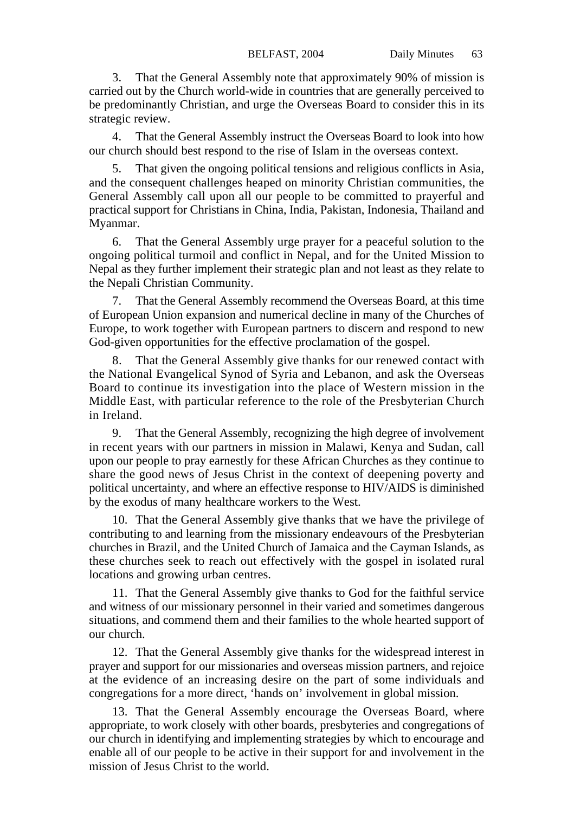3. That the General Assembly note that approximately 90% of mission is carried out by the Church world-wide in countries that are generally perceived to be predominantly Christian, and urge the Overseas Board to consider this in its strategic review.

4. That the General Assembly instruct the Overseas Board to look into how our church should best respond to the rise of Islam in the overseas context.

5. That given the ongoing political tensions and religious conflicts in Asia, and the consequent challenges heaped on minority Christian communities, the General Assembly call upon all our people to be committed to prayerful and practical support for Christians in China, India, Pakistan, Indonesia, Thailand and Myanmar.

6. That the General Assembly urge prayer for a peaceful solution to the ongoing political turmoil and conflict in Nepal, and for the United Mission to Nepal as they further implement their strategic plan and not least as they relate to the Nepali Christian Community.

7. That the General Assembly recommend the Overseas Board, at this time of European Union expansion and numerical decline in many of the Churches of Europe, to work together with European partners to discern and respond to new God-given opportunities for the effective proclamation of the gospel.

8. That the General Assembly give thanks for our renewed contact with the National Evangelical Synod of Syria and Lebanon, and ask the Overseas Board to continue its investigation into the place of Western mission in the Middle East, with particular reference to the role of the Presbyterian Church in Ireland.

9. That the General Assembly, recognizing the high degree of involvement in recent years with our partners in mission in Malawi, Kenya and Sudan, call upon our people to pray earnestly for these African Churches as they continue to share the good news of Jesus Christ in the context of deepening poverty and political uncertainty, and where an effective response to HIV/AIDS is diminished by the exodus of many healthcare workers to the West.

10. That the General Assembly give thanks that we have the privilege of contributing to and learning from the missionary endeavours of the Presbyterian churches in Brazil, and the United Church of Jamaica and the Cayman Islands, as these churches seek to reach out effectively with the gospel in isolated rural locations and growing urban centres.

11. That the General Assembly give thanks to God for the faithful service and witness of our missionary personnel in their varied and sometimes dangerous situations, and commend them and their families to the whole hearted support of our church.

12. That the General Assembly give thanks for the widespread interest in prayer and support for our missionaries and overseas mission partners, and rejoice at the evidence of an increasing desire on the part of some individuals and congregations for a more direct, 'hands on' involvement in global mission.

13. That the General Assembly encourage the Overseas Board, where appropriate, to work closely with other boards, presbyteries and congregations of our church in identifying and implementing strategies by which to encourage and enable all of our people to be active in their support for and involvement in the mission of Jesus Christ to the world.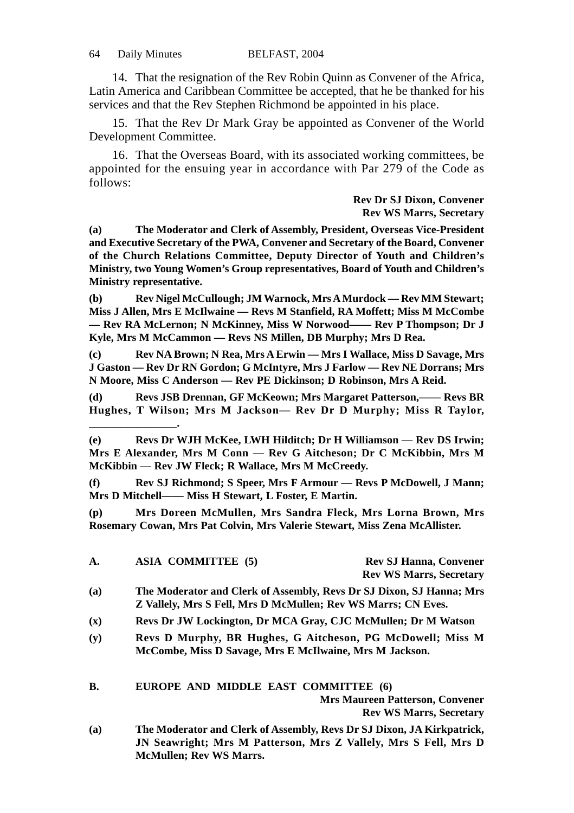14. That the resignation of the Rev Robin Quinn as Convener of the Africa, Latin America and Caribbean Committee be accepted, that he be thanked for his services and that the Rev Stephen Richmond be appointed in his place.

15. That the Rev Dr Mark Gray be appointed as Convener of the World Development Committee.

16. That the Overseas Board, with its associated working committees, be appointed for the ensuing year in accordance with Par 279 of the Code as follows:

> **Rev Dr SJ Dixon, Convener Rev WS Marrs, Secretary**

**(a) The Moderator and Clerk of Assembly, President, Overseas Vice-President and Executive Secretary of the PWA, Convener and Secretary of the Board, Convener of the Church Relations Committee, Deputy Director of Youth and Children's Ministry, two Young Women's Group representatives, Board of Youth and Children's Ministry representative.**

**(b) Rev Nigel McCullough; JM Warnock, Mrs A Murdock — Rev MM Stewart; Miss J Allen, Mrs E McIlwaine — Revs M Stanfield, RA Moffett; Miss M McCombe — Rev RA McLernon; N McKinney, Miss W Norwood—— Rev P Thompson; Dr J Kyle, Mrs M McCammon — Revs NS Millen, DB Murphy; Mrs D Rea.**

**(c) Rev NA Brown; N Rea, Mrs A Erwin — Mrs I Wallace, Miss D Savage, Mrs J Gaston — Rev Dr RN Gordon; G McIntyre, Mrs J Farlow — Rev NE Dorrans; Mrs N Moore, Miss C Anderson — Rev PE Dickinson; D Robinson, Mrs A Reid.**

**(d) Revs JSB Drennan, GF McKeown; Mrs Margaret Patterson,—— Revs BR Hughes, T Wilson; Mrs M Jackson— Rev Dr D Murphy; Miss R Taylor, \_\_\_\_\_\_\_\_\_\_\_\_\_\_\_\_.**

**(f) Rev SJ Richmond; S Speer, Mrs F Armour — Revs P McDowell, J Mann; Mrs D Mitchell—— Miss H Stewart, L Foster, E Martin.**

**(p) Mrs Doreen McMullen, Mrs Sandra Fleck, Mrs Lorna Brown, Mrs Rosemary Cowan, Mrs Pat Colvin, Mrs Valerie Stewart, Miss Zena McAllister.**

A. ASIA COMMITTEE (5) Rev SJ Hanna, Convener

**Rev WS Marrs, Secretary**

- **(a) The Moderator and Clerk of Assembly, Revs Dr SJ Dixon, SJ Hanna; Mrs Z Vallely, Mrs S Fell, Mrs D McMullen; Rev WS Marrs; CN Eves.**
- **(x) Revs Dr JW Lockington, Dr MCA Gray, CJC McMullen; Dr M Watson**
- **(y) Revs D Murphy, BR Hughes, G Aitcheson, PG McDowell; Miss M McCombe, Miss D Savage, Mrs E McIlwaine, Mrs M Jackson.**

**B. EUROPE AND MIDDLE EAST COMMITTEE (6)**

**Mrs Maureen Patterson, Convener Rev WS Marrs, Secretary**

**(a) The Moderator and Clerk of Assembly, Revs Dr SJ Dixon, JA Kirkpatrick, JN Seawright; Mrs M Patterson, Mrs Z Vallely, Mrs S Fell, Mrs D McMullen; Rev WS Marrs.**

**<sup>(</sup>e) Revs Dr WJH McKee, LWH Hilditch; Dr H Williamson — Rev DS Irwin; Mrs E Alexander, Mrs M Conn — Rev G Aitcheson; Dr C McKibbin, Mrs M McKibbin — Rev JW Fleck; R Wallace, Mrs M McCreedy.**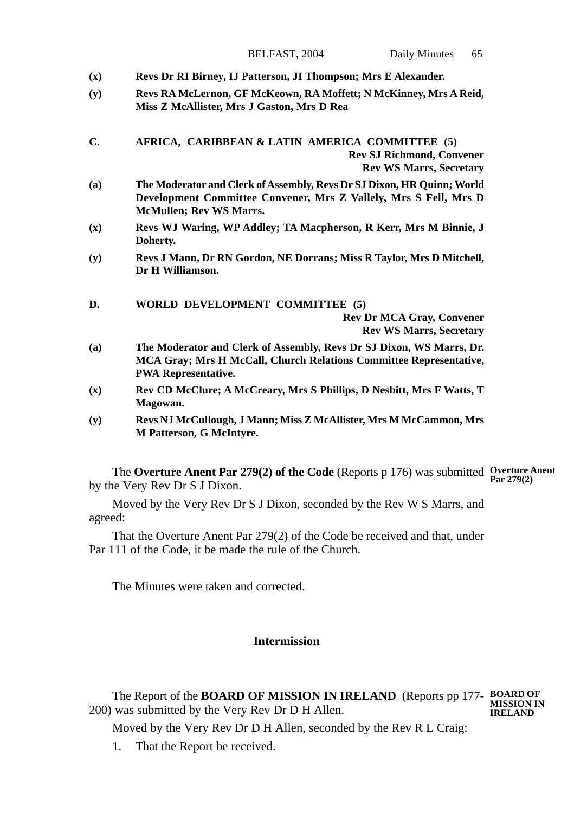| Revs Dr RI Birney, IJ Patterson, JI Thompson; Mrs E Alexander.                                                                                                                |
|-------------------------------------------------------------------------------------------------------------------------------------------------------------------------------|
| Revs RA McLernon, GF McKeown, RA Moffett; N McKinney, Mrs A Reid,<br>Miss Z McAllister, Mrs J Gaston, Mrs D Rea                                                               |
| AFRICA, CARIBBEAN & LATIN AMERICA COMMITTEE (5)<br><b>Rev SJ Richmond, Convener</b><br><b>Rev WS Marrs, Secretary</b>                                                         |
| The Moderator and Clerk of Assembly, Revs Dr SJ Dixon, HR Quinn; World<br>Development Committee Convener, Mrs Z Vallely, Mrs S Fell, Mrs D<br><b>McMullen</b> ; Rev WS Marrs. |
| Revs WJ Waring, WP Addley; TA Macpherson, R Kerr, Mrs M Binnie, J<br>Doherty.                                                                                                 |
| Revs J Mann, Dr RN Gordon, NE Dorrans; Miss R Taylor, Mrs D Mitchell,<br>Dr H Williamson.                                                                                     |
| WORLD DEVELOPMENT COMMITTEE (5)                                                                                                                                               |
| <b>Rev Dr MCA Gray, Convener</b><br><b>Rev WS Marrs, Secretary</b>                                                                                                            |
| The Moderator and Clerk of Assembly, Revs Dr SJ Dixon, WS Marrs, Dr.<br>MCA Gray; Mrs H McCall, Church Relations Committee Representative,<br><b>PWA Representative.</b>      |
| Rev CD McClure; A McCreary, Mrs S Phillips, D Nesbitt, Mrs F Watts, T<br>Magowan.                                                                                             |
| Revs NJ McCullough, J Mann; Miss Z McAllister, Mrs M McCammon, Mrs<br><b>M Patterson, G McIntyre.</b>                                                                         |

BELFAST, 2004 Daily Minutes 65

The **Overture Anent Par 279(2) of the Code** (Reports p 176) was submitted **Overture Anent Par 279(2)** by the Very Rev Dr S J Dixon.

Moved by the Very Rev Dr S J Dixon, seconded by the Rev W S Marrs, and agreed:

That the Overture Anent Par 279(2) of the Code be received and that, under Par 111 of the Code, it be made the rule of the Church.

The Minutes were taken and corrected.

# **Intermission**

The Report of the **BOARD OF MISSION IN IRELAND** (Reports pp 177- **BOARD OF MISSION IN** 200) was submitted by the Very Rev Dr D H Allen. **IRELAND**

Moved by the Very Rev Dr D H Allen, seconded by the Rev R L Craig:

1. That the Report be received.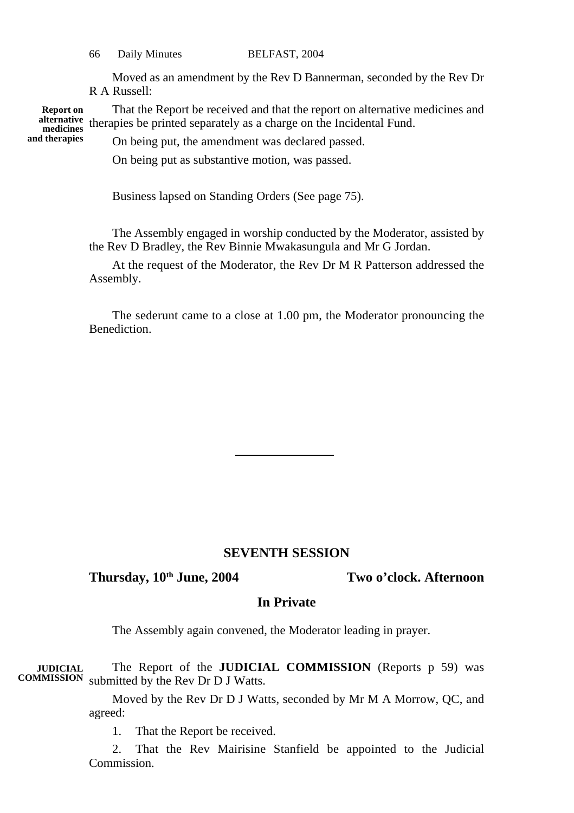| 66 | Daily Minutes | BELFAST, 2004 |  |
|----|---------------|---------------|--|
|----|---------------|---------------|--|

Moved as an amendment by the Rev D Bannerman, seconded by the Rev Dr R A Russell:

That the Report be received and that the report on alternative medicines and alternative therapies be printed separately as a charge on the Incidental Fund. **Report on medicines and therapies**

On being put, the amendment was declared passed.

On being put as substantive motion, was passed.

Business lapsed on Standing Orders (See page 75).

The Assembly engaged in worship conducted by the Moderator, assisted by the Rev D Bradley, the Rev Binnie Mwakasungula and Mr G Jordan.

At the request of the Moderator, the Rev Dr M R Patterson addressed the Assembly.

The sederunt came to a close at 1.00 pm, the Moderator pronouncing the **Benediction** 

#### **SEVENTH SESSION**

# **Thursday, 10th June, 2004 Two o'clock. Afternoon**

#### **In Private**

The Assembly again convened, the Moderator leading in prayer.

The Report of the **JUDICIAL COMMISSION** (Reports p 59) was submitted by the Rev Dr D J Watts. **JUDICIAL COMMISSION**

> Moved by the Rev Dr D J Watts, seconded by Mr M A Morrow, QC, and agreed:

1. That the Report be received.

2. That the Rev Mairisine Stanfield be appointed to the Judicial Commission.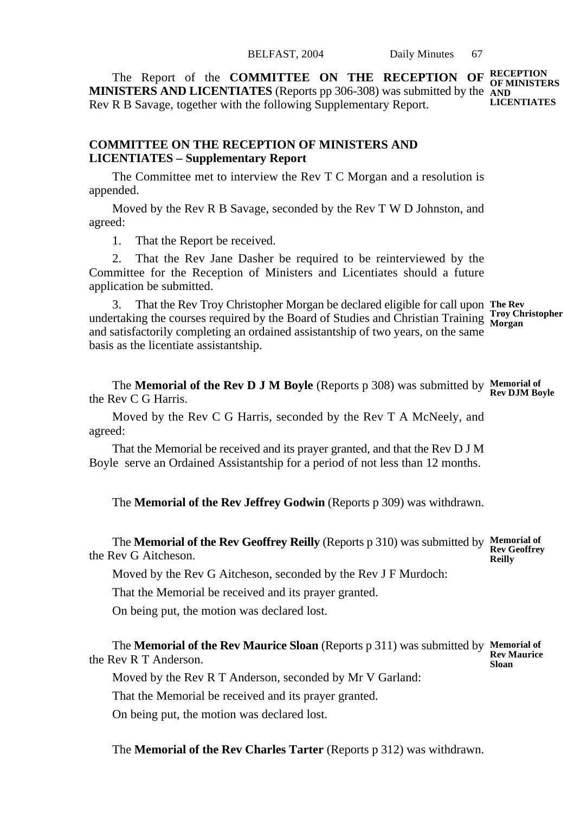The Report of the **COMMITTEE ON THE RECEPTION OF RECEPTION OF MINISTERS MINISTERS AND LICENTIATES** (Reports pp 306-308) was submitted by the **AND** Rev R B Savage, together with the following Supplementary Report. **LICENTIATES**

#### **COMMITTEE ON THE RECEPTION OF MINISTERS AND LICENTIATES – Supplementary Report**

The Committee met to interview the Rev T C Morgan and a resolution is appended.

Moved by the Rev R B Savage, seconded by the Rev T W D Johnston, and agreed:

1. That the Report be received.

2. That the Rev Jane Dasher be required to be reinterviewed by the Committee for the Reception of Ministers and Licentiates should a future application be submitted.

3. That the Rev Troy Christopher Morgan be declared eligible for call upon **The Rev** undertaking the courses required by the Board of Studies and Christian Training Norgan and satisfactorily completing an ordained assistantship of two years, on the same basis as the licentiate assistantship.

The **Memorial of the Rev D J M Boyle** (Reports p 308) was submitted by **Memorial of** Rev DJM Boyle the Rev C G Harris.

Moved by the Rev C G Harris, seconded by the Rev T A McNeely, and agreed:

That the Memorial be received and its prayer granted, and that the Rev D J M Boyle serve an Ordained Assistantship for a period of not less than 12 months.

The **Memorial of the Rev Jeffrey Godwin** (Reports p 309) was withdrawn.

The **Memorial of the Rev Geoffrey Reilly** (Reports p 310) was submitted by **Memorial of** the Rev G Aitcheson. **Rev Geoffrey Reilly**

Moved by the Rev G Aitcheson, seconded by the Rev J F Murdoch:

That the Memorial be received and its prayer granted.

On being put, the motion was declared lost.

The **Memorial of the Rev Maurice Sloan** (Reports p 311) was submitted by Memorial of Rev Maurice the Rev R T Anderson. **Sloan**

Moved by the Rev R T Anderson, seconded by Mr V Garland:

That the Memorial be received and its prayer granted.

On being put, the motion was declared lost.

The **Memorial of the Rev Charles Tarter** (Reports p 312) was withdrawn.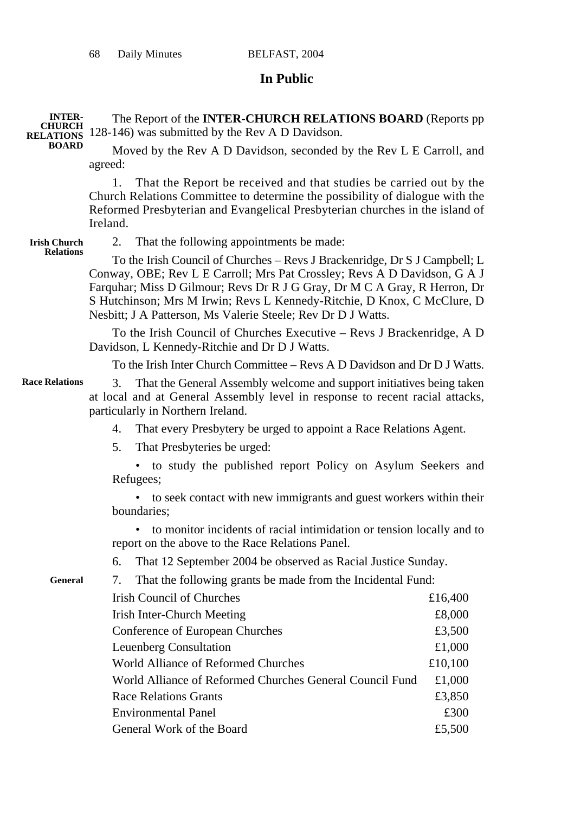# **In Public**

| <b>INTER-</b><br>CHURCH<br><b>RELATIONS</b> | The Report of the INTER-CHURCH RELATIONS BOARD (Reports pp<br>128-146) was submitted by the Rev A D Davidson.                                                                                                                                                                                                                                                                  |                                                                   |         |  |
|---------------------------------------------|--------------------------------------------------------------------------------------------------------------------------------------------------------------------------------------------------------------------------------------------------------------------------------------------------------------------------------------------------------------------------------|-------------------------------------------------------------------|---------|--|
| <b>BOARD</b>                                | Moved by the Rev A D Davidson, seconded by the Rev L E Carroll, and<br>agreed:                                                                                                                                                                                                                                                                                                 |                                                                   |         |  |
| <b>Irish Church</b><br><b>Relations</b>     | That the Report be received and that studies be carried out by the<br>1.<br>Church Relations Committee to determine the possibility of dialogue with the<br>Reformed Presbyterian and Evangelical Presbyterian churches in the island of<br>Ireland.                                                                                                                           |                                                                   |         |  |
|                                             | 2.                                                                                                                                                                                                                                                                                                                                                                             | That the following appointments be made:                          |         |  |
|                                             | To the Irish Council of Churches – Revs J Brackenridge, Dr S J Campbell; L<br>Conway, OBE; Rev L E Carroll; Mrs Pat Crossley; Revs A D Davidson, G A J<br>Farquhar; Miss D Gilmour; Revs Dr R J G Gray, Dr M C A Gray, R Herron, Dr<br>S Hutchinson; Mrs M Irwin; Revs L Kennedy-Ritchie, D Knox, C McClure, D<br>Nesbitt; J A Patterson, Ms Valerie Steele; Rev Dr D J Watts. |                                                                   |         |  |
| <b>Race Relations</b>                       | To the Irish Council of Churches Executive – Revs J Brackenridge, A D<br>Davidson, L Kennedy-Ritchie and Dr D J Watts.                                                                                                                                                                                                                                                         |                                                                   |         |  |
|                                             | To the Irish Inter Church Committee – Revs A D Davidson and Dr D J Watts.                                                                                                                                                                                                                                                                                                      |                                                                   |         |  |
|                                             | 3.<br>That the General Assembly welcome and support initiatives being taken<br>at local and at General Assembly level in response to recent racial attacks,<br>particularly in Northern Ireland.                                                                                                                                                                               |                                                                   |         |  |
|                                             | 4.                                                                                                                                                                                                                                                                                                                                                                             | That every Presbytery be urged to appoint a Race Relations Agent. |         |  |
| <b>General</b>                              | 5.<br>That Presbyteries be urged:                                                                                                                                                                                                                                                                                                                                              |                                                                   |         |  |
|                                             | to study the published report Policy on Asylum Seekers and<br>Refugees;                                                                                                                                                                                                                                                                                                        |                                                                   |         |  |
|                                             | • to seek contact with new immigrants and guest workers within their<br>boundaries:                                                                                                                                                                                                                                                                                            |                                                                   |         |  |
|                                             | to monitor incidents of racial intimidation or tension locally and to<br>report on the above to the Race Relations Panel.                                                                                                                                                                                                                                                      |                                                                   |         |  |
|                                             | 6.                                                                                                                                                                                                                                                                                                                                                                             | That 12 September 2004 be observed as Racial Justice Sunday.      |         |  |
|                                             | 7.                                                                                                                                                                                                                                                                                                                                                                             | That the following grants be made from the Incidental Fund:       |         |  |
|                                             |                                                                                                                                                                                                                                                                                                                                                                                | Irish Council of Churches                                         | £16,400 |  |
|                                             | Irish Inter-Church Meeting                                                                                                                                                                                                                                                                                                                                                     | £8,000                                                            |         |  |
|                                             | Conference of European Churches                                                                                                                                                                                                                                                                                                                                                | £3,500<br>£1,000                                                  |         |  |
|                                             | Leuenberg Consultation                                                                                                                                                                                                                                                                                                                                                         |                                                                   |         |  |
|                                             | World Alliance of Reformed Churches<br>£10,100                                                                                                                                                                                                                                                                                                                                 |                                                                   |         |  |
|                                             | World Alliance of Reformed Churches General Council Fund<br>£1,000<br><b>Race Relations Grants</b>                                                                                                                                                                                                                                                                             |                                                                   |         |  |
|                                             | £3,850<br><b>Environmental Panel</b><br>£300                                                                                                                                                                                                                                                                                                                                   |                                                                   |         |  |
|                                             |                                                                                                                                                                                                                                                                                                                                                                                | £5,500                                                            |         |  |
|                                             |                                                                                                                                                                                                                                                                                                                                                                                | General Work of the Board                                         |         |  |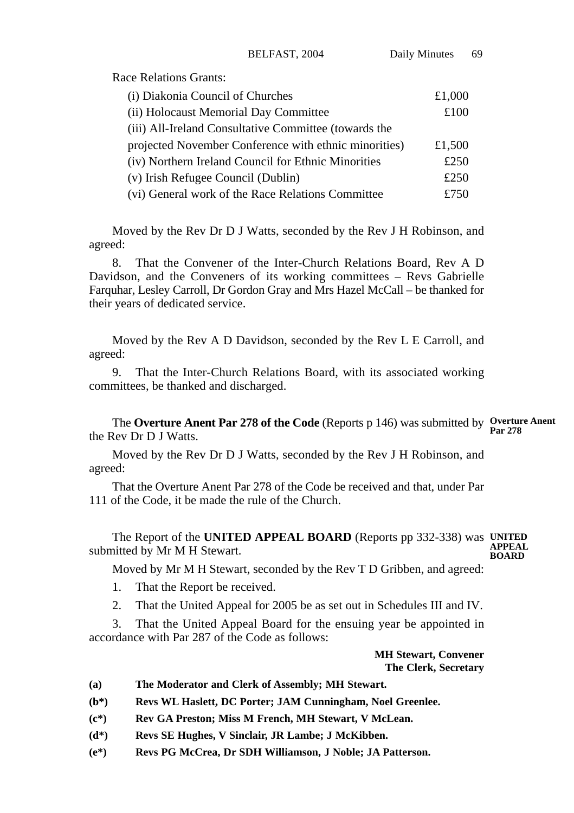Race Relations Grants:

| (i) Diakonia Council of Churches                      | £1,000 |
|-------------------------------------------------------|--------|
| (ii) Holocaust Memorial Day Committee                 | £100   |
| (iii) All-Ireland Consultative Committee (towards the |        |
| projected November Conference with ethnic minorities) | £1,500 |
| (iv) Northern Ireland Council for Ethnic Minorities   | £250   |
| (v) Irish Refugee Council (Dublin)                    | £250   |
| (vi) General work of the Race Relations Committee     | £750   |

Moved by the Rev Dr D J Watts, seconded by the Rev J H Robinson, and agreed:

8. That the Convener of the Inter-Church Relations Board, Rev A D Davidson, and the Conveners of its working committees – Revs Gabrielle Farquhar, Lesley Carroll, Dr Gordon Gray and Mrs Hazel McCall – be thanked for their years of dedicated service.

Moved by the Rev A D Davidson, seconded by the Rev L E Carroll, and agreed:

9. That the Inter-Church Relations Board, with its associated working committees, be thanked and discharged.

The **Overture Anent Par 278 of the Code** (Reports p 146) was submitted by **Overture Anent** the Rev Dr D J Watts. **Par 278**

Moved by the Rev Dr D J Watts, seconded by the Rev J H Robinson, and agreed:

That the Overture Anent Par 278 of the Code be received and that, under Par 111 of the Code, it be made the rule of the Church.

The Report of the **UNITED APPEAL BOARD** (Reports pp 332-338) was **UNITED** submitted by Mr M H Stewart. **APPEAL BOARD**

Moved by Mr M H Stewart, seconded by the Rev T D Gribben, and agreed:

- 1. That the Report be received.
- 2. That the United Appeal for 2005 be as set out in Schedules III and IV.

3. That the United Appeal Board for the ensuing year be appointed in accordance with Par 287 of the Code as follows:

> **MH Stewart, Convener The Clerk, Secretary**

- **(a) The Moderator and Clerk of Assembly; MH Stewart.**
- **(b\*) Revs WL Haslett, DC Porter; JAM Cunningham, Noel Greenlee.**
- **(c\*) Rev GA Preston; Miss M French, MH Stewart, V McLean.**
- **(d\*) Revs SE Hughes, V Sinclair, JR Lambe; J McKibben.**
- **(e\*) Revs PG McCrea, Dr SDH Williamson, J Noble; JA Patterson.**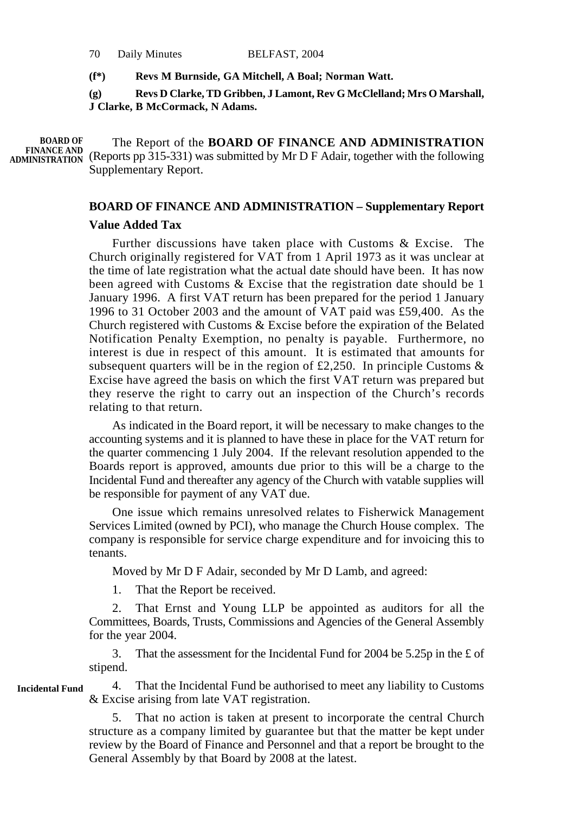70 Daily Minutes BELFAST, 2004

**(f\*) Revs M Burnside, GA Mitchell, A Boal; Norman Watt.**

**(g) Revs D Clarke, TD Gribben, J Lamont, Rev G McClelland; Mrs O Marshall, J Clarke, B McCormack, N Adams.**

The Report of the **BOARD OF FINANCE AND ADMINISTRATION FINANCE AND** (Reports pp 315-331) was submitted by Mr D F Adair, together with the following Supplementary Report. **BOARD OF**<br>**FINANCE AND** 

# **BOARD OF FINANCE AND ADMINISTRATION – Supplementary Report**

#### **Value Added Tax**

Further discussions have taken place with Customs & Excise. The Church originally registered for VAT from 1 April 1973 as it was unclear at the time of late registration what the actual date should have been. It has now been agreed with Customs & Excise that the registration date should be 1 January 1996. A first VAT return has been prepared for the period 1 January 1996 to 31 October 2003 and the amount of VAT paid was £59,400. As the Church registered with Customs & Excise before the expiration of the Belated Notification Penalty Exemption, no penalty is payable. Furthermore, no interest is due in respect of this amount. It is estimated that amounts for subsequent quarters will be in the region of £2,250. In principle Customs  $\&$ Excise have agreed the basis on which the first VAT return was prepared but they reserve the right to carry out an inspection of the Church's records relating to that return.

As indicated in the Board report, it will be necessary to make changes to the accounting systems and it is planned to have these in place for the VAT return for the quarter commencing 1 July 2004. If the relevant resolution appended to the Boards report is approved, amounts due prior to this will be a charge to the Incidental Fund and thereafter any agency of the Church with vatable supplies will be responsible for payment of any VAT due.

One issue which remains unresolved relates to Fisherwick Management Services Limited (owned by PCI), who manage the Church House complex. The company is responsible for service charge expenditure and for invoicing this to tenants.

Moved by Mr D F Adair, seconded by Mr D Lamb, and agreed:

1. That the Report be received.

2. That Ernst and Young LLP be appointed as auditors for all the Committees, Boards, Trusts, Commissions and Agencies of the General Assembly for the year 2004.

3. That the assessment for the Incidental Fund for 2004 be 5.25p in the £ of stipend.

4. That the Incidental Fund be authorised to meet any liability to Customs & Excise arising from late VAT registration. **Incidental Fund**

> 5. That no action is taken at present to incorporate the central Church structure as a company limited by guarantee but that the matter be kept under review by the Board of Finance and Personnel and that a report be brought to the General Assembly by that Board by 2008 at the latest.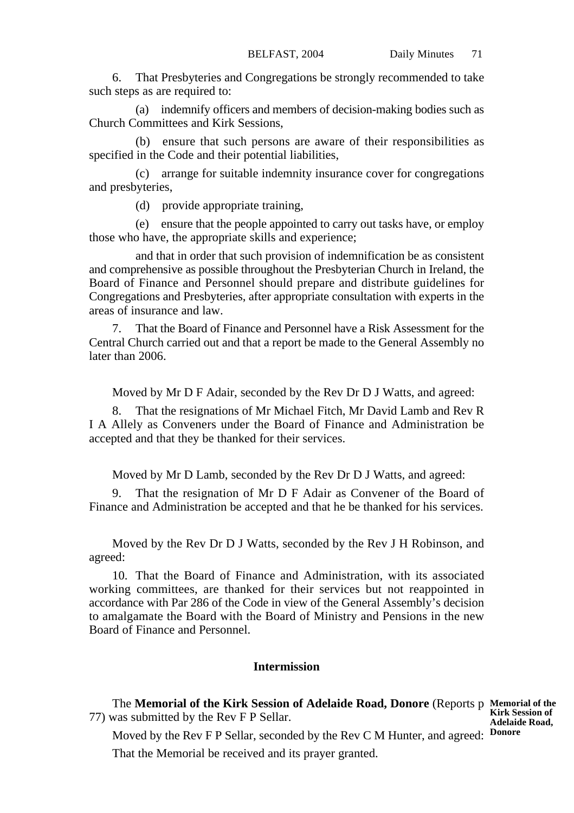6. That Presbyteries and Congregations be strongly recommended to take such steps as are required to:

(a) indemnify officers and members of decision-making bodies such as Church Committees and Kirk Sessions,

(b) ensure that such persons are aware of their responsibilities as specified in the Code and their potential liabilities.

(c) arrange for suitable indemnity insurance cover for congregations and presbyteries,

(d) provide appropriate training,

(e) ensure that the people appointed to carry out tasks have, or employ those who have, the appropriate skills and experience;

and that in order that such provision of indemnification be as consistent and comprehensive as possible throughout the Presbyterian Church in Ireland, the Board of Finance and Personnel should prepare and distribute guidelines for Congregations and Presbyteries, after appropriate consultation with experts in the areas of insurance and law.

7. That the Board of Finance and Personnel have a Risk Assessment for the Central Church carried out and that a report be made to the General Assembly no later than 2006.

Moved by Mr D F Adair, seconded by the Rev Dr D J Watts, and agreed:

8. That the resignations of Mr Michael Fitch, Mr David Lamb and Rev R I A Allely as Conveners under the Board of Finance and Administration be accepted and that they be thanked for their services.

Moved by Mr D Lamb, seconded by the Rev Dr D J Watts, and agreed:

That the resignation of Mr D F Adair as Convener of the Board of Finance and Administration be accepted and that he be thanked for his services.

Moved by the Rev Dr D J Watts, seconded by the Rev J H Robinson, and agreed:

10. That the Board of Finance and Administration, with its associated working committees, are thanked for their services but not reappointed in accordance with Par 286 of the Code in view of the General Assembly's decision to amalgamate the Board with the Board of Ministry and Pensions in the new Board of Finance and Personnel.

#### **Intermission**

The **Memorial of the Kirk Session of Adelaide Road, Donore** (Reports p **Memorial of the Kirk Session of** 77) was submitted by the Rev F P Sellar.

**Adelaide Road,**

Moved by the Rev F P Sellar, seconded by the Rev C M Hunter, and agreed: **Donore**

That the Memorial be received and its prayer granted.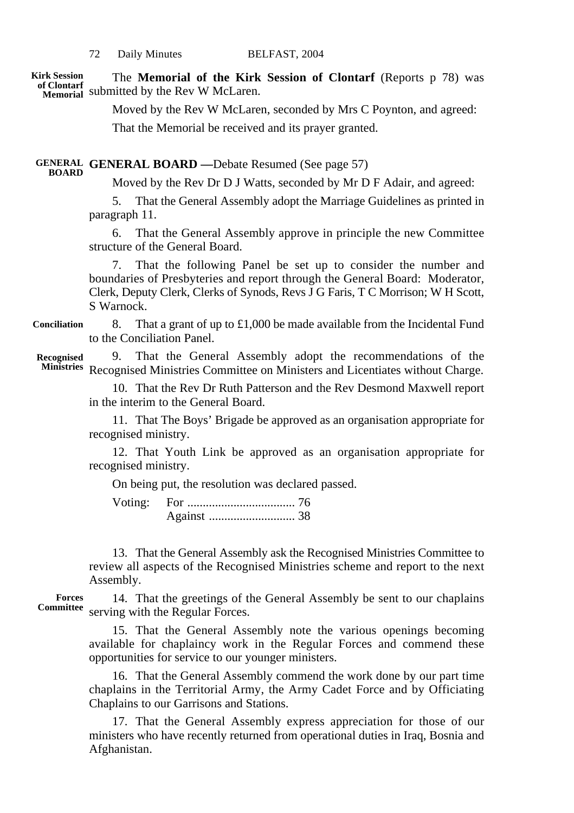The **Memorial of the Kirk Session of Clontarf** (Reports p 78) was submitted by the Rev W McLaren. **of Clontarf Memorial Kirk Session**

Moved by the Rev W McLaren, seconded by Mrs C Poynton, and agreed:

That the Memorial be received and its prayer granted.

**GENERAL BOARD ––**Debate Resumed (See page 57) **GENERAL BOARD**

Moved by the Rev Dr D J Watts, seconded by Mr D F Adair, and agreed:

5. That the General Assembly adopt the Marriage Guidelines as printed in paragraph 11.

6. That the General Assembly approve in principle the new Committee structure of the General Board.

7. That the following Panel be set up to consider the number and boundaries of Presbyteries and report through the General Board: Moderator, Clerk, Deputy Clerk, Clerks of Synods, Revs J G Faris, T C Morrison; W H Scott, S Warnock.

#### 8. That a grant of up to £1,000 be made available from the Incidental Fund to the Conciliation Panel. **Conciliation**

9. That the General Assembly adopt the recommendations of the Recognised Ministries Committee on Ministers and Licentiates without Charge. **Ministries Recognised**

> 10. That the Rev Dr Ruth Patterson and the Rev Desmond Maxwell report in the interim to the General Board.

> 11. That The Boys' Brigade be approved as an organisation appropriate for recognised ministry.

> 12. That Youth Link be approved as an organisation appropriate for recognised ministry.

On being put, the resolution was declared passed.

Voting: For ................................... 76 Against ............................ 38

13. That the General Assembly ask the Recognised Ministries Committee to review all aspects of the Recognised Ministries scheme and report to the next Assembly.

14. That the greetings of the General Assembly be sent to our chaplains serving with the Regular Forces. **Forces**

> 15. That the General Assembly note the various openings becoming available for chaplaincy work in the Regular Forces and commend these opportunities for service to our younger ministers.

> 16. That the General Assembly commend the work done by our part time chaplains in the Territorial Army, the Army Cadet Force and by Officiating Chaplains to our Garrisons and Stations.

> 17. That the General Assembly express appreciation for those of our ministers who have recently returned from operational duties in Iraq, Bosnia and Afghanistan.

**Committee**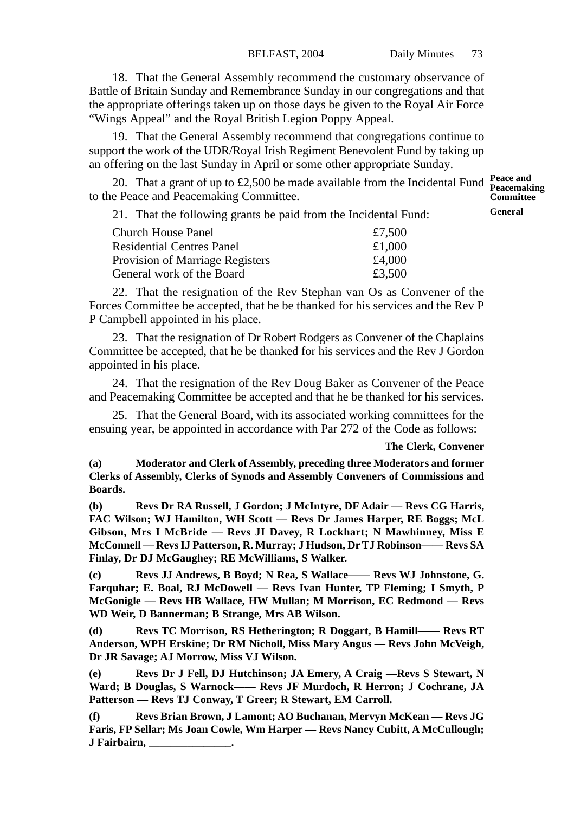18. That the General Assembly recommend the customary observance of Battle of Britain Sunday and Remembrance Sunday in our congregations and that the appropriate offerings taken up on those days be given to the Royal Air Force "Wings Appeal" and the Royal British Legion Poppy Appeal.

19. That the General Assembly recommend that congregations continue to support the work of the UDR/Royal Irish Regiment Benevolent Fund by taking up an offering on the last Sunday in April or some other appropriate Sunday.

20. That a grant of up to £2,500 be made available from the Incidental Fund **Peace and Peacemaking** to the Peace and Peacemaking Committee.

21. That the following grants be paid from the Incidental Fund:

| Church House Panel               | £7,500 |
|----------------------------------|--------|
| <b>Residential Centres Panel</b> | £1,000 |
| Provision of Marriage Registers  | £4,000 |
| General work of the Board        | £3,500 |

22. That the resignation of the Rev Stephan van Os as Convener of the Forces Committee be accepted, that he be thanked for his services and the Rev P P Campbell appointed in his place.

23. That the resignation of Dr Robert Rodgers as Convener of the Chaplains Committee be accepted, that he be thanked for his services and the Rev J Gordon appointed in his place.

24. That the resignation of the Rev Doug Baker as Convener of the Peace and Peacemaking Committee be accepted and that he be thanked for his services.

25. That the General Board, with its associated working committees for the ensuing year, be appointed in accordance with Par 272 of the Code as follows:

#### **The Clerk, Convener**

**(a) Moderator and Clerk of Assembly, preceding three Moderators and former Clerks of Assembly, Clerks of Synods and Assembly Conveners of Commissions and Boards.**

**(b) Revs Dr RA Russell, J Gordon; J McIntyre, DF Adair — Revs CG Harris, FAC Wilson; WJ Hamilton, WH Scott — Revs Dr James Harper, RE Boggs; McL Gibson, Mrs I McBride — Revs JI Davey, R Lockhart; N Mawhinney, Miss E McConnell — Revs IJ Patterson, R. Murray; J Hudson, Dr TJ Robinson—— Revs SA Finlay, Dr DJ McGaughey; RE McWilliams, S Walker.**

**(c) Revs JJ Andrews, B Boyd; N Rea, S Wallace—— Revs WJ Johnstone, G. Farquhar; E. Boal, RJ McDowell — Revs Ivan Hunter, TP Fleming; I Smyth, P McGonigle — Revs HB Wallace, HW Mullan; M Morrison, EC Redmond — Revs WD Weir, D Bannerman; B Strange, Mrs AB Wilson.**

**(d) Revs TC Morrison, RS Hetherington; R Doggart, B Hamill—— Revs RT Anderson, WPH Erskine; Dr RM Nicholl, Miss Mary Angus — Revs John McVeigh, Dr JR Savage; AJ Morrow, Miss VJ Wilson.**

**(e) Revs Dr J Fell, DJ Hutchinson; JA Emery, A Craig —Revs S Stewart, N Ward; B Douglas, S Warnock—— Revs JF Murdoch, R Herron; J Cochrane, JA Patterson — Revs TJ Conway, T Greer; R Stewart, EM Carroll.**

**(f) Revs Brian Brown, J Lamont; AO Buchanan, Mervyn McKean — Revs JG Faris, FP Sellar; Ms Joan Cowle, Wm Harper — Revs Nancy Cubitt, A McCullough; J Fairbairn, \_\_\_\_\_\_\_\_\_\_\_\_\_\_\_.**

**Committee General**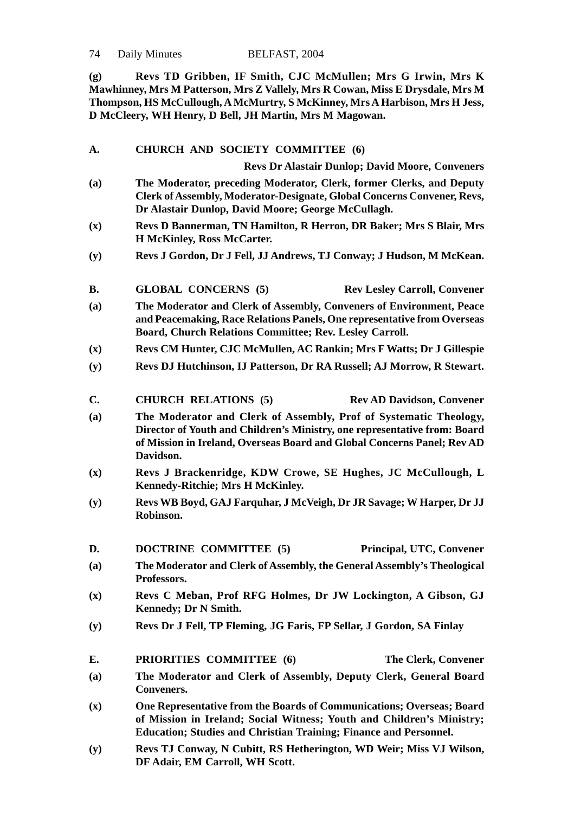|  | 74 | Daily Minutes | BELFAST, 2004 |
|--|----|---------------|---------------|
|--|----|---------------|---------------|

**(g) Revs TD Gribben, IF Smith, CJC McMullen; Mrs G Irwin, Mrs K Mawhinney, Mrs M Patterson, Mrs Z Vallely, Mrs R Cowan, Miss E Drysdale, Mrs M Thompson, HS McCullough, A McMurtry, S McKinney, Mrs A Harbison, Mrs H Jess, D McCleery, WH Henry, D Bell, JH Martin, Mrs M Magowan.**

| A.             | CHURCH AND SOCIETY COMMITTEE (6)                                                                                                                                                                                                       |
|----------------|----------------------------------------------------------------------------------------------------------------------------------------------------------------------------------------------------------------------------------------|
|                | Revs Dr Alastair Dunlop; David Moore, Conveners                                                                                                                                                                                        |
| (a)            | The Moderator, preceding Moderator, Clerk, former Clerks, and Deputy<br>Clerk of Assembly, Moderator-Designate, Global Concerns Convener, Revs,<br>Dr Alastair Dunlop, David Moore; George McCullagh.                                  |
| $(\mathbf{x})$ | Revs D Bannerman, TN Hamilton, R Herron, DR Baker; Mrs S Blair, Mrs<br><b>H McKinley, Ross McCarter.</b>                                                                                                                               |
| (y)            | Revs J Gordon, Dr J Fell, JJ Andrews, TJ Conway; J Hudson, M McKean.                                                                                                                                                                   |
| В.             | <b>GLOBAL CONCERNS (5)</b><br><b>Rev Lesley Carroll, Convener</b>                                                                                                                                                                      |
| (a)            | The Moderator and Clerk of Assembly, Conveners of Environment, Peace<br>and Peacemaking, Race Relations Panels, One representative from Overseas<br>Board, Church Relations Committee; Rev. Lesley Carroll.                            |
| (x)            | Revs CM Hunter, CJC McMullen, AC Rankin; Mrs F Watts; Dr J Gillespie                                                                                                                                                                   |
| (y)            | Revs DJ Hutchinson, IJ Patterson, Dr RA Russell; AJ Morrow, R Stewart.                                                                                                                                                                 |
| C.             | <b>CHURCH RELATIONS (5)</b><br><b>Rev AD Davidson, Convener</b>                                                                                                                                                                        |
| (a)            | The Moderator and Clerk of Assembly, Prof of Systematic Theology,<br>Director of Youth and Children's Ministry, one representative from: Board<br>of Mission in Ireland, Overseas Board and Global Concerns Panel; Rev AD<br>Davidson. |
| $(\mathbf{x})$ | Revs J Brackenridge, KDW Crowe, SE Hughes, JC McCullough, L<br>Kennedy-Ritchie; Mrs H McKinley.                                                                                                                                        |
| (y)            | Revs WB Boyd, GAJ Farquhar, J McVeigh, Dr JR Savage; W Harper, Dr JJ<br>Robinson.                                                                                                                                                      |
| D.             | DOCTRINE COMMITTEE (5)<br>Principal, UTC, Convener                                                                                                                                                                                     |
| (a)            | The Moderator and Clerk of Assembly, the General Assembly's Theological<br>Professors.                                                                                                                                                 |
| (x)            | Revs C Meban, Prof RFG Holmes, Dr JW Lockington, A Gibson, GJ<br>Kennedy; Dr N Smith.                                                                                                                                                  |
| (y)            | Revs Dr J Fell, TP Fleming, JG Faris, FP Sellar, J Gordon, SA Finlay                                                                                                                                                                   |
| E.             | PRIORITIES COMMITTEE (6)<br><b>The Clerk, Convener</b>                                                                                                                                                                                 |
| (a)            | The Moderator and Clerk of Assembly, Deputy Clerk, General Board<br>Conveners.                                                                                                                                                         |
| $(\mathbf{x})$ | <b>One Representative from the Boards of Communications; Overseas; Board</b><br>of Mission in Ireland; Social Witness; Youth and Children's Ministry;<br><b>Education; Studies and Christian Training; Finance and Personnel.</b>      |
| (y)            | Revs TJ Conway, N Cubitt, RS Hetherington, WD Weir; Miss VJ Wilson,<br>DF Adair, EM Carroll, WH Scott.                                                                                                                                 |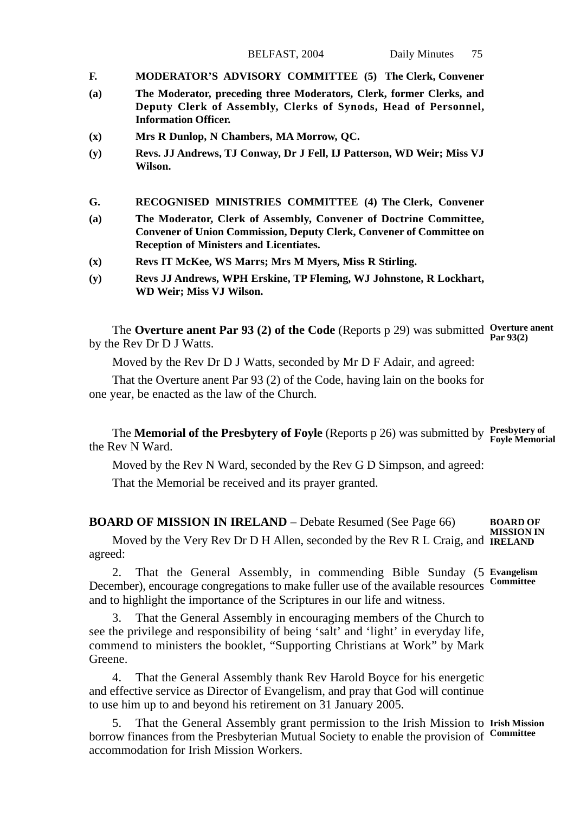- **F. MODERATOR'S ADVISORY COMMITTEE (5) The Clerk, Convener**
- **(a) The Moderator, preceding three Moderators, Clerk, former Clerks, and Deputy Clerk of Assembly, Clerks of Synods, Head of Personnel, Information Officer.**
- **(x) Mrs R Dunlop, N Chambers, MA Morrow, QC.**
- **(y) Revs. JJ Andrews, TJ Conway, Dr J Fell, IJ Patterson, WD Weir; Miss VJ Wilson.**
- **G. RECOGNISED MINISTRIES COMMITTEE (4) The Clerk, Convener**
- **(a) The Moderator, Clerk of Assembly, Convener of Doctrine Committee, Convener of Union Commission, Deputy Clerk, Convener of Committee on Reception of Ministers and Licentiates.**
- **(x) Revs IT McKee, WS Marrs; Mrs M Myers, Miss R Stirling.**
- **(y) Revs JJ Andrews, WPH Erskine, TP Fleming, WJ Johnstone, R Lockhart, WD Weir; Miss VJ Wilson.**

The **Overture anent Par 93 (2) of the Code** (Reports p 29) was submitted **Overture anent** by the Rev Dr D J Watts. **Par 93(2)**

Moved by the Rev Dr D J Watts, seconded by Mr D F Adair, and agreed:

That the Overture anent Par 93 (2) of the Code, having lain on the books for one year, be enacted as the law of the Church.

The **Memorial of the Presbytery of Foyle** (Reports p 26) was submitted by **Presbytery of Foyle Memorial** the Rev N Ward.

Moved by the Rev N Ward, seconded by the Rev G D Simpson, and agreed:

That the Memorial be received and its prayer granted.

| <b>BOARD OF MISSION IN IRELAND</b> – Debate Resumed (See Page 66)                     | <b>BOARD OF</b>   |
|---------------------------------------------------------------------------------------|-------------------|
| Moved by the Very Rev Dr D H Allen, seconded by the Rev R L Craig, and <b>IRELAND</b> | <b>MISSION IN</b> |
| agreed:                                                                               |                   |

2. That the General Assembly, in commending Bible Sunday (5 **Evangelism** December), encourage congregations to make fuller use of the available resources **Committee** and to highlight the importance of the Scriptures in our life and witness.

3. That the General Assembly in encouraging members of the Church to see the privilege and responsibility of being 'salt' and 'light' in everyday life, commend to ministers the booklet, "Supporting Christians at Work" by Mark Greene.

4. That the General Assembly thank Rev Harold Boyce for his energetic and effective service as Director of Evangelism, and pray that God will continue to use him up to and beyond his retirement on 31 January 2005.

5. That the General Assembly grant permission to the Irish Mission to **Irish Mission** borrow finances from the Presbyterian Mutual Society to enable the provision of **Committee**accommodation for Irish Mission Workers.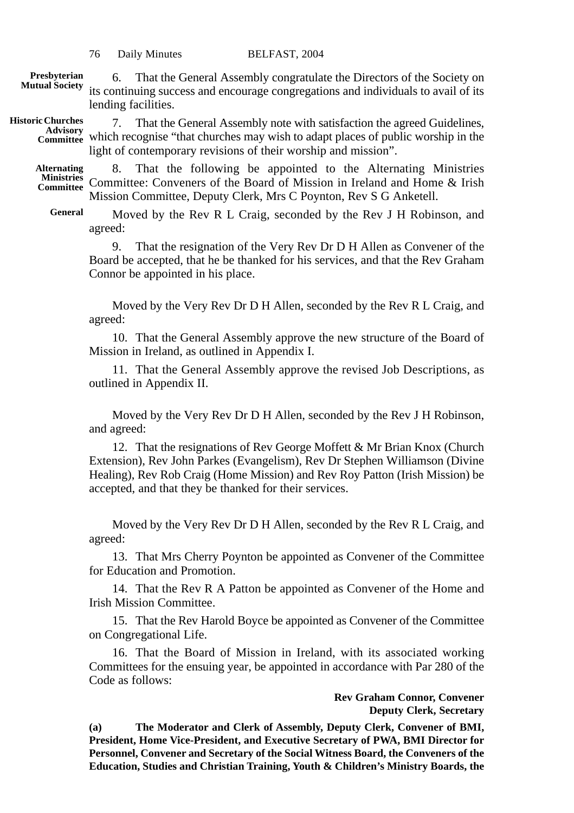6. That the General Assembly congratulate the Directors of the Society on its continuing success and encourage congregations and individuals to avail of its lending facilities. **Mutual Society**

7. That the General Assembly note with satisfaction the agreed Guidelines, Advisory<br> **Committee** which recognise "that churches may wish to adapt places of public worship in the light of contemporary revisions of their worship and mission". **Historic Churches**

8. That the following be appointed to the Alternating Ministries Committee: Conveners of the Board of Mission in Ireland and Home & Irish Mission Committee, Deputy Clerk, Mrs C Poynton, Rev S G Anketell. **Alternating Ministries Committee**

Moved by the Rev R L Craig, seconded by the Rev J H Robinson, and agreed: **General**

9. That the resignation of the Very Rev Dr D H Allen as Convener of the Board be accepted, that he be thanked for his services, and that the Rev Graham Connor be appointed in his place.

Moved by the Very Rev Dr D H Allen, seconded by the Rev R L Craig, and agreed:

10. That the General Assembly approve the new structure of the Board of Mission in Ireland, as outlined in Appendix I.

11. That the General Assembly approve the revised Job Descriptions, as outlined in Appendix II.

Moved by the Very Rev Dr D H Allen, seconded by the Rev J H Robinson, and agreed:

12. That the resignations of Rev George Moffett & Mr Brian Knox (Church Extension), Rev John Parkes (Evangelism), Rev Dr Stephen Williamson (Divine Healing), Rev Rob Craig (Home Mission) and Rev Roy Patton (Irish Mission) be accepted, and that they be thanked for their services.

Moved by the Very Rev Dr D H Allen, seconded by the Rev R L Craig, and agreed:

13. That Mrs Cherry Poynton be appointed as Convener of the Committee for Education and Promotion.

14. That the Rev R A Patton be appointed as Convener of the Home and Irish Mission Committee.

15. That the Rev Harold Boyce be appointed as Convener of the Committee on Congregational Life.

16. That the Board of Mission in Ireland, with its associated working Committees for the ensuing year, be appointed in accordance with Par 280 of the Code as follows:

> **Rev Graham Connor, Convener Deputy Clerk, Secretary**

**(a) The Moderator and Clerk of Assembly, Deputy Clerk, Convener of BMI, President, Home Vice-President, and Executive Secretary of PWA, BMI Director for Personnel, Convener and Secretary of the Social Witness Board, the Conveners of the Education, Studies and Christian Training, Youth & Children's Ministry Boards, the**

**Presbyterian**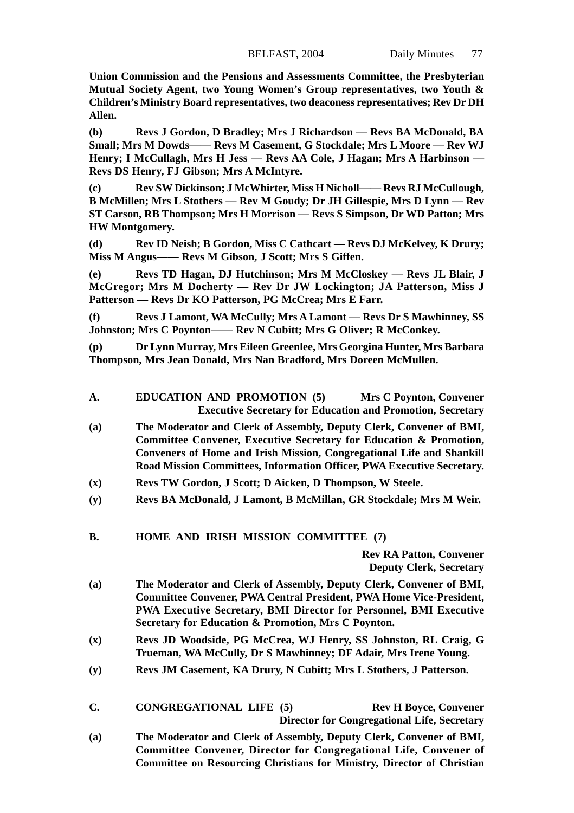**Union Commission and the Pensions and Assessments Committee, the Presbyterian Mutual Society Agent, two Young Women's Group representatives, two Youth & Children's Ministry Board representatives, two deaconess representatives; Rev Dr DH Allen.**

**(b) Revs J Gordon, D Bradley; Mrs J Richardson — Revs BA McDonald, BA Small; Mrs M Dowds—— Revs M Casement, G Stockdale; Mrs L Moore — Rev WJ Henry; I McCullagh, Mrs H Jess — Revs AA Cole, J Hagan; Mrs A Harbinson — Revs DS Henry, FJ Gibson; Mrs A McIntyre.**

**(c) Rev SW Dickinson; J McWhirter, Miss H Nicholl—— Revs RJ McCullough, B McMillen; Mrs L Stothers — Rev M Goudy; Dr JH Gillespie, Mrs D Lynn — Rev ST Carson, RB Thompson; Mrs H Morrison — Revs S Simpson, Dr WD Patton; Mrs HW Montgomery.**

**(d) Rev ID Neish; B Gordon, Miss C Cathcart — Revs DJ McKelvey, K Drury; Miss M Angus—— Revs M Gibson, J Scott; Mrs S Giffen.**

**(e) Revs TD Hagan, DJ Hutchinson; Mrs M McCloskey — Revs JL Blair, J McGregor; Mrs M Docherty — Rev Dr JW Lockington; JA Patterson, Miss J Patterson — Revs Dr KO Patterson, PG McCrea; Mrs E Farr.**

**(f) Revs J Lamont, WA McCully; Mrs A Lamont — Revs Dr S Mawhinney, SS Johnston; Mrs C Poynton—— Rev N Cubitt; Mrs G Oliver; R McConkey.**

**(p) Dr Lynn Murray, Mrs Eileen Greenlee, Mrs Georgina Hunter, Mrs Barbara Thompson, Mrs Jean Donald, Mrs Nan Bradford, Mrs Doreen McMullen.**

- **A. EDUCATION AND PROMOTION (5) Mrs C Poynton, Convener Executive Secretary for Education and Promotion, Secretary**
- **(a) The Moderator and Clerk of Assembly, Deputy Clerk, Convener of BMI, Committee Convener, Executive Secretary for Education & Promotion, Conveners of Home and Irish Mission, Congregational Life and Shankill Road Mission Committees, Information Officer, PWA Executive Secretary.**
- **(x) Revs TW Gordon, J Scott; D Aicken, D Thompson, W Steele.**
- **(y) Revs BA McDonald, J Lamont, B McMillan, GR Stockdale; Mrs M Weir.**
- **B. HOME AND IRISH MISSION COMMITTEE (7)**

**Rev RA Patton, Convener Deputy Clerk, Secretary**

- **(a) The Moderator and Clerk of Assembly, Deputy Clerk, Convener of BMI, Committee Convener, PWA Central President, PWA Home Vice-President, PWA Executive Secretary, BMI Director for Personnel, BMI Executive Secretary for Education & Promotion, Mrs C Poynton.**
- **(x) Revs JD Woodside, PG McCrea, WJ Henry, SS Johnston, RL Craig, G Trueman, WA McCully, Dr S Mawhinney; DF Adair, Mrs Irene Young.**
- **(y) Revs JM Casement, KA Drury, N Cubitt; Mrs L Stothers, J Patterson.**

**C. CONGREGATIONAL LIFE (5) Rev H Boyce, Convener Director for Congregational Life, Secretary**

**(a) The Moderator and Clerk of Assembly, Deputy Clerk, Convener of BMI, Committee Convener, Director for Congregational Life, Convener of Committee on Resourcing Christians for Ministry, Director of Christian**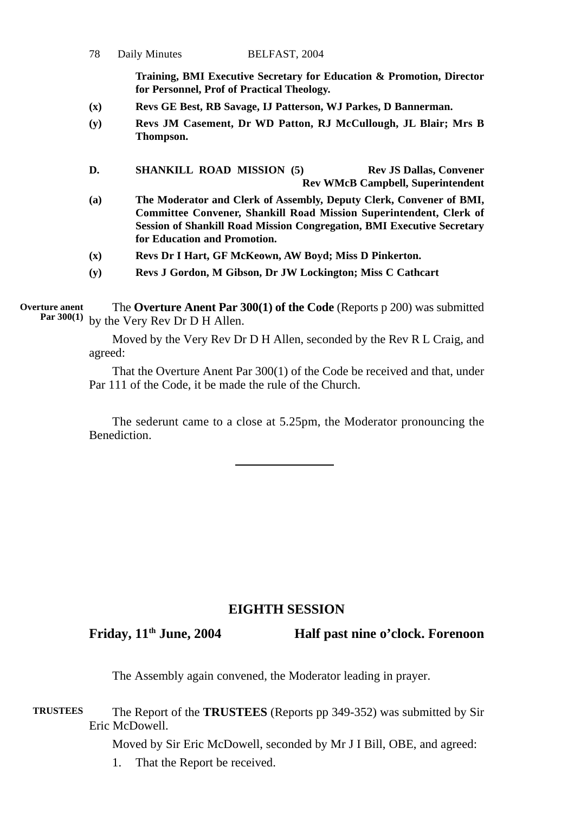| 78 | Daily Minutes | BELFAST, 2004 |  |
|----|---------------|---------------|--|
|    |               |               |  |

**Training, BMI Executive Secretary for Education & Promotion, Director for Personnel, Prof of Practical Theology.**

- **(x) Revs GE Best, RB Savage, IJ Patterson, WJ Parkes, D Bannerman.**
- **(y) Revs JM Casement, Dr WD Patton, RJ McCullough, JL Blair; Mrs B Thompson.**
- **D. SHANKILL ROAD MISSION** (5) **Rev JS Dallas, Convener Rev WMcB Campbell, Superintendent**
- **(a) The Moderator and Clerk of Assembly, Deputy Clerk, Convener of BMI, Committee Convener, Shankill Road Mission Superintendent, Clerk of Session of Shankill Road Mission Congregation, BMI Executive Secretary for Education and Promotion.**
- **(x) Revs Dr I Hart, GF McKeown, AW Boyd; Miss D Pinkerton.**
- **(y) Revs J Gordon, M Gibson, Dr JW Lockington; Miss C Cathcart**

The **Overture Anent Par 300(1) of the Code** (Reports p 200) was submitted Par 300(1) by the Very Rev Dr D H Allen. **Overture anent**

> Moved by the Very Rev Dr D H Allen, seconded by the Rev R L Craig, and agreed:

> That the Overture Anent Par 300(1) of the Code be received and that, under Par 111 of the Code, it be made the rule of the Church.

> The sederunt came to a close at 5.25pm, the Moderator pronouncing the Benediction.

#### **EIGHTH SESSION**

**Friday, 11th June, 2004 Half past nine o'clock. Forenoon**

The Assembly again convened, the Moderator leading in prayer.

The Report of the **TRUSTEES** (Reports pp 349-352) was submitted by Sir Eric McDowell. **TRUSTEES**

Moved by Sir Eric McDowell, seconded by Mr J I Bill, OBE, and agreed:

1. That the Report be received.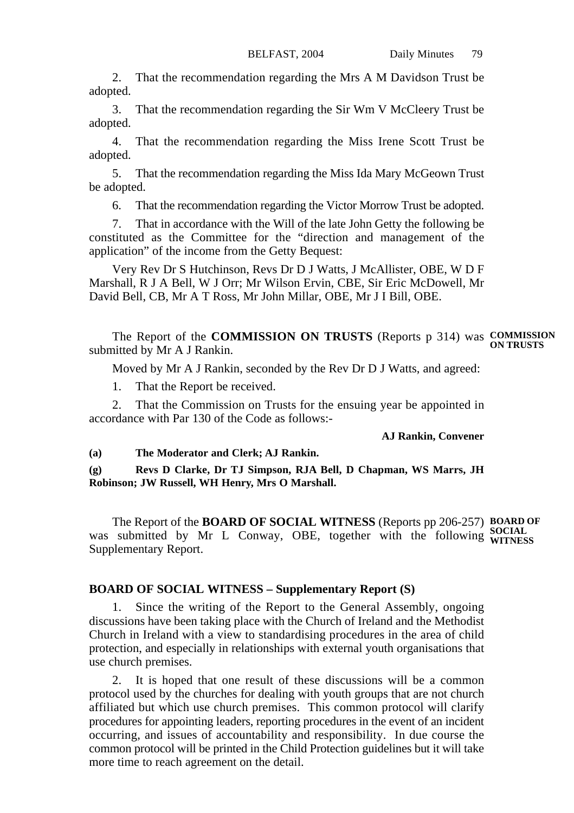2. That the recommendation regarding the Mrs A M Davidson Trust be adopted.

3. That the recommendation regarding the Sir Wm V McCleery Trust be adopted.

4. That the recommendation regarding the Miss Irene Scott Trust be adopted.

5. That the recommendation regarding the Miss Ida Mary McGeown Trust be adopted.

6. That the recommendation regarding the Victor Morrow Trust be adopted.

7. That in accordance with the Will of the late John Getty the following be constituted as the Committee for the "direction and management of the application" of the income from the Getty Bequest:

Very Rev Dr S Hutchinson, Revs Dr D J Watts, J McAllister, OBE, W D F Marshall, R J A Bell, W J Orr; Mr Wilson Ervin, CBE, Sir Eric McDowell, Mr David Bell, CB, Mr A T Ross, Mr John Millar, OBE, Mr J I Bill, OBE.

The Report of the **COMMISSION ON TRUSTS** (Reports p 314) was **COMMISSION ON TRUSTS** submitted by Mr A J Rankin.

Moved by Mr A J Rankin, seconded by the Rev Dr D J Watts, and agreed:

1. That the Report be received.

2. That the Commission on Trusts for the ensuing year be appointed in accordance with Par 130 of the Code as follows:-

#### **AJ Rankin, Convener**

**(a) The Moderator and Clerk; AJ Rankin.**

**(g) Revs D Clarke, Dr TJ Simpson, RJA Bell, D Chapman, WS Marrs, JH Robinson; JW Russell, WH Henry, Mrs O Marshall.**

The Report of the **BOARD OF SOCIAL WITNESS** (Reports pp 206-257) **BOARD OF** was submitted by Mr L Conway, OBE, together with the following **SOCIAL** Supplementary Report.

#### **BOARD OF SOCIAL WITNESS – Supplementary Report (S)**

1. Since the writing of the Report to the General Assembly, ongoing discussions have been taking place with the Church of Ireland and the Methodist Church in Ireland with a view to standardising procedures in the area of child protection, and especially in relationships with external youth organisations that use church premises.

2. It is hoped that one result of these discussions will be a common protocol used by the churches for dealing with youth groups that are not church affiliated but which use church premises. This common protocol will clarify procedures for appointing leaders, reporting procedures in the event of an incident occurring, and issues of accountability and responsibility. In due course the common protocol will be printed in the Child Protection guidelines but it will take more time to reach agreement on the detail.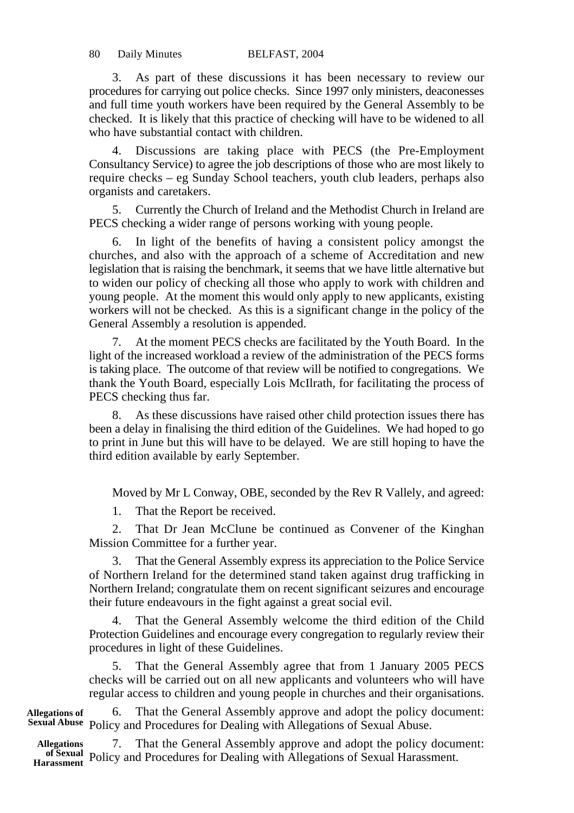#### 80 Daily Minutes BELFAST, 2004

3. As part of these discussions it has been necessary to review our procedures for carrying out police checks. Since 1997 only ministers, deaconesses and full time youth workers have been required by the General Assembly to be checked. It is likely that this practice of checking will have to be widened to all who have substantial contact with children.

4. Discussions are taking place with PECS (the Pre-Employment Consultancy Service) to agree the job descriptions of those who are most likely to require checks – eg Sunday School teachers, youth club leaders, perhaps also organists and caretakers.

5. Currently the Church of Ireland and the Methodist Church in Ireland are PECS checking a wider range of persons working with young people.

6. In light of the benefits of having a consistent policy amongst the churches, and also with the approach of a scheme of Accreditation and new legislation that is raising the benchmark, it seems that we have little alternative but to widen our policy of checking all those who apply to work with children and young people. At the moment this would only apply to new applicants, existing workers will not be checked. As this is a significant change in the policy of the General Assembly a resolution is appended.

At the moment PECS checks are facilitated by the Youth Board. In the light of the increased workload a review of the administration of the PECS forms is taking place. The outcome of that review will be notified to congregations. We thank the Youth Board, especially Lois McIlrath, for facilitating the process of PECS checking thus far.

8. As these discussions have raised other child protection issues there has been a delay in finalising the third edition of the Guidelines. We had hoped to go to print in June but this will have to be delayed. We are still hoping to have the third edition available by early September.

Moved by Mr L Conway, OBE, seconded by the Rev R Vallely, and agreed:

1. That the Report be received.

2. That Dr Jean McClune be continued as Convener of the Kinghan Mission Committee for a further year.

3. That the General Assembly express its appreciation to the Police Service of Northern Ireland for the determined stand taken against drug trafficking in Northern Ireland; congratulate them on recent significant seizures and encourage their future endeavours in the fight against a great social evil.

That the General Assembly welcome the third edition of the Child Protection Guidelines and encourage every congregation to regularly review their procedures in light of these Guidelines.

5. That the General Assembly agree that from 1 January 2005 PECS checks will be carried out on all new applicants and volunteers who will have regular access to children and young people in churches and their organisations.

6. That the General Assembly approve and adopt the policy document: Sexual Abuse Policy and Procedures for Dealing with Allegations of Sexual Abuse. **Allegations of**

7. That the General Assembly approve and adopt the policy document: Policy and Procedures for Dealing with Allegations of Sexual Harassment. **of Sexual HarassmentAllegations**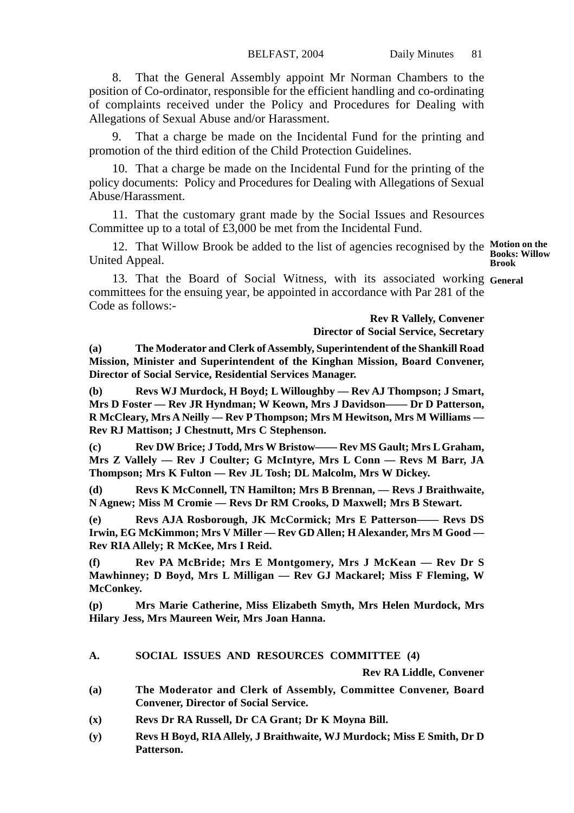8. That the General Assembly appoint Mr Norman Chambers to the position of Co-ordinator, responsible for the efficient handling and co-ordinating of complaints received under the Policy and Procedures for Dealing with Allegations of Sexual Abuse and/or Harassment.

9. That a charge be made on the Incidental Fund for the printing and promotion of the third edition of the Child Protection Guidelines.

10. That a charge be made on the Incidental Fund for the printing of the policy documents: Policy and Procedures for Dealing with Allegations of Sexual Abuse/Harassment.

11. That the customary grant made by the Social Issues and Resources Committee up to a total of £3,000 be met from the Incidental Fund.

12. That Willow Brook be added to the list of agencies recognised by the **Motion on the Books: Willow** United Appeal.

**Brook**

13. That the Board of Social Witness, with its associated working **General**committees for the ensuing year, be appointed in accordance with Par 281 of the Code as follows:-

> **Rev R Vallely, Convener Director of Social Service, Secretary**

**(a) The Moderator and Clerk of Assembly, Superintendent of the Shankill Road Mission, Minister and Superintendent of the Kinghan Mission, Board Convener, Director of Social Service, Residential Services Manager.**

**(b) Revs WJ Murdock, H Boyd; L Willoughby — Rev AJ Thompson; J Smart, Mrs D Foster — Rev JR Hyndman; W Keown, Mrs J Davidson—— Dr D Patterson, R McCleary, Mrs A Neilly — Rev P Thompson; Mrs M Hewitson, Mrs M Williams — Rev RJ Mattison; J Chestnutt, Mrs C Stephenson.**

**(c) Rev DW Brice; J Todd, Mrs W Bristow—— Rev MS Gault; Mrs L Graham, Mrs Z Vallely — Rev J Coulter; G McIntyre, Mrs L Conn — Revs M Barr, JA Thompson; Mrs K Fulton — Rev JL Tosh; DL Malcolm, Mrs W Dickey.**

**(d) Revs K McConnell, TN Hamilton; Mrs B Brennan, — Revs J Braithwaite, N Agnew; Miss M Cromie — Revs Dr RM Crooks, D Maxwell; Mrs B Stewart.**

**(e) Revs AJA Rosborough, JK McCormick; Mrs E Patterson—— Revs DS Irwin, EG McKimmon; Mrs V Miller — Rev GD Allen; H Alexander, Mrs M Good — Rev RIA Allely; R McKee, Mrs I Reid.**

**(f) Rev PA McBride; Mrs E Montgomery, Mrs J McKean — Rev Dr S Mawhinney; D Boyd, Mrs L Milligan — Rev GJ Mackarel; Miss F Fleming, W McConkey.**

**(p) Mrs Marie Catherine, Miss Elizabeth Smyth, Mrs Helen Murdock, Mrs Hilary Jess, Mrs Maureen Weir, Mrs Joan Hanna.**

**A. SOCIAL ISSUES AND RESOURCES COMMITTEE (4)**

**Rev RA Liddle, Convener**

- **(a) The Moderator and Clerk of Assembly, Committee Convener, Board Convener, Director of Social Service.**
- **(x) Revs Dr RA Russell, Dr CA Grant; Dr K Moyna Bill.**
- **(y) Revs H Boyd, RIA Allely, J Braithwaite, WJ Murdock; Miss E Smith, Dr D Patterson.**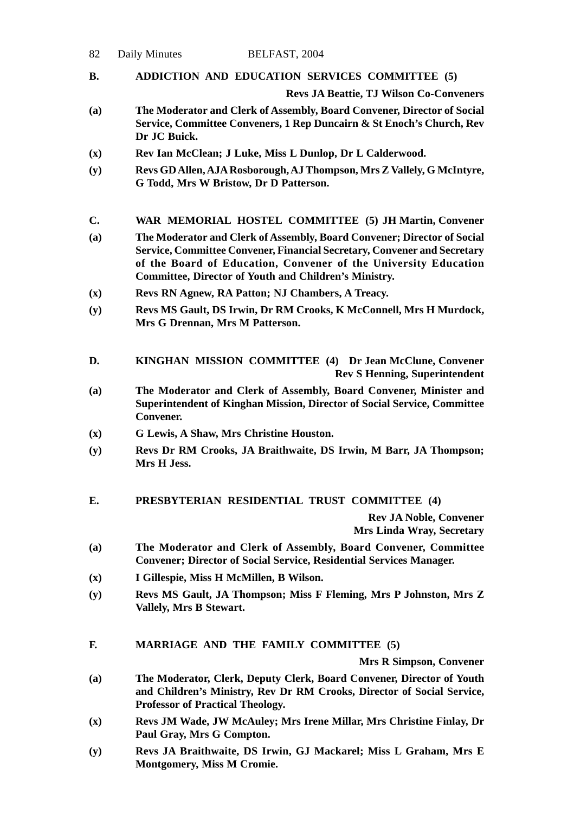- 82 Daily Minutes BELFAST, 2004
- **B. ADDICTION AND EDUCATION SERVICES COMMITTEE (5)**

**Revs JA Beattie, TJ Wilson Co-Conveners**

- **(a) The Moderator and Clerk of Assembly, Board Convener, Director of Social Service, Committee Conveners, 1 Rep Duncairn & St Enoch's Church, Rev Dr JC Buick.**
- **(x) Rev Ian McClean; J Luke, Miss L Dunlop, Dr L Calderwood.**
- **(y) Revs GD Allen, AJA Rosborough, AJ Thompson, Mrs Z Vallely, G McIntyre, G Todd, Mrs W Bristow, Dr D Patterson.**
- **C. WAR MEMORIAL HOSTEL COMMITTEE (5) JH Martin, Convener**
- **(a) The Moderator and Clerk of Assembly, Board Convener; Director of Social Service, Committee Convener, Financial Secretary, Convener and Secretary of the Board of Education, Convener of the University Education Committee, Director of Youth and Children's Ministry.**
- **(x) Revs RN Agnew, RA Patton; NJ Chambers, A Treacy.**
- **(y) Revs MS Gault, DS Irwin, Dr RM Crooks, K McConnell, Mrs H Murdock, Mrs G Drennan, Mrs M Patterson.**
- **D. KINGHAN MISSION COMMITTEE (4) Dr Jean McClune, Convener Rev S Henning, Superintendent**
- **(a) The Moderator and Clerk of Assembly, Board Convener, Minister and Superintendent of Kinghan Mission, Director of Social Service, Committee Convener.**
- **(x) G Lewis, A Shaw, Mrs Christine Houston.**
- **(y) Revs Dr RM Crooks, JA Braithwaite, DS Irwin, M Barr, JA Thompson; Mrs H Jess.**

#### **E. PRESBYTERIAN RESIDENTIAL TRUST COMMITTEE (4)**

**Rev JA Noble, Convener Mrs Linda Wray, Secretary**

- **(a) The Moderator and Clerk of Assembly, Board Convener, Committee Convener; Director of Social Service, Residential Services Manager.**
- **(x) I Gillespie, Miss H McMillen, B Wilson.**
- **(y) Revs MS Gault, JA Thompson; Miss F Fleming, Mrs P Johnston, Mrs Z Vallely, Mrs B Stewart.**

**F. MARRIAGE AND THE FAMILY COMMITTEE (5)**

**Mrs R Simpson, Convener**

- **(a) The Moderator, Clerk, Deputy Clerk, Board Convener, Director of Youth and Children's Ministry, Rev Dr RM Crooks, Director of Social Service, Professor of Practical Theology.**
- **(x) Revs JM Wade, JW McAuley; Mrs Irene Millar, Mrs Christine Finlay, Dr Paul Gray, Mrs G Compton.**
- **(y) Revs JA Braithwaite, DS Irwin, GJ Mackarel; Miss L Graham, Mrs E Montgomery, Miss M Cromie.**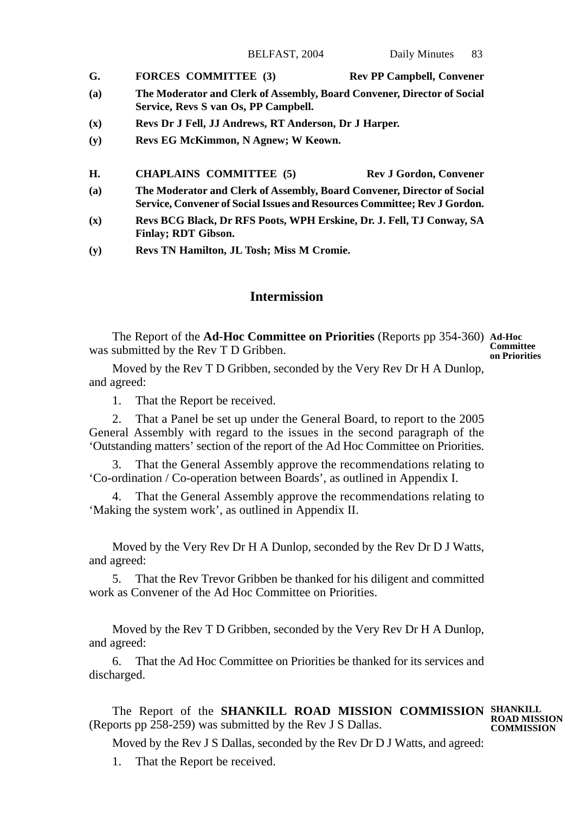- G. FORCES COMMITTEE (3) Rev PP Campbell, Convener
- **(a) The Moderator and Clerk of Assembly, Board Convener, Director of Social Service, Revs S van Os, PP Campbell.**
- **(x) Revs Dr J Fell, JJ Andrews, RT Anderson, Dr J Harper.**
- **(y) Revs EG McKimmon, N Agnew; W Keown.**
- **H. CHAPLAINS COMMITTEE (5) Rev J Gordon, Convener**
- **(a) The Moderator and Clerk of Assembly, Board Convener, Director of Social Service, Convener of Social Issues and Resources Committee; Rev J Gordon.**
- **(x) Revs BCG Black, Dr RFS Poots, WPH Erskine, Dr. J. Fell, TJ Conway, SA Finlay; RDT Gibson.**
- **(y) Revs TN Hamilton, JL Tosh; Miss M Cromie.**

#### **Intermission**

The Report of the **Ad-Hoc Committee on Priorities** (Reports pp 354-360) **Ad-Hoc** was submitted by the Rev T D Gribben.

**Committee on Priorities**

Moved by the Rev T D Gribben, seconded by the Very Rev Dr H A Dunlop, and agreed:

1. That the Report be received.

2. That a Panel be set up under the General Board, to report to the 2005 General Assembly with regard to the issues in the second paragraph of the 'Outstanding matters' section of the report of the Ad Hoc Committee on Priorities.

3. That the General Assembly approve the recommendations relating to 'Co-ordination / Co-operation between Boards', as outlined in Appendix I.

4. That the General Assembly approve the recommendations relating to 'Making the system work', as outlined in Appendix II.

Moved by the Very Rev Dr H A Dunlop, seconded by the Rev Dr D J Watts, and agreed:

5. That the Rev Trevor Gribben be thanked for his diligent and committed work as Convener of the Ad Hoc Committee on Priorities.

Moved by the Rev T D Gribben, seconded by the Very Rev Dr H A Dunlop, and agreed:

6. That the Ad Hoc Committee on Priorities be thanked for its services and discharged.

The Report of the **SHANKILL ROAD MISSION COMMISSION SHANKILL ROAD MISSION** (Reports pp 258-259) was submitted by the Rev J S Dallas. **COMMISSION**

Moved by the Rev J S Dallas, seconded by the Rev Dr D J Watts, and agreed:

1. That the Report be received.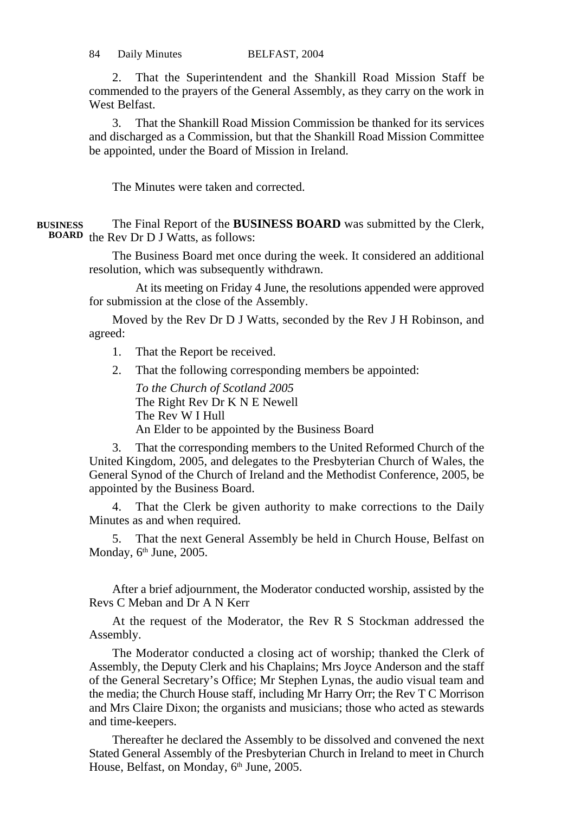| 84<br>Daily Minutes | BELFAST, 2004 |
|---------------------|---------------|
|---------------------|---------------|

2. That the Superintendent and the Shankill Road Mission Staff be commended to the prayers of the General Assembly, as they carry on the work in West Belfast.

3. That the Shankill Road Mission Commission be thanked for its services and discharged as a Commission, but that the Shankill Road Mission Committee be appointed, under the Board of Mission in Ireland.

The Minutes were taken and corrected.

The Final Report of the **BUSINESS BOARD** was submitted by the Clerk, **BOARD** the Rev Dr D J Watts, as follows: **BUSINESS**

> The Business Board met once during the week. It considered an additional resolution, which was subsequently withdrawn.

> At its meeting on Friday 4 June, the resolutions appended were approved for submission at the close of the Assembly.

> Moved by the Rev Dr D J Watts, seconded by the Rev J H Robinson, and agreed:

1. That the Report be received.

2. That the following corresponding members be appointed:

*To the Church of Scotland 2005* The Right Rev Dr K N E Newell The Rev W I Hull An Elder to be appointed by the Business Board

3. That the corresponding members to the United Reformed Church of the United Kingdom, 2005, and delegates to the Presbyterian Church of Wales, the General Synod of the Church of Ireland and the Methodist Conference, 2005, be appointed by the Business Board.

4. That the Clerk be given authority to make corrections to the Daily Minutes as and when required.

5. That the next General Assembly be held in Church House, Belfast on Monday, 6<sup>th</sup> June, 2005.

After a brief adjournment, the Moderator conducted worship, assisted by the Revs C Meban and Dr A N Kerr

At the request of the Moderator, the Rev R S Stockman addressed the Assembly.

The Moderator conducted a closing act of worship; thanked the Clerk of Assembly, the Deputy Clerk and his Chaplains; Mrs Joyce Anderson and the staff of the General Secretary's Office; Mr Stephen Lynas, the audio visual team and the media; the Church House staff, including Mr Harry Orr; the Rev T C Morrison and Mrs Claire Dixon; the organists and musicians; those who acted as stewards and time-keepers.

Thereafter he declared the Assembly to be dissolved and convened the next Stated General Assembly of the Presbyterian Church in Ireland to meet in Church House, Belfast, on Monday, 6<sup>th</sup> June, 2005.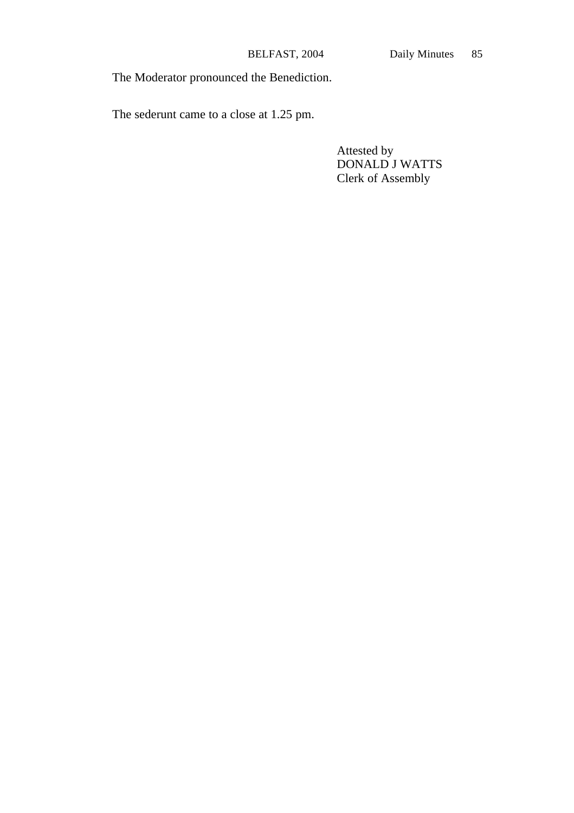The Moderator pronounced the Benediction.

The sederunt came to a close at 1.25 pm.

Attested by DONALD J WATTS Clerk of Assembly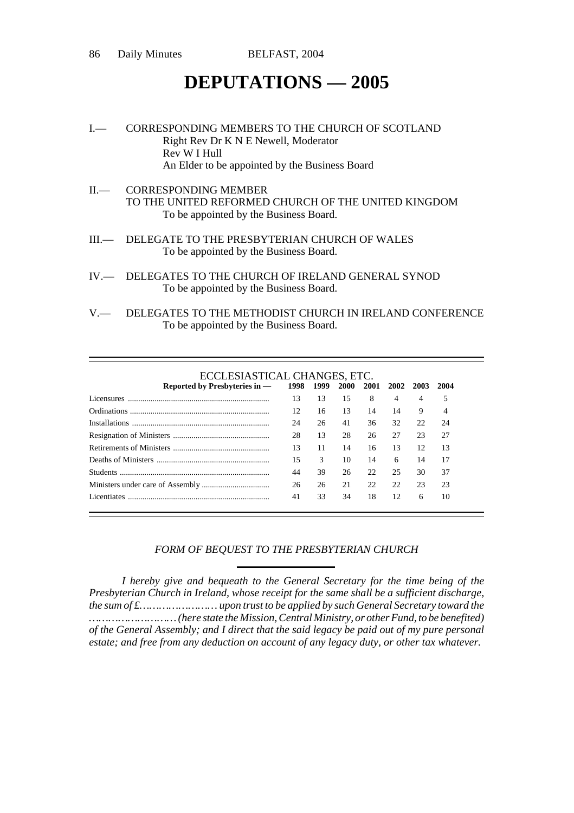# **DEPUTATIONS — 2005**

- I.— CORRESPONDING MEMBERS TO THE CHURCH OF SCOTLAND Right Rev Dr K N E Newell, Moderator Rev W I Hull An Elder to be appointed by the Business Board
- II.— CORRESPONDING MEMBER TO THE UNITED REFORMED CHURCH OF THE UNITED KINGDOM To be appointed by the Business Board.
- III.— DELEGATE TO THE PRESBYTERIAN CHURCH OF WALES To be appointed by the Business Board.
- IV.— DELEGATES TO THE CHURCH OF IRELAND GENERAL SYNOD To be appointed by the Business Board.
- V.— DELEGATES TO THE METHODIST CHURCH IN IRELAND CONFERENCE To be appointed by the Business Board.

| ECCLESIASTICAL CHANGES. ETC.  |    |                |    |      |      |      |      |
|-------------------------------|----|----------------|----|------|------|------|------|
| Reported by Presbyteries in — |    | 1998 1999 2000 |    | 2001 | 2002 | 2003 | 2004 |
|                               | 13 | 13             | 15 | 8    | 4    |      | 5    |
|                               | 12 | 16             | 13 | 14   | 14   | 9    | 4    |
|                               | 24 | 26             | 41 | 36   | 32   | 22   | 24   |
|                               | 28 | 13             | 28 | 26   | 27   | 23   | 27   |
|                               | 13 | 11             | 14 | 16   | 13   | 12   | 13   |
|                               | 15 | 3              | 10 | 14   | 6    | 14   | 17   |
|                               | 44 | 39             | 26 | 22   | 25   | 30   | 37   |
|                               | 26 | 26             | 21 | 22   | 22   | 23   | 23   |
| <b>Licentiates</b>            | 41 | 33             | 34 | 18   | 12   | 6    | 10   |
|                               |    |                |    |      |      |      |      |

#### *FORM OF BEQUEST TO THE PRESBYTERIAN CHURCH*

*I hereby give and bequeath to the General Secretary for the time being of the Presbyterian Church in Ireland, whose receipt for the same shall be a sufficient discharge, the sum of £…………………… upon trust to be applied by such General Secretary toward the ……………………… (here state the Mission, Central Ministry, or other Fund, to be benefited) of the General Assembly; and I direct that the said legacy be paid out of my pure personal estate; and free from any deduction on account of any legacy duty, or other tax whatever.*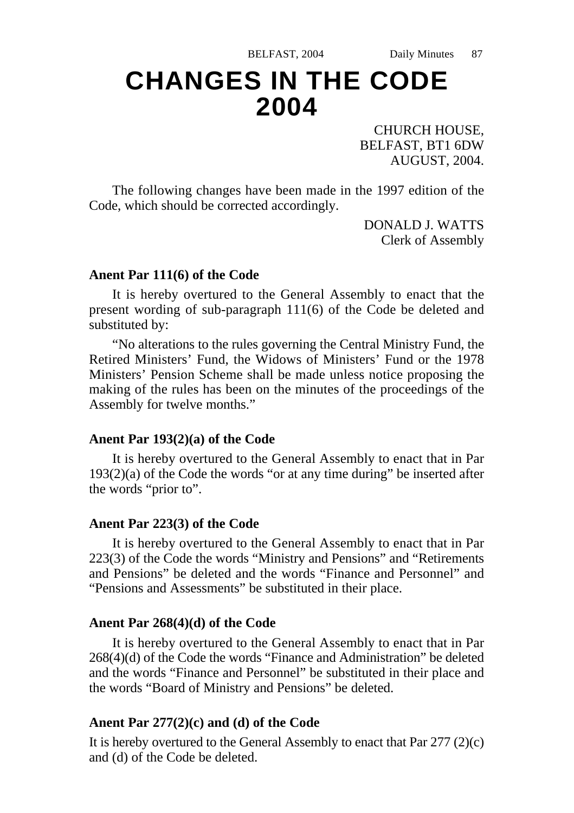# **CHANGES IN THE CODE 2004**

CHURCH HOUSE, BELFAST, BT1 6DW AUGUST, 2004.

The following changes have been made in the 1997 edition of the Code, which should be corrected accordingly.

> DONALD J. WATTS Clerk of Assembly

#### **Anent Par 111(6) of the Code**

It is hereby overtured to the General Assembly to enact that the present wording of sub-paragraph 111(6) of the Code be deleted and substituted by:

"No alterations to the rules governing the Central Ministry Fund, the Retired Ministers' Fund, the Widows of Ministers' Fund or the 1978 Ministers' Pension Scheme shall be made unless notice proposing the making of the rules has been on the minutes of the proceedings of the Assembly for twelve months."

#### **Anent Par 193(2)(a) of the Code**

It is hereby overtured to the General Assembly to enact that in Par 193(2)(a) of the Code the words "or at any time during" be inserted after the words "prior to".

### **Anent Par 223(3) of the Code**

It is hereby overtured to the General Assembly to enact that in Par 223(3) of the Code the words "Ministry and Pensions" and "Retirements and Pensions" be deleted and the words "Finance and Personnel" and "Pensions and Assessments" be substituted in their place.

#### **Anent Par 268(4)(d) of the Code**

It is hereby overtured to the General Assembly to enact that in Par 268(4)(d) of the Code the words "Finance and Administration" be deleted and the words "Finance and Personnel" be substituted in their place and the words "Board of Ministry and Pensions" be deleted.

# **Anent Par 277(2)(c) and (d) of the Code**

It is hereby overtured to the General Assembly to enact that Par  $277 (2)(c)$ and (d) of the Code be deleted.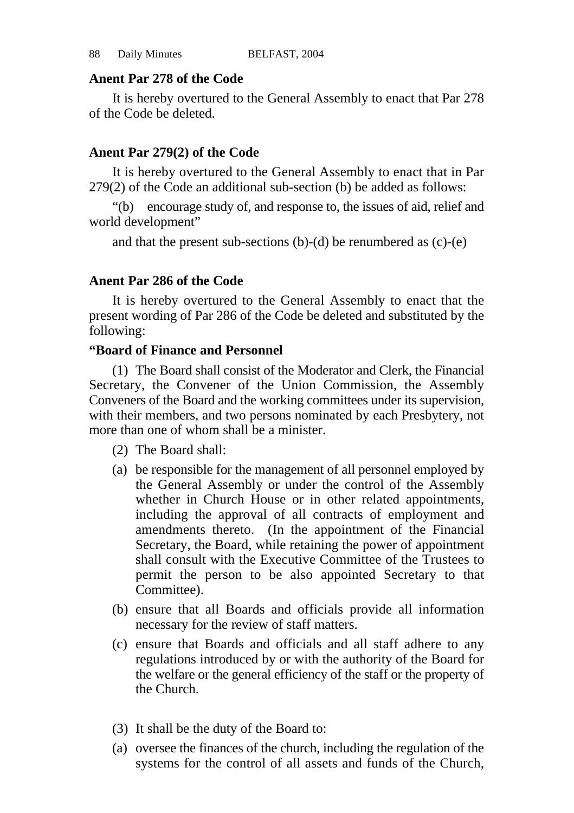# **Anent Par 278 of the Code**

It is hereby overtured to the General Assembly to enact that Par 278 of the Code be deleted.

# **Anent Par 279(2) of the Code**

It is hereby overtured to the General Assembly to enact that in Par 279(2) of the Code an additional sub-section (b) be added as follows:

"(b) encourage study of, and response to, the issues of aid, relief and world development"

and that the present sub-sections  $(b)-(d)$  be renumbered as  $(c)-(e)$ 

# **Anent Par 286 of the Code**

It is hereby overtured to the General Assembly to enact that the present wording of Par 286 of the Code be deleted and substituted by the following:

# **"Board of Finance and Personnel**

(1) The Board shall consist of the Moderator and Clerk, the Financial Secretary, the Convener of the Union Commission, the Assembly Conveners of the Board and the working committees under its supervision, with their members, and two persons nominated by each Presbytery, not more than one of whom shall be a minister.

- (2) The Board shall:
- (a) be responsible for the management of all personnel employed by the General Assembly or under the control of the Assembly whether in Church House or in other related appointments, including the approval of all contracts of employment and amendments thereto. (In the appointment of the Financial Secretary, the Board, while retaining the power of appointment shall consult with the Executive Committee of the Trustees to permit the person to be also appointed Secretary to that Committee).
- (b) ensure that all Boards and officials provide all information necessary for the review of staff matters.
- (c) ensure that Boards and officials and all staff adhere to any regulations introduced by or with the authority of the Board for the welfare or the general efficiency of the staff or the property of the Church.
- (3) It shall be the duty of the Board to:
- (a) oversee the finances of the church, including the regulation of the systems for the control of all assets and funds of the Church,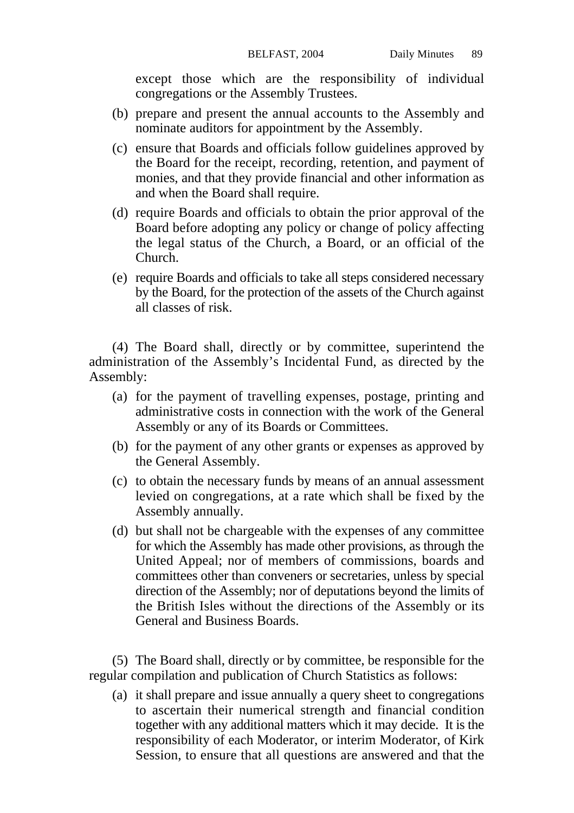except those which are the responsibility of individual congregations or the Assembly Trustees.

- (b) prepare and present the annual accounts to the Assembly and nominate auditors for appointment by the Assembly.
- (c) ensure that Boards and officials follow guidelines approved by the Board for the receipt, recording, retention, and payment of monies, and that they provide financial and other information as and when the Board shall require.
- (d) require Boards and officials to obtain the prior approval of the Board before adopting any policy or change of policy affecting the legal status of the Church, a Board, or an official of the Church.
- (e) require Boards and officials to take all steps considered necessary by the Board, for the protection of the assets of the Church against all classes of risk.

(4) The Board shall, directly or by committee, superintend the administration of the Assembly's Incidental Fund, as directed by the Assembly:

- (a) for the payment of travelling expenses, postage, printing and administrative costs in connection with the work of the General Assembly or any of its Boards or Committees.
- (b) for the payment of any other grants or expenses as approved by the General Assembly.
- (c) to obtain the necessary funds by means of an annual assessment levied on congregations, at a rate which shall be fixed by the Assembly annually.
- (d) but shall not be chargeable with the expenses of any committee for which the Assembly has made other provisions, as through the United Appeal; nor of members of commissions, boards and committees other than conveners or secretaries, unless by special direction of the Assembly; nor of deputations beyond the limits of the British Isles without the directions of the Assembly or its General and Business Boards.

(5) The Board shall, directly or by committee, be responsible for the regular compilation and publication of Church Statistics as follows:

(a) it shall prepare and issue annually a query sheet to congregations to ascertain their numerical strength and financial condition together with any additional matters which it may decide. It is the responsibility of each Moderator, or interim Moderator, of Kirk Session, to ensure that all questions are answered and that the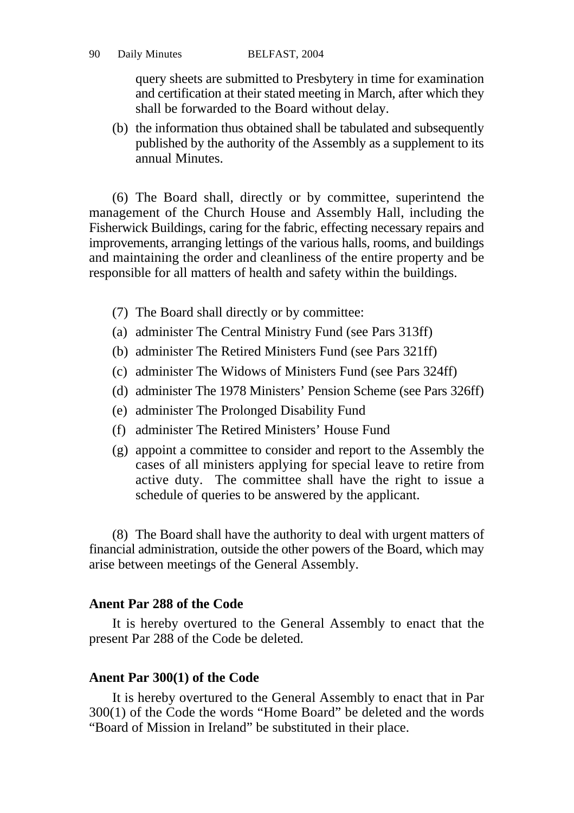#### 90 Daily Minutes BELFAST, 2004

query sheets are submitted to Presbytery in time for examination and certification at their stated meeting in March, after which they shall be forwarded to the Board without delay.

(b) the information thus obtained shall be tabulated and subsequently published by the authority of the Assembly as a supplement to its annual Minutes.

(6) The Board shall, directly or by committee, superintend the management of the Church House and Assembly Hall, including the Fisherwick Buildings, caring for the fabric, effecting necessary repairs and improvements, arranging lettings of the various halls, rooms, and buildings and maintaining the order and cleanliness of the entire property and be responsible for all matters of health and safety within the buildings.

- (7) The Board shall directly or by committee:
- (a) administer The Central Ministry Fund (see Pars 313ff)
- (b) administer The Retired Ministers Fund (see Pars 321ff)
- (c) administer The Widows of Ministers Fund (see Pars 324ff)
- (d) administer The 1978 Ministers' Pension Scheme (see Pars 326ff)
- (e) administer The Prolonged Disability Fund
- (f) administer The Retired Ministers' House Fund
- (g) appoint a committee to consider and report to the Assembly the cases of all ministers applying for special leave to retire from active duty. The committee shall have the right to issue a schedule of queries to be answered by the applicant.

(8) The Board shall have the authority to deal with urgent matters of financial administration, outside the other powers of the Board, which may arise between meetings of the General Assembly.

# **Anent Par 288 of the Code**

It is hereby overtured to the General Assembly to enact that the present Par 288 of the Code be deleted.

# **Anent Par 300(1) of the Code**

It is hereby overtured to the General Assembly to enact that in Par 300(1) of the Code the words "Home Board" be deleted and the words "Board of Mission in Ireland" be substituted in their place.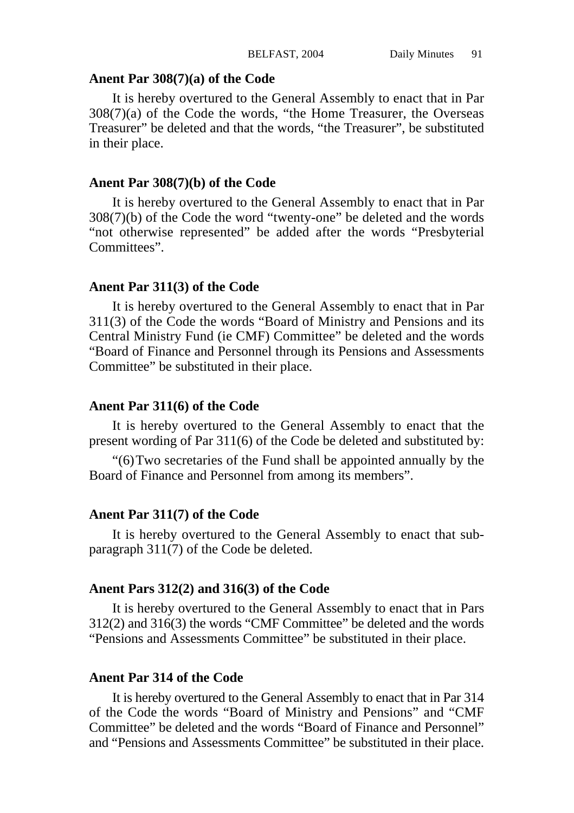#### **Anent Par 308(7)(a) of the Code**

It is hereby overtured to the General Assembly to enact that in Par 308(7)(a) of the Code the words, "the Home Treasurer, the Overseas Treasurer" be deleted and that the words, "the Treasurer", be substituted in their place.

#### **Anent Par 308(7)(b) of the Code**

It is hereby overtured to the General Assembly to enact that in Par 308(7)(b) of the Code the word "twenty-one" be deleted and the words "not otherwise represented" be added after the words "Presbyterial Committees".

# **Anent Par 311(3) of the Code**

It is hereby overtured to the General Assembly to enact that in Par 311(3) of the Code the words "Board of Ministry and Pensions and its Central Ministry Fund (ie CMF) Committee" be deleted and the words "Board of Finance and Personnel through its Pensions and Assessments Committee" be substituted in their place.

# **Anent Par 311(6) of the Code**

It is hereby overtured to the General Assembly to enact that the present wording of Par 311(6) of the Code be deleted and substituted by:

"(6)Two secretaries of the Fund shall be appointed annually by the Board of Finance and Personnel from among its members".

#### **Anent Par 311(7) of the Code**

It is hereby overtured to the General Assembly to enact that subparagraph 311(7) of the Code be deleted.

#### **Anent Pars 312(2) and 316(3) of the Code**

It is hereby overtured to the General Assembly to enact that in Pars 312(2) and 316(3) the words "CMF Committee" be deleted and the words "Pensions and Assessments Committee" be substituted in their place.

# **Anent Par 314 of the Code**

It is hereby overtured to the General Assembly to enact that in Par 314 of the Code the words "Board of Ministry and Pensions" and "CMF Committee" be deleted and the words "Board of Finance and Personnel" and "Pensions and Assessments Committee" be substituted in their place.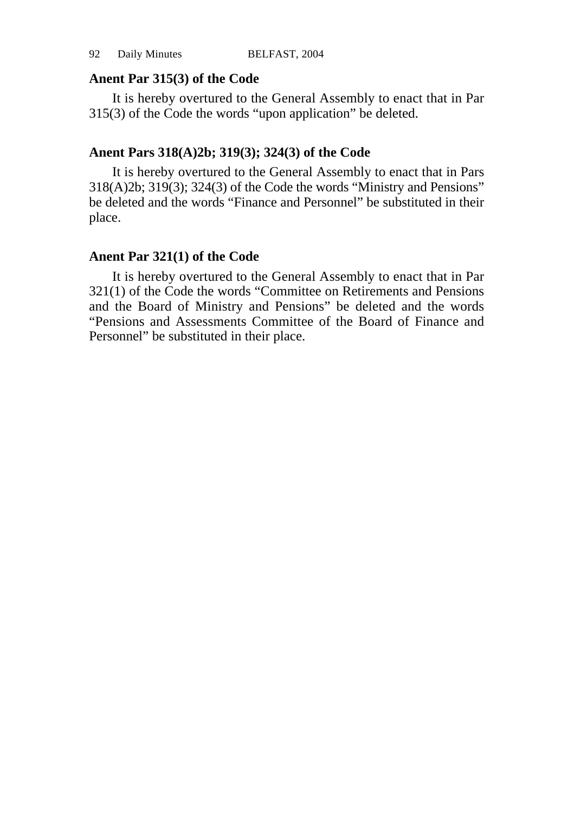# **Anent Par 315(3) of the Code**

It is hereby overtured to the General Assembly to enact that in Par 315(3) of the Code the words "upon application" be deleted.

# **Anent Pars 318(A)2b; 319(3); 324(3) of the Code**

It is hereby overtured to the General Assembly to enact that in Pars 318(A)2b; 319(3); 324(3) of the Code the words "Ministry and Pensions" be deleted and the words "Finance and Personnel" be substituted in their place.

# **Anent Par 321(1) of the Code**

It is hereby overtured to the General Assembly to enact that in Par 321(1) of the Code the words "Committee on Retirements and Pensions and the Board of Ministry and Pensions" be deleted and the words "Pensions and Assessments Committee of the Board of Finance and Personnel" be substituted in their place.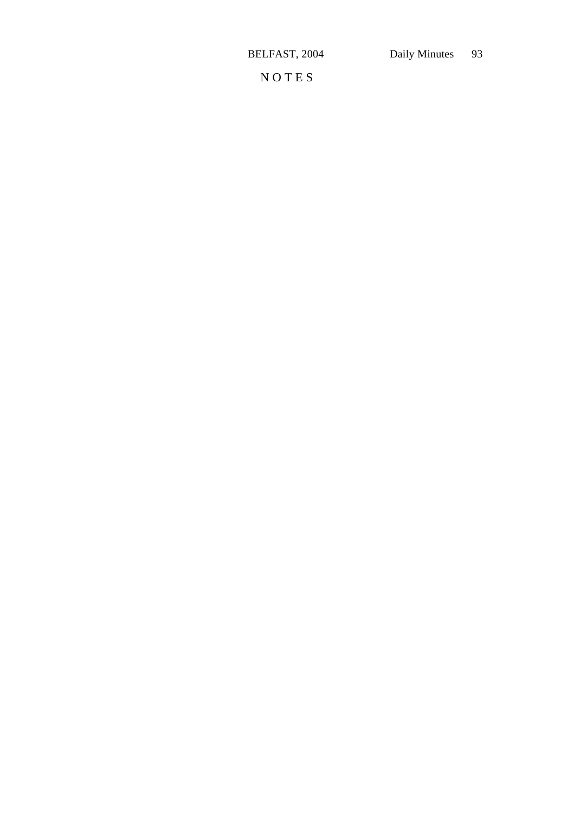# N O T E S